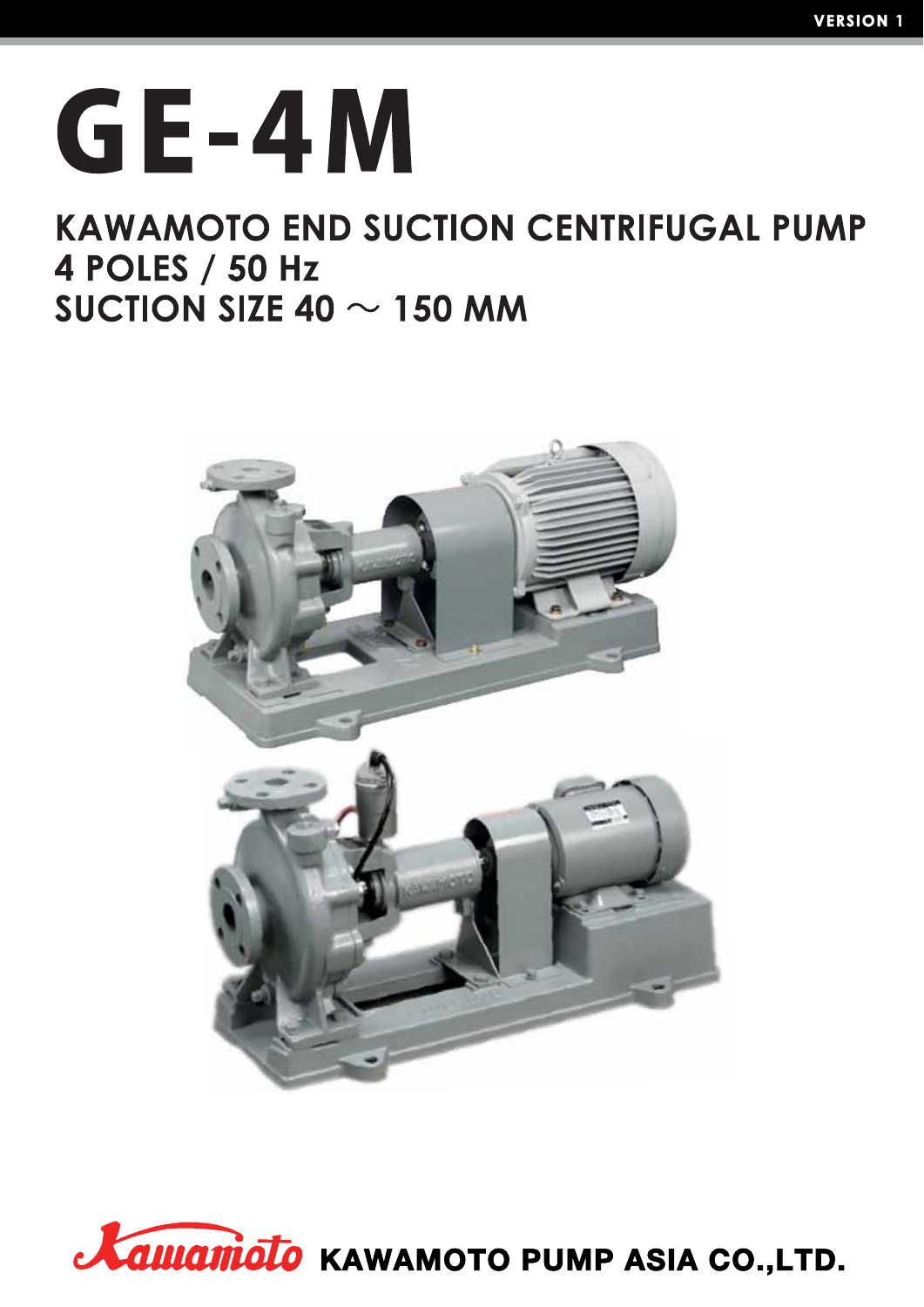# GE-4M

### **KAWAMOTO END SUCTION CENTRIFUGAL PUMP** 4 POLES / 50 Hz SUCTION SIZE 40  $\sim$  150 MM



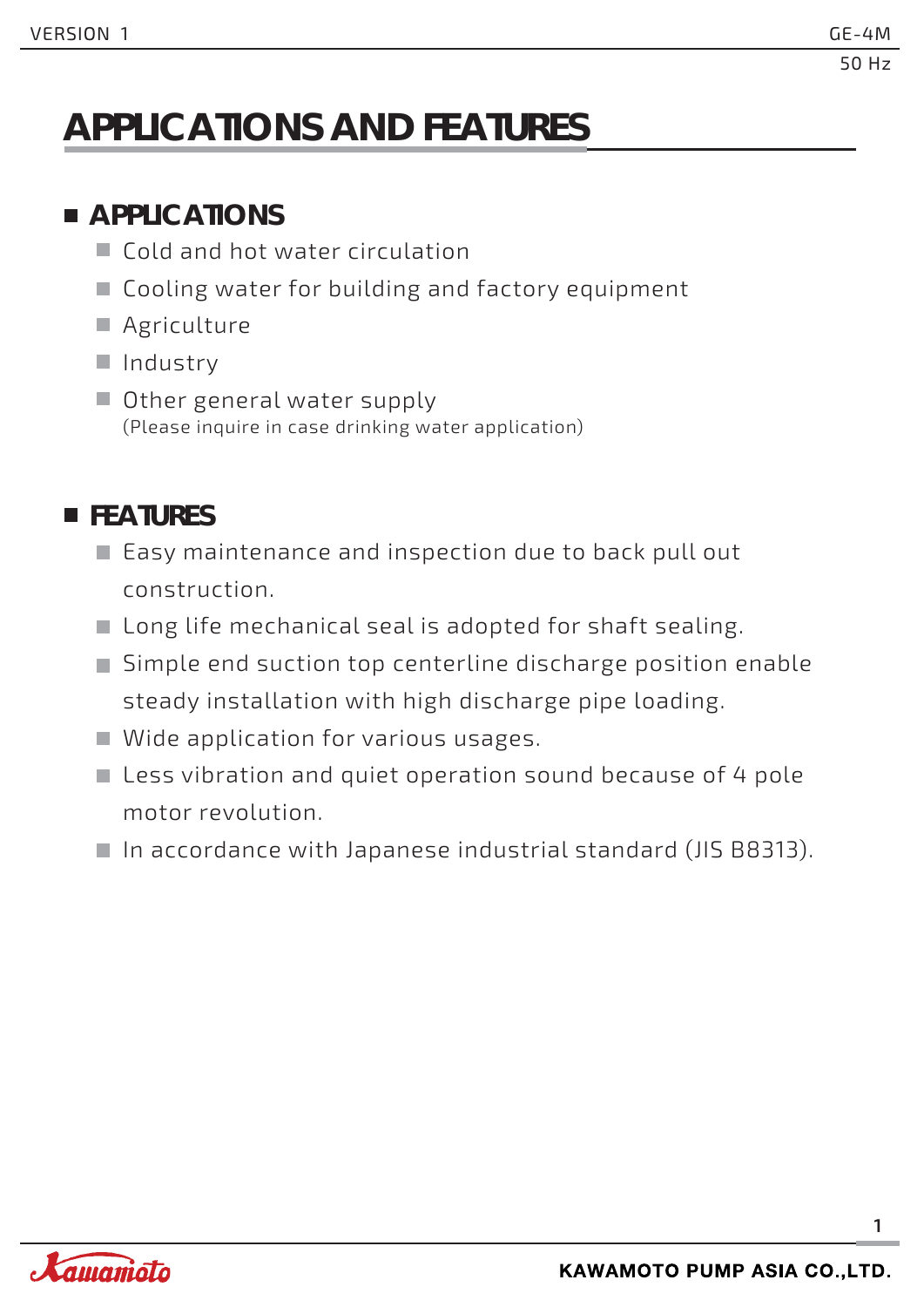# **APPLICATIONS AND FEATURES**

### **APPLICATIONS**

- Cold and hot water circulation
- Cooling water for building and factory equipment
- **Agriculture**
- II Industry
- Other general water supply (Please inquire in case drinking water application)

### **FEATURES**

- Easy maintenance and inspection due to back pull out construction.
- Long life mechanical seal is adopted for shaft sealing.
- Simple end suction top centerline discharge position enable steady installation with high discharge pipe loading.
- Wide application for various usages.
- Less vibration and quiet operation sound because of 4 pole motor revolution.
- In accordance with Japanese industrial standard (JIS B8313).

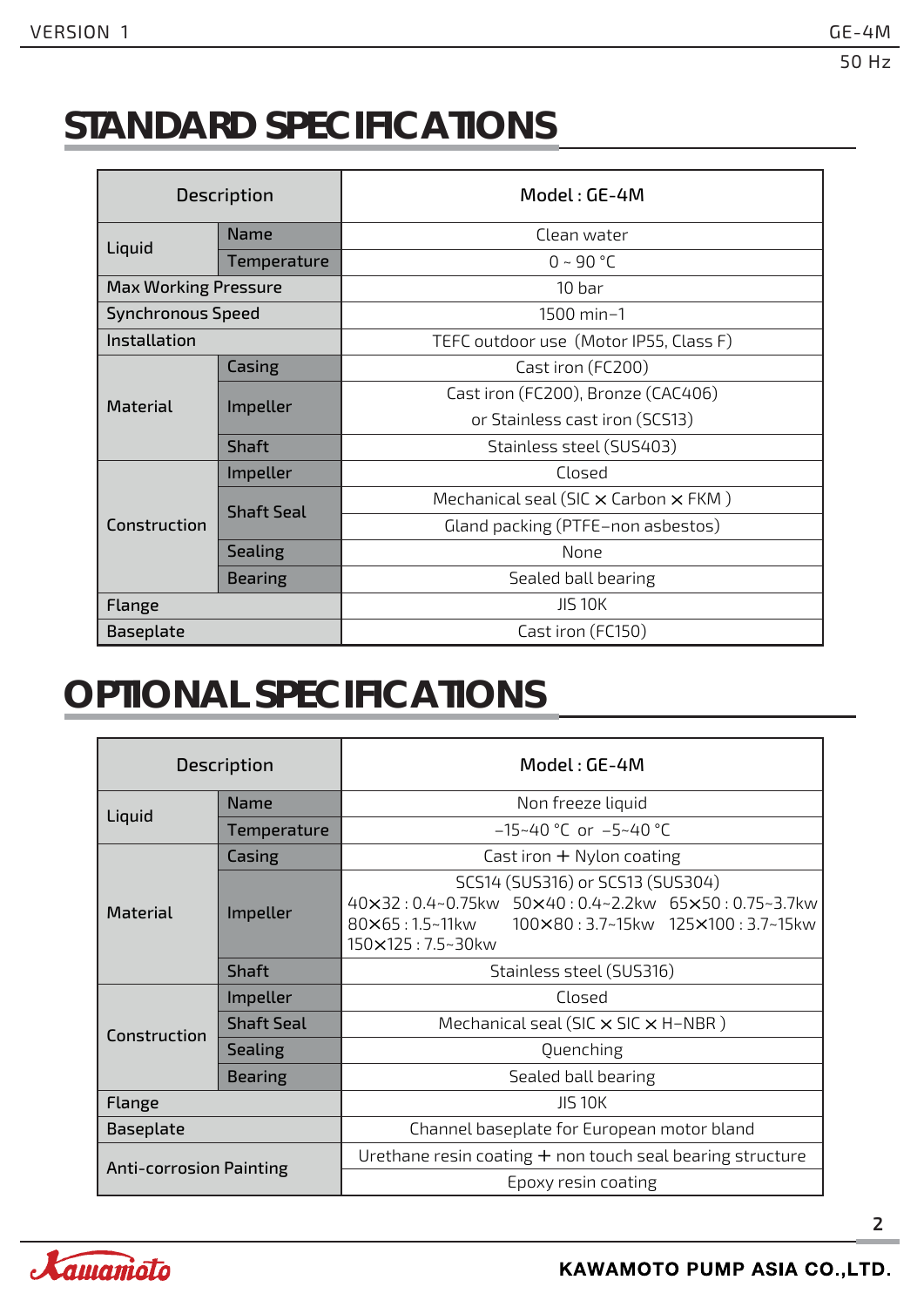# **STANDARD SPECIFICATIONS**

|                             | <b>Description</b> | Model: GE-4M                                       |  |  |  |  |  |
|-----------------------------|--------------------|----------------------------------------------------|--|--|--|--|--|
|                             | <b>Name</b>        | Clean water                                        |  |  |  |  |  |
| Liquid                      | Temperature        | $0 - 90 °C$                                        |  |  |  |  |  |
| <b>Max Working Pressure</b> |                    | 10 bar                                             |  |  |  |  |  |
| <b>Synchronous Speed</b>    |                    | 1500 min-1                                         |  |  |  |  |  |
| Installation                |                    | TEFC outdoor use (Motor IP55, Class F)             |  |  |  |  |  |
|                             | Casing             | Cast iron (FC200)                                  |  |  |  |  |  |
| <b>Material</b>             | Impeller           | Cast iron (FC200), Bronze (CAC406)                 |  |  |  |  |  |
|                             |                    | or Stainless cast iron (SCS13)                     |  |  |  |  |  |
|                             | <b>Shaft</b>       | Stainless steel (SUS403)                           |  |  |  |  |  |
|                             | Impeller           | Closed                                             |  |  |  |  |  |
|                             | <b>Shaft Seal</b>  | Mechanical seal (SIC $\times$ Carbon $\times$ FKM) |  |  |  |  |  |
| Construction                |                    | Gland packing (PTFE-non asbestos)                  |  |  |  |  |  |
|                             | <b>Sealing</b>     | None                                               |  |  |  |  |  |
|                             | <b>Bearing</b>     | Sealed ball bearing                                |  |  |  |  |  |
| Flange                      |                    | <b>JIS 10K</b>                                     |  |  |  |  |  |
| Baseplate                   |                    | Cast iron (FC150)                                  |  |  |  |  |  |

### **OPTIONAL SPECIFICATIONS**

|                                | <b>Description</b> | Model: GE-4M                                                                                                                                                  |  |  |  |  |  |  |  |
|--------------------------------|--------------------|---------------------------------------------------------------------------------------------------------------------------------------------------------------|--|--|--|--|--|--|--|
|                                | <b>Name</b>        | Non freeze liquid                                                                                                                                             |  |  |  |  |  |  |  |
| Liquid                         | Temperature        | $-15-40$ °C or $-5-40$ °C                                                                                                                                     |  |  |  |  |  |  |  |
|                                | Casing             | Cast iron $+$ Nylon coating                                                                                                                                   |  |  |  |  |  |  |  |
| <b>Material</b>                | Impeller           | SCS14 (SUS316) or SCS13 (SUS304)<br>40×32:0.4~0.75kw 50×40:0.4~2.2kw 65×50:0.75~3.7kw<br>80×65:1.5~11kw 100×80:3.7~15kw 125×100:3.7~15kw<br>150×125: 7.5~30kw |  |  |  |  |  |  |  |
|                                | Shaft              | Stainless steel (SUS316)                                                                                                                                      |  |  |  |  |  |  |  |
|                                | Impeller           | Closed                                                                                                                                                        |  |  |  |  |  |  |  |
| Construction                   | <b>Shaft Seal</b>  | Mechanical seal (SIC $\times$ SIC $\times$ H-NBR)                                                                                                             |  |  |  |  |  |  |  |
|                                | <b>Sealing</b>     | Quenching                                                                                                                                                     |  |  |  |  |  |  |  |
|                                | <b>Bearing</b>     | Sealed ball bearing                                                                                                                                           |  |  |  |  |  |  |  |
| Flange                         |                    | <b>JIS 10K</b>                                                                                                                                                |  |  |  |  |  |  |  |
| Baseplate                      |                    | Channel baseplate for European motor bland                                                                                                                    |  |  |  |  |  |  |  |
| <b>Anti-corrosion Painting</b> |                    | Urethane resin coating $+$ non touch seal bearing structure                                                                                                   |  |  |  |  |  |  |  |
|                                |                    | Epoxy resin coating                                                                                                                                           |  |  |  |  |  |  |  |

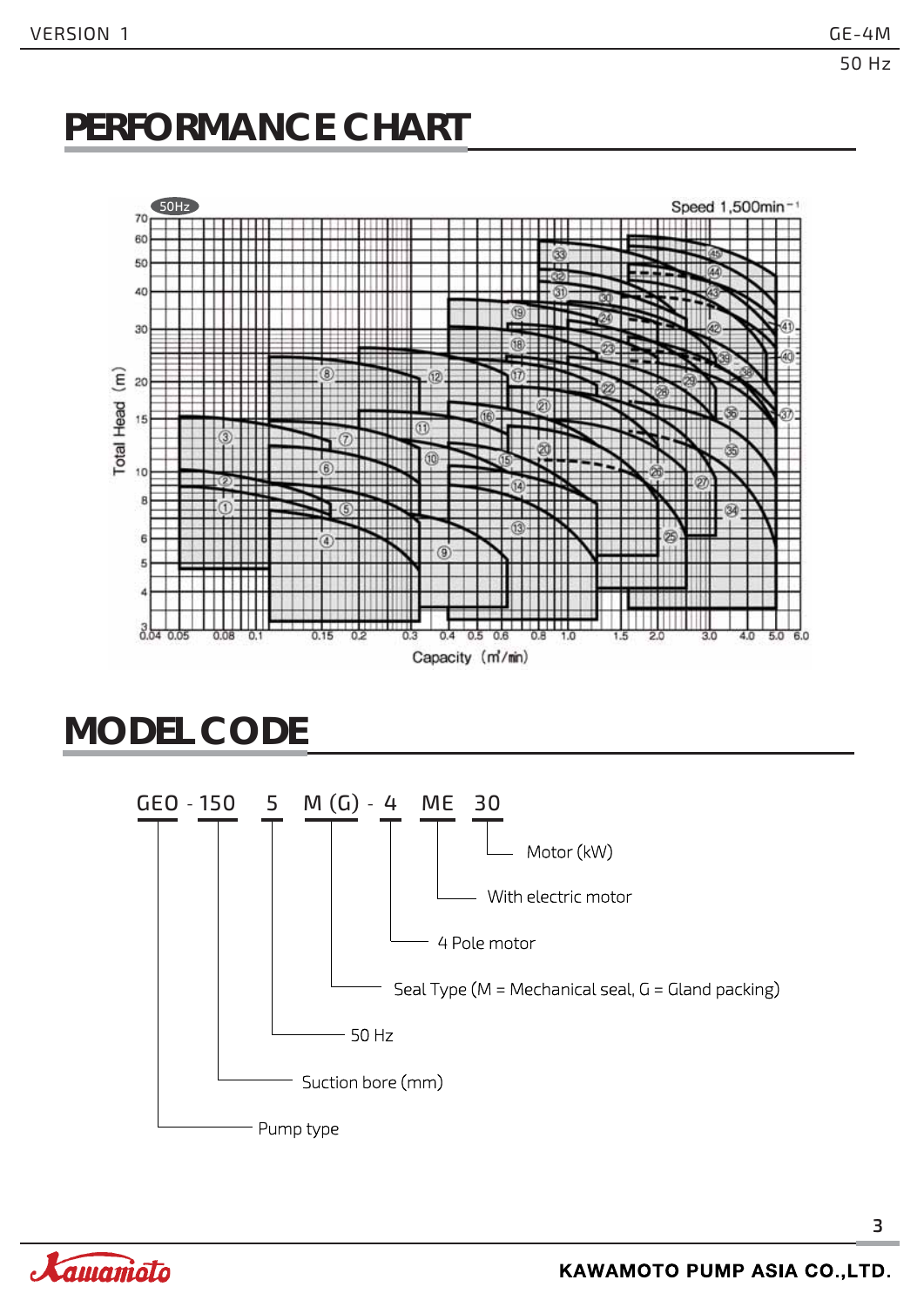### **PERFORMANCE CHART**



### **MODEL CODE**



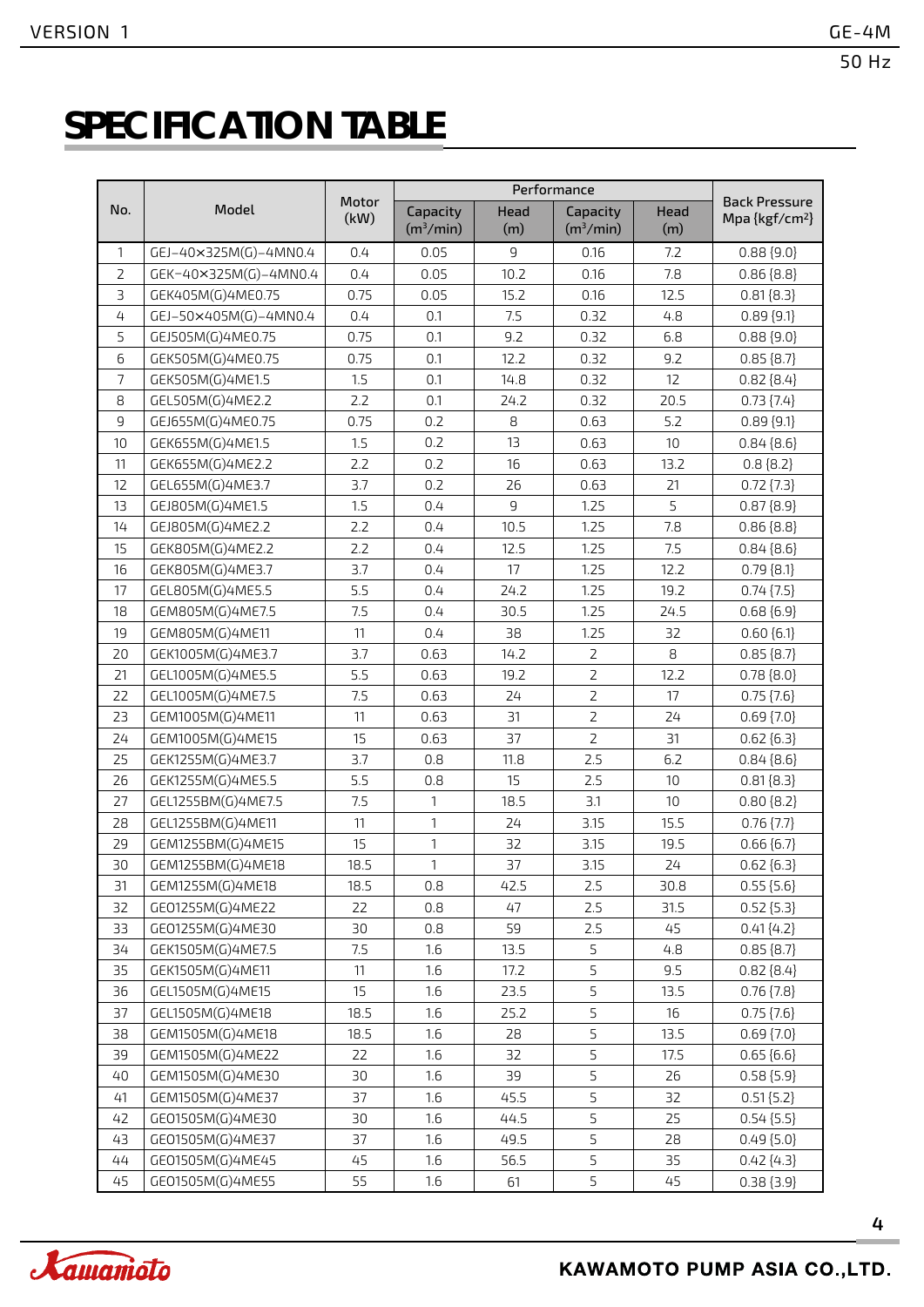# **SPECIFICATION TABLE**

|                |                       |               |                                   |             | Performance                       |             |                                                    |  |
|----------------|-----------------------|---------------|-----------------------------------|-------------|-----------------------------------|-------------|----------------------------------------------------|--|
| No.            | Model                 | Motor<br>(kW) | Capacity<br>(m <sup>3</sup> /min) | Head<br>(m) | Capacity<br>(m <sup>3</sup> /min) | Head<br>(m) | <b>Back Pressure</b><br>Mpa {kgf/cm <sup>2</sup> } |  |
| 1              | GEJ-40×325M(G)-4MN0.4 | 0.4           | 0.05                              | 9           | 0.16                              | 7.2         | $0.88\{9.0\}$                                      |  |
| $\overline{2}$ | GEK-40×325M(G)-4MN0.4 | 0.4           | 0.05                              | 10.2        | 0.16                              | 7.8         | $0.86\{8.8\}$                                      |  |
| $\overline{3}$ | GEK405M(G)4ME0.75     | 0.75          | 0.05                              | 15.2        | 0.16                              | 12.5        | $0.81\{8.3\}$                                      |  |
| $\overline{4}$ | GEJ-50×405M(G)-4MN0.4 | 0.4           | 0.1                               | 7.5         | 0.32                              | 4.8         | $0.89$ {9.1}                                       |  |
| 5              | GEJ505M(G)4ME0.75     | 0.75          | 0.1                               | 9.2         | 0.32                              | 6.8         | $0.88\{9.0\}$                                      |  |
| 6              | GEK505M(G)4ME0.75     | 0.75          | 0.1                               | 12.2        | 0.32                              | 9.2         | $0.85\{8.7\}$                                      |  |
| $\overline{7}$ | GEK505M(G)4ME1.5      | 1.5           | 0.1                               | 14.8        | 0.32                              | 12          | $0.82\{8.4\}$                                      |  |
| 8              | GEL505M(G)4ME2.2      | 2.2           | 0.1                               | 24.2        | 0.32                              | 20.5        | $0.73$ $\{7.4\}$                                   |  |
| $\mathsf g$    | GEJ655M(G)4ME0.75     | 0.75          | 0.2                               | 8           | 0.63                              | 5.2         | $0.89$ {9.1}                                       |  |
| 10             | GEK655M(G)4ME1.5      | 1.5           | 0.2                               | 13          | 0.63                              | 10          | $0.84\{8.6\}$                                      |  |
| 11             | GEK655M(G)4ME2.2      | 2.2           | 0.2                               | 16          | 0.63                              | 13.2        | $0.8\{8.2\}$                                       |  |
| 12             | GEL655M(G)4ME3.7      | 3.7           | 0.2                               | 26          | 0.63                              | 21          | $0.72$ $\{7.3\}$                                   |  |
| 13             | GEJ805M(G)4ME1.5      | 1.5           | 0.4                               | 9           | 1.25                              | 5           | $0.87\{8.9\}$                                      |  |
| 14             | GEJ805M(G)4ME2.2      | 2.2           | 0.4                               | 10.5        | 1.25                              | 7.8         | $0.86\{8.8\}$                                      |  |
| 15             | GEK805M(G)4ME2.2      | 2.2           | 0.4                               | 12.5        | 1.25                              | 7.5         | $0.84\{8.6\}$                                      |  |
| 16             | GEK805M(G)4ME3.7      | 3.7           | 0.4                               | 17          | 1.25                              | 12.2        | $0.79$ ${8.1}$                                     |  |
| 17             | GEL805M(G)4ME5.5      | 5.5           | 0.4                               | 24.2        | 1.25                              | 19.2        | $0.74$ $\{7.5\}$                                   |  |
| 18             | GEM805M(G)4ME7.5      | 7.5           | 0.4                               | 30.5        | 1.25                              | 24.5        | $0.68\{6.9\}$                                      |  |
| 19             | GEM805M(G)4ME11       | 11            | 0.4                               | 38          | 1.25                              | 32          | $0.60$ $[6.1]$                                     |  |
| 20             | GEK1005M(G)4ME3.7     | 3.7           | 0.63                              | 14.2        | $\overline{2}$                    | 8           | $0.85\{8.7\}$                                      |  |
| 21             | GEL1005M(G)4ME5.5     | 5.5           | 0.63                              | 19.2        | $\overline{2}$                    | 12.2        | $0.78\{8.0\}$                                      |  |
| 22             | GEL1005M(G)4ME7.5     | 7.5           | 0.63                              | 24          | $\overline{2}$                    | 17          | $0.75$ $\{7.6\}$                                   |  |
| 23             | GEM1005M(G)4ME11      | 11            | 0.63                              | 31          | $\overline{2}$                    | 24          | $0.69$ $\{7.0\}$                                   |  |
| 24             | GEM1005M(G)4ME15      | 15            | 0.63                              | 37          | $\overline{2}$                    | 31          | $0.62\{6.3\}$                                      |  |
| 25             | GEK1255M(G)4ME3.7     | 3.7           | 0.8                               | 11.8        | 2.5                               | 6.2         | $0.84\{8.6\}$                                      |  |
| 26             | GEK1255M(G)4ME5.5     | 5.5           | 0.8                               | 15          | 2.5                               | 10          | $0.81\{8.3\}$                                      |  |
| 27             | GEL1255BM(G)4ME7.5    | 7.5           | 1                                 | 18.5        | 3.1                               | 10          | $0.80$ {8.2}                                       |  |
| 28             | GEL1255BM(G)4ME11     | 11            | $\mathbf{1}$                      | 24          | 3.15                              | 15.5        | $0.76$ $\{7.7\}$                                   |  |
| 29             | GEM1255BM(G)4ME15     | 15            | 1                                 | 32          | 3.15                              | 19.5        | $0.66\{6.7\}$                                      |  |
| 30             | GEM1255BM(G)4ME18     | 18.5          | $\mathbf{1}$                      | 37          | 3.15                              | 24          | $0.62\{6.3\}$                                      |  |
| 31             | GEM1255M(G)4ME18      | 18.5          | 0.8                               | 42.5        | 2.5                               | 30.8        | $0.55$ {5.6}                                       |  |
| 32             | GE01255M(G)4ME22      | 22            | 0.8                               | 47          | 2.5                               | 31.5        | $0.52$ {5.3}                                       |  |
| 33             | GE01255M(G)4ME30      | 30            | 0.8                               | 59          | 2.5                               | 45          | $0.41\{4.2\}$                                      |  |
| 34             | GEK1505M(G)4ME7.5     | 7.5           | 1.6                               | 13.5        | 5                                 | 4.8         | $0.85\{8.7\}$                                      |  |
| 35             | GEK1505M(G)4ME11      | 11            | 1.6                               | 17.2        | 5                                 | 9.5         | $0.82\{8.4\}$                                      |  |
| 36             | GEL1505M(G)4ME15      | 15            | 1.6                               | 23.5        | 5                                 | 13.5        | $0.76$ $\{7.8\}$                                   |  |
| 37             | GEL1505M(G)4ME18      | 18.5          | 1.6                               | 25.2        | 5                                 | 16          | $0.75$ $\{7.6\}$                                   |  |
| 38             | GEM1505M(G)4ME18      | 18.5          | 1.6                               | 28          | 5                                 | 13.5        | $0.69$ $\{7.0\}$                                   |  |
| 39             | GEM1505M(G)4ME22      | 22            | 1.6                               | 32          | 5                                 | 17.5        | $0.65\{6.6\}$                                      |  |
| 40             | GEM1505M(G)4ME30      | 30            | 1.6                               | 39          | 5                                 | 26          | $0.58$ {5.9}                                       |  |
| 41             | GEM1505M(G)4ME37      | 37            | 1.6                               | 45.5        | 5                                 | 32          | $0.51$ {5.2}                                       |  |
| 42             | GE01505M(G)4ME30      | 30            | 1.6                               | 44.5        | 5                                 | 25          | $0.54\{5.5\}$                                      |  |
| 43             | GE01505M(G)4ME37      | 37            | 1.6                               | 49.5        | 5                                 | 28          | $0.49$ {5.0}                                       |  |
| 44             | GE01505M(G)4ME45      | 45            | 1.6                               | 56.5        | 5                                 | 35          | $0.42\{4.3\}$                                      |  |
| 45             | GE01505M(G)4ME55      | 55            | 1.6                               | 61          | 5                                 | 45          | $0.38\{3.9\}$                                      |  |

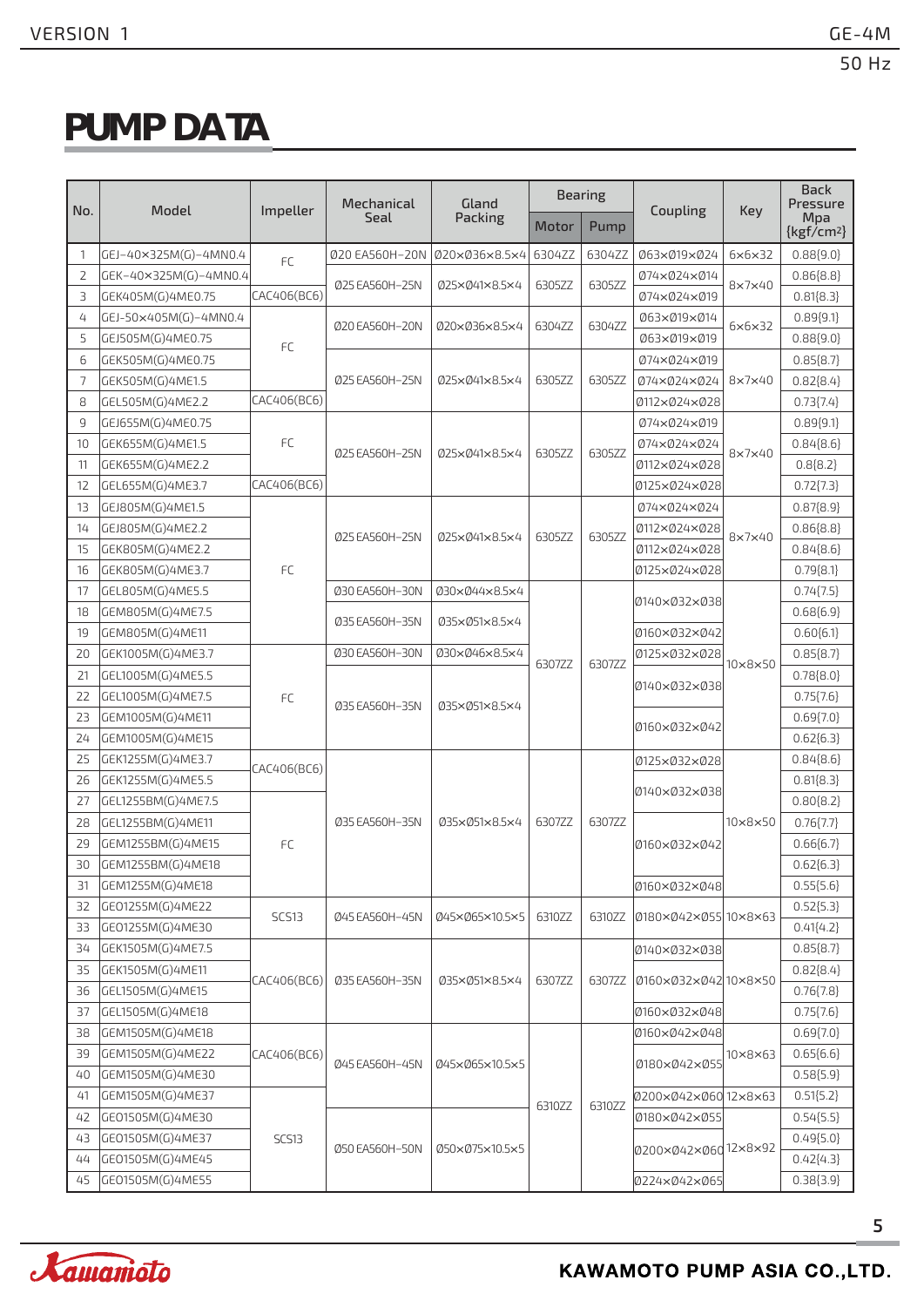# **PUMP DATA**

|                |                       |              | Mechanical     | Gland          |        | <b>Bearing</b> |                      |                        | <b>Back</b><br>Pressure |
|----------------|-----------------------|--------------|----------------|----------------|--------|----------------|----------------------|------------------------|-------------------------|
| No.            | Model                 | Impeller     | Seal           | Packing        | Motor  | Pump           | Coupling             | Key                    | Mpa<br>$\{kgf/cm^2\}$   |
| $\mathbf{1}$   | GEJ-40×325M(G)-4MN0.4 | FC           | Ø20 EA560H-20N | 020×036×8.5×4  | 6304ZZ | 6304ZZ         | Ø63ר19ר24            | $6 \times 6 \times 32$ | 0.88(9.0)               |
| $\overline{2}$ | GEK-40×325M(G)-4MN0.4 |              | Ø25 EA560H-25N | 025×041×8.5×4  | 6305ZZ | 6305ZZ         | 074×024×014          | 8×7×40                 | $0.86{8.8}$             |
| 3              | GEK405M(G)4ME0.75     | CAC406(BC6)  |                |                |        |                | 074×024×019          |                        | $0.81\{8.3\}$           |
| 4              | GEJ-50×405M(G)-4MN0.4 |              | Ø20 EA560H-20N | 020×036×8.5×4  | 6304ZZ | 6304ZZ         | Ø63ר19ר14            | $6\times6\times32$     | $0.89{9.1}$             |
| 5              | GEJ505M(G)4ME0.75     | FC           |                |                |        |                | 063×019×019          |                        | 0.88(9.0)               |
| 6              | GEK505M(G)4ME0.75     |              |                |                |        |                | 074×024×019          |                        | $0.85{8.7}$             |
| 7              | GEK505M(G)4ME1.5      |              | 025 EA560H-25N | 025×041×8.5×4  | 6305ZZ | 6305ZZ         | 074×024×024          | 8×7×40                 | $0.82{8.4}$             |
| 8              | GEL505M(G)4ME2.2      | CAC406(BC6)  |                |                |        |                | 0112×024×028         |                        | $0.73{7.4}$             |
| 9              | GEJ655M(G)4ME0.75     |              |                |                |        |                | 074×024×019          |                        | $0.89\{9.1\}$           |
| 10             | GEK655M(G)4ME1.5      | FC           | Ø25 EA560H-25N | 025×041×8.5×4  | 6305ZZ | 6305ZZ         | 074×024×024          | $8\times7\times40$     | $0.84{8.6}$             |
| 11             | GEK655M(G)4ME2.2      |              |                |                |        |                | 0112×024×028         |                        | 0.8[8.2]                |
| 12             | GEL655M(G)4ME3.7      | CAC406(BC6)  |                |                |        |                | 0125×024×028         |                        | 0.72[7.3]               |
| 13             | GEJ805M(G)4ME1.5      |              |                |                |        |                | 074×024×024          |                        | $0.87{8.9}$             |
| 14             | GEJ805M(G)4ME2.2      |              | Ø25 EA560H-25N | 025×041×8.5×4  | 6305ZZ | 6305ZZ         | 0112×024×028         | $8\times7\times40$     | $0.86{8.8}$             |
| 15             | GEK805M(G)4ME2.2      |              |                |                |        |                | 0112×024×028         |                        | $0.84{8.6}$             |
| 16             | GEK805M(G)4ME3.7      | <b>FC</b>    |                |                |        |                | 0125×024×028         |                        | $0.79{8.1}$             |
| 17             | GEL805M(G)4ME5.5      |              | Ø30 EA560H-30N | Ø30ר44×8.5×4   |        |                | 0140×032×038         |                        | $0.74{7.5}$             |
| 18             | GEM805M(G)4ME7.5      |              | Ø35 EA560H-35N | 035×051×8.5×4  |        |                |                      |                        | $0.68{6.9}$             |
| 19             | GEM805M(G)4ME11       |              |                |                |        |                | 0160×032×042         |                        | $0.60{6.1}$             |
| 20             | GEK1005M(G)4ME3.7     |              | Ø30 EA560H-30N | Ø30ר46×8.5×4   | 6307ZZ | 6307ZZ         | 0125×032×028         | $10\times8\times50$    | $0.85{8.7}$             |
| 21             | GEL1005M(G)4ME5.5     | FC           |                |                |        |                | 0140×032×038         |                        | $0.78{8.0}$             |
| 22             | GEL1005M(G)4ME7.5     |              | Ø35 EA560H-35N | 035×051×8.5×4  |        |                |                      |                        | 0.75[7.6]               |
| 23             | GEM1005M(G)4ME11      |              |                |                |        |                | 0160×032×042         |                        | $0.69\{7.0\}$           |
| 24             | GEM1005M(G)4ME15      |              |                |                |        |                |                      |                        | $0.62{6.3}$             |
| 25             | GEK1255M(G)4ME3.7     | CAC406(BC6)  |                |                |        |                | 0125×032×028         |                        | $0.84\{8.6\}$           |
| 26             | GEK1255M(G)4ME5.5     |              |                |                |        |                | 0140×032×038         |                        | 0.81[8.3]               |
| 27             | GEL1255BM(G)4ME7.5    |              |                |                |        |                |                      |                        | $0.80{8.2}$             |
| 28             | GEL1255BM(G)4ME11     |              | 035 EA560H-35N | 035×051×8.5×4  | 6307ZZ | 6307ZZ         |                      | 10×8×50                | $0.76{7.7}$             |
| 29             | GEM1255BM(G)4ME15     | <b>FC</b>    |                |                |        |                | 0160×032×042         |                        | 0.66[6.7]               |
| 30             | GEM1255BM(G)4ME18     |              |                |                |        |                |                      |                        | $0.62{6.3}$             |
| 31             | GEM1255M(G)4ME18      |              |                |                |        |                | 0160×032×048         |                        | $0.55{5.6}$             |
| 32             | GE01255M(G)4ME22      | <b>SCS13</b> | Ø45 EA560H-45N | 045×065×10.5×5 | 6310ZZ | 6310ZZ         | 0180×042×055 10×8×63 |                        | 0.52[5.3]               |
| 33             | GE01255M(G)4ME30      |              |                |                |        |                |                      |                        | $0.41{4.2}$             |
| 34             | GEK1505M(G)4ME7.5     |              |                |                |        |                | 0140×032×038         |                        | $0.85{8.7}$             |
| 35             | GEK1505M(G)4ME11      | CAC406(BC6)  | Ø35 EA560H-35N | 035×051×8.5×4  | 6307ZZ | 6307ZZ         | 0160×032×042 10×8×50 |                        | $0.82{8.4}$             |
| 36             | GEL1505M(G)4ME15      |              |                |                |        |                |                      |                        | 0.76[7.8]               |
| 37             | GEL1505M(G)4ME18      |              |                |                |        |                | 0160×032×048         |                        | 0.75[7.6]               |
| 38             | GEM1505M(G)4ME18      |              |                |                |        |                | 0160×042×048         |                        | $0.69{7.0}$             |
| 39             | GEM1505M(G)4ME22      | CAC406(BC6)  | Ø45 EA560H-45N | Ø45ר65×10.5×5  |        |                | 0180×042×055         | $10\times8\times63$    | $0.65{6.6}$             |
| 40             | GEM1505M(G)4ME30      |              |                |                |        |                |                      |                        | 0.58[5.9]               |
| 41             | GEM1505M(G)4ME37      |              |                |                | 6310ZZ | 6310ZZ         | 0200×042×060         | $12\times8\times63$    | $0.51{5.2}$             |
| 42             | GE01505M(G)4ME30      |              |                |                |        |                | 0180×042×055         |                        | 0.54[5.5]               |
| 43             | GE01505M(G)4ME37      | SCS13        | Ø50 EA560H-50N | 050×075×10.5×5 |        |                | 0200×042×06012×8×92  |                        | $0.49{5.0}$             |
| 44             | GE01505M(G)4ME45      |              |                |                |        |                |                      |                        | $0.42{4.3}$             |
| 45             | GE01505M(G)4ME55      |              |                |                |        |                | 0224×042×065         |                        | 0.38[3.9]               |

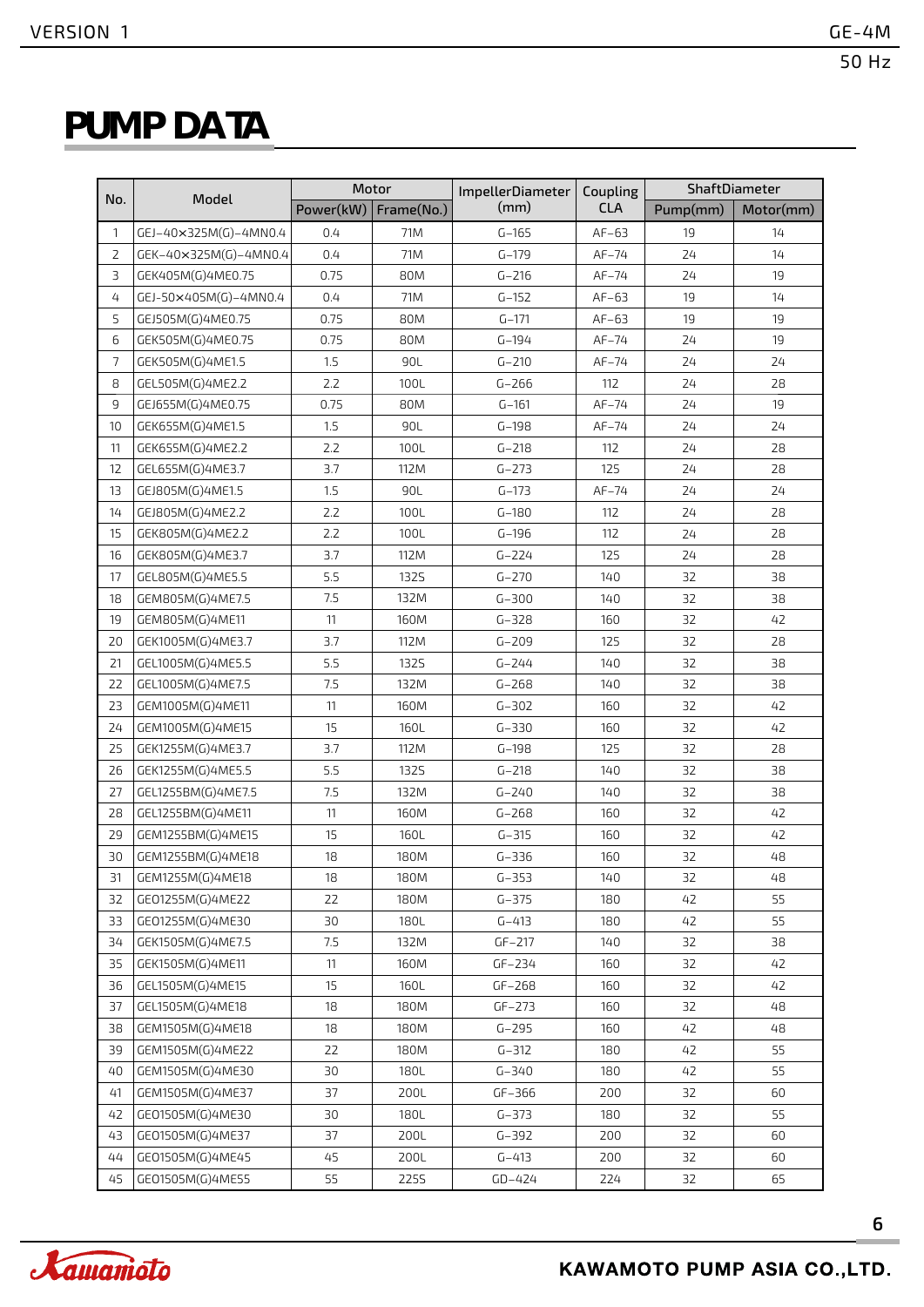### **PUMP DATA**

|                |                       |           | Motor       | <b>ImpellerDiameter</b> | Coupling   | ShaftDiameter |           |  |  |
|----------------|-----------------------|-----------|-------------|-------------------------|------------|---------------|-----------|--|--|
| No.            | Model                 | Power(kW) | Frame(No.)  | (mm)                    | <b>CLA</b> | Pump(mm)      | Motor(mm) |  |  |
| 1              | GEJ-40×325M(G)-4MN0.4 | 0.4       | 71M         | $G-165$                 | $AF-63$    | 19            | 14        |  |  |
| $\overline{2}$ | GEK-40×325M(G)-4MN0.4 | 0.4       | 71M         | $G - 179$               | $AF-74$    | 24            | 14        |  |  |
| 3              | GEK405M(G)4ME0.75     | 0.75      | 80M         | $G - 216$               | $AF-74$    | 24            | 19        |  |  |
| 4              | GEJ-50×405M(G)-4MN0.4 | 0.4       | 71M         | $G - 152$               | $AF-63$    | 19            | 14        |  |  |
| 5              | GEJ505M(G)4ME0.75     | 0.75      | 80M         | $G - 171$               | $AF-63$    | 19            | 19        |  |  |
| 6              | GEK505M(G)4ME0.75     | 0.75      | 80M         | $G - 194$               | $AF-74$    | 24            | 19        |  |  |
| $\overline{7}$ | GEK505M(G)4ME1.5      | 1.5       | 90L         | $G - 210$               | $AF-74$    | 24            | 24        |  |  |
| 8              | GEL505M(G)4ME2.2      | 2.2       | 100L        | $G - 266$               | 112        | 24            | 28        |  |  |
| 9              | GEJ655M(G)4ME0.75     | 0.75      | 80M         | $G - 161$               | $AF-74$    | 24            | 19        |  |  |
| 10             | GEK655M(G)4ME1.5      | 1.5       | 90L         | $G-198$                 | $AF-74$    | 24            | 24        |  |  |
| 11             | GEK655M(G)4ME2.2      | 2.2       | 100L        | $G - 218$               | 112        | 24            | 28        |  |  |
| 12             | GEL655M(G)4ME3.7      | 3.7       | 112M        | $G - 273$               | 125        | 24            | 28        |  |  |
| 13             | GEJ805M(G)4ME1.5      | 1.5       | 90L         | $G-173$                 | $AF-74$    | 24            | 24        |  |  |
| 14             | GEJ805M(G)4ME2.2      | 2.2       | 100L        | $G - 180$               | 112        | 24            | 28        |  |  |
| 15             | GEK805M(G)4ME2.2      | 2.2       | 100L        | $G-196$                 | 112        | 24            | 28        |  |  |
| 16             | GEK805M(G)4ME3.7      | 3.7       | 112M        | $G - 224$               | 125        | 24            | 28        |  |  |
| 17             | GEL805M(G)4ME5.5      | 5.5       | 1325        | $G - 270$               | 140        | 32            | 38        |  |  |
| 18             | GEM805M(G)4ME7.5      | 7.5       | 132M        | $G - 300$               | 140        | 32            | 38        |  |  |
| 19             | GEM805M(G)4ME11       | 11        | 160M        | $G - 328$               | 160        | 32            | 42        |  |  |
| 20             | GEK1005M(G)4ME3.7     | 3.7       | 112M        | $G - 209$               | 125        | 32            | 28        |  |  |
| 21             | GEL1005M(G)4ME5.5     | 5.5       | 1325        | $G - 244$               | 140        | 32            | 38        |  |  |
| 22             | GEL1005M(G)4ME7.5     | 7.5       | 132M        | $G - 268$               | 140        | 32            | 38        |  |  |
| 23             | GEM1005M(G)4ME11      | 11        | 160M        | $G - 302$               | 160        | 32            | 42        |  |  |
| 24             | GEM1005M(G)4ME15      | 15        | 160L        | $G - 330$               | 160        | 32            | 42        |  |  |
| 25             | GEK1255M(G)4ME3.7     | 3.7       | 112M        | $G-198$                 | 125        | 32            | 28        |  |  |
| 26             | GEK1255M(G)4ME5.5     | 5.5       | <b>1325</b> | $G - 218$               | 140        | 32            | 38        |  |  |
| 27             | GEL1255BM(G)4ME7.5    | 7.5       | 132M        | $G - 240$               | 140        | 32            | 38        |  |  |
| 28             | GEL1255BM(G)4ME11     | 11        | 160M        | $G - 268$               | 160        | 32            | 42        |  |  |
| 29             | GEM1255BM(G)4ME15     | 15        | 160L        | $G - 315$               | 160        | 32            | 42        |  |  |
| 30             | GEM1255BM(G)4ME18     | 18        | 180M        | $G - 336$               | 160        | 32            | 48        |  |  |
| 31             | GEM1255M(G)4ME18      | 18        | 180M        | $G - 353$               | 140        | 32            | 48        |  |  |
| 32             | GE01255M(G)4ME22      | 22        | 180M        | $G - 375$               | 180        | 42            | 55        |  |  |
| 33             | GE01255M(G)4ME30      | 30        | 180L        | $G - 413$               | 180        | 42            | 55        |  |  |
| 34             | GEK1505M(G)4ME7.5     | 7.5       | 132M        | $GF-217$                | 140        | 32            | 38        |  |  |
| 35             | GEK1505M(G)4ME11      | 11        | 160M        | $GF-234$                | 160        | 32            | 42        |  |  |
| 36             | GEL1505M(G)4ME15      | 15        | 160L        | $GF-268$                | 160        | 32            | 42        |  |  |
| 37             | GEL1505M(G)4ME18      | 18        | 180M        | $GF-273$                | 160        | 32            | 48        |  |  |
| 38             | GEM1505M(G)4ME18      | 18        | 180M        | $G - 295$               | 160        | 42            | 48        |  |  |
| 39             | GEM1505M(G)4ME22      | 22        | 180M        | $G - 312$               | 180        | 42            | 55        |  |  |
| 40             | GEM1505M(G)4ME30      | 30        | 180L        | $G - 340$               | 180        | 42            | 55        |  |  |
| 41             | GEM1505M(G)4ME37      | 37        | 200L        | GF-366                  | 200        | 32            | 60        |  |  |
| 42             | GE01505M(G)4ME30      | 30        | 180L        | $G - 373$               | 180        | 32            | 55        |  |  |
| 43             | GE01505M(G)4ME37      | 37        | 200L        | $G - 392$               | 200        | 32            | 60        |  |  |
| 44             | GE01505M(G)4ME45      | 45        | 200L        | $G - 413$               | 200        | 32            | 60        |  |  |
| 45             | GE01505M(G)4ME55      | 55        | 2255        | $GD-424$                | 224        | 32            | 65        |  |  |

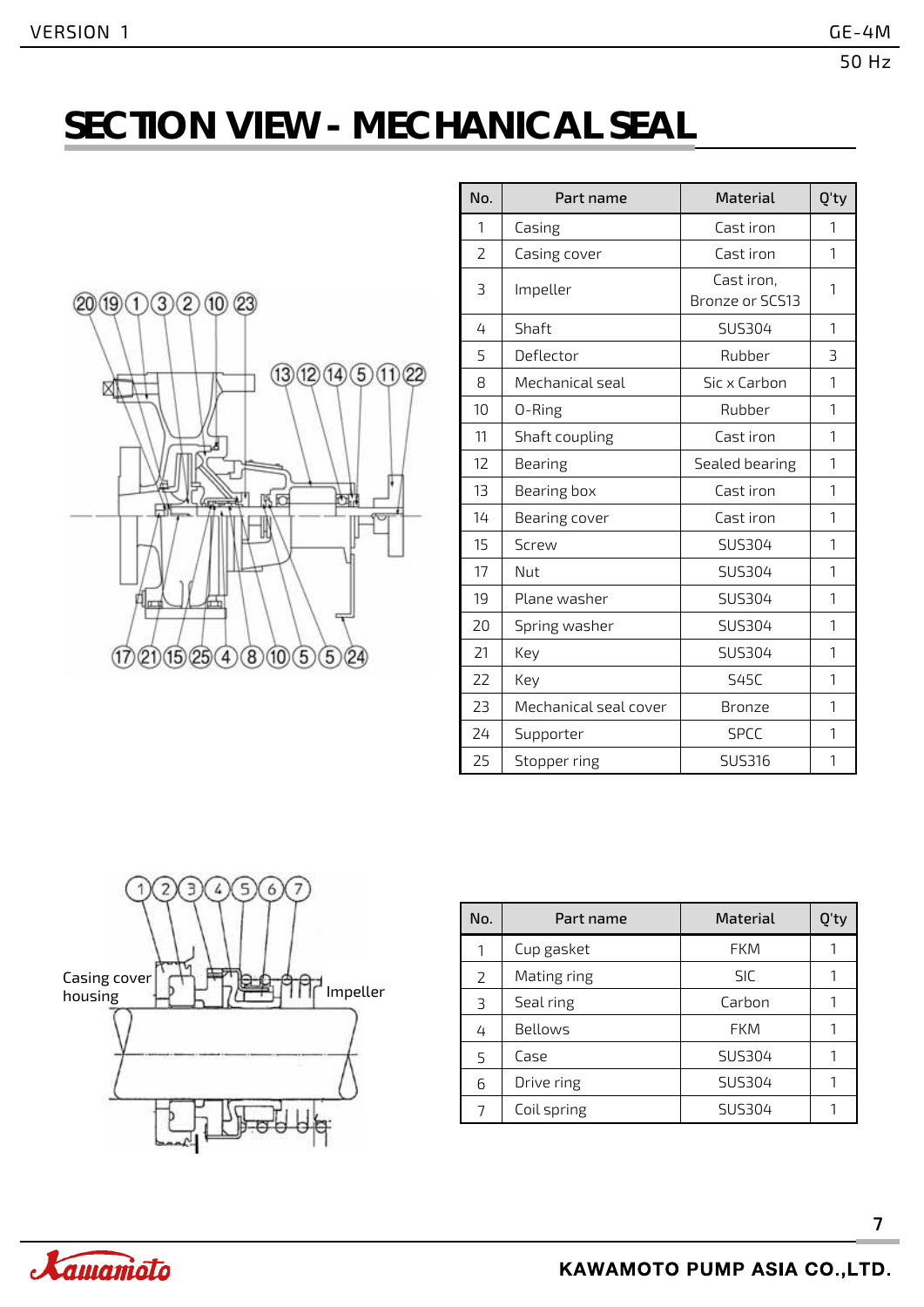# **SECTION VIEW - MECHANICAL SEAL**



| No.                      | Part name             | <b>Material</b>               | Q'ty                     |
|--------------------------|-----------------------|-------------------------------|--------------------------|
| 1                        | Casing                | Cast iron                     | 1                        |
| $\overline{\phantom{a}}$ | Casing cover          | Cast iron                     | $\mathbf{1}$             |
| 3                        | Impeller              | Cast iron,<br>Bronze or SCS13 | 1                        |
| 4                        | Shaft                 | SUS304                        | 1                        |
| 5                        | Deflector             | Rubber                        | $\overline{\mathcal{L}}$ |
| 8                        | Mechanical seal       | Sic x Carbon                  | $\mathbf{1}$             |
| 10                       | 0-Ring                | Rubber                        | 1                        |
| 11                       | Shaft coupling        | Cast iron                     | $\mathbf{1}$             |
| 12                       | Bearing               | Sealed bearing                | $\mathbf{1}$             |
| 13                       | Bearing box           | Cast iron                     | $\mathbf{1}$             |
| 14                       | Bearing cover         | Cast iron                     | 1                        |
| 15                       | <b>Screw</b>          | SUS304                        | 1                        |
| 17                       | Nut                   | SUS304                        | 1                        |
| 19                       | Plane washer          | <b>SUS304</b>                 | $\mathbf{1}$             |
| 20                       | Spring washer         | <b>SUS304</b>                 | $\mathbf{1}$             |
| 21                       | Key                   | SUS304                        | 1                        |
| 22                       | Key                   | <b>S45C</b>                   | $\mathbf{1}$             |
| 23                       | Mechanical seal cover | Bronze                        | 1                        |
| 24                       | Supporter             | <b>SPCC</b>                   | 1                        |
| 25                       | Stopper ring          | SUS316                        | 1                        |



| No. | Part name   | <b>Material</b> | O'ty |
|-----|-------------|-----------------|------|
| 1   | Cup gasket  | <b>FKM</b>      |      |
| 2   | Mating ring | <b>SIC</b>      | 1    |
| 3   | Seal ring   | Carbon          |      |
| 4   | Bellows     | <b>FKM</b>      | 1    |
| 5   | Case        | SUS304          |      |
| 6   | Drive ring  | SUS304          |      |
| 7   | Coil spring | SUS304          |      |

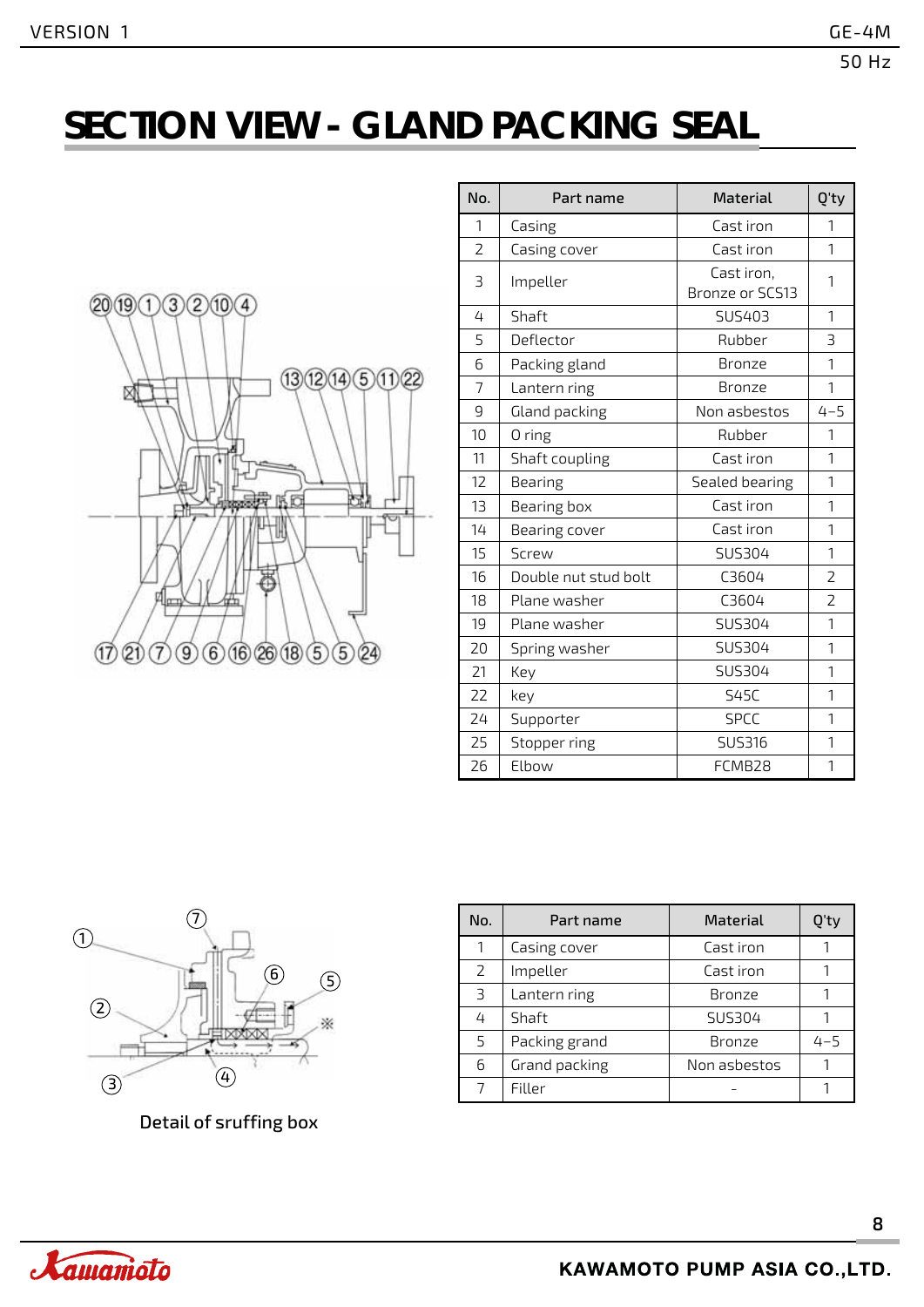# **SECTION VIEW - GLAND PACKING SEAL**



| No. | Part name            | <b>Material</b>               | Q'ty    |
|-----|----------------------|-------------------------------|---------|
| 1   | Casing               | Cast iron                     | 1       |
| 2   | Casing cover         | Cast iron                     | 1       |
| 3   | Impeller             | Cast iron,<br>Bronze or SCS13 | 1       |
| 4   | Shaft                | SUS403                        | 1       |
| 5   | Deflector            | Rubber                        | 3       |
| 6   | Packing gland        | Bronze                        | 1       |
| 7   | Lantern ring         | Bronze                        | 1       |
| 9   | Gland packing        | Non asbestos                  | $4 - 5$ |
| 10  | 0 ring               | Rubber                        | 1       |
| 11  | Shaft coupling       | Cast iron                     | 1       |
| 12  | Bearing              | Sealed bearing                | 1       |
| 13  | Bearing box          | Cast iron                     | 1       |
| 14  | Bearing cover        | Cast iron                     | 1       |
| 15  | <b>Screw</b>         | SUS304                        | 1       |
| 16  | Double nut stud bolt | C3604                         | 2       |
| 18  | Plane washer         | C3604                         | 2       |
| 19  | Plane washer         | SUS304                        | 1       |
| 20  | Spring washer        | SUS304                        | 1       |
| 21  | Key                  | SUS304                        | 1       |
| 22  | key                  | <b>S45C</b>                   | 1       |
| 24  | Supporter            | <b>SPCC</b>                   | 1       |
| 25  | Stopper ring         | <b>SUS316</b>                 | 1       |
| 26  | Elbow                | FCMB28                        | 1       |



Detail of sruffing box

| No. | Part name     | <b>Material</b> | )'ty    |
|-----|---------------|-----------------|---------|
| 1   | Casing cover  | Cast iron       |         |
| 2   | Impeller      | Cast iron       |         |
| 3   | Lantern ring  | Bronze          |         |
| 4   | Shaft         | <b>SUS304</b>   |         |
| 5   | Packing grand | <b>Bronze</b>   | $4 - 5$ |
| 6   | Grand packing | Non asbestos    |         |
|     | Filler        |                 |         |

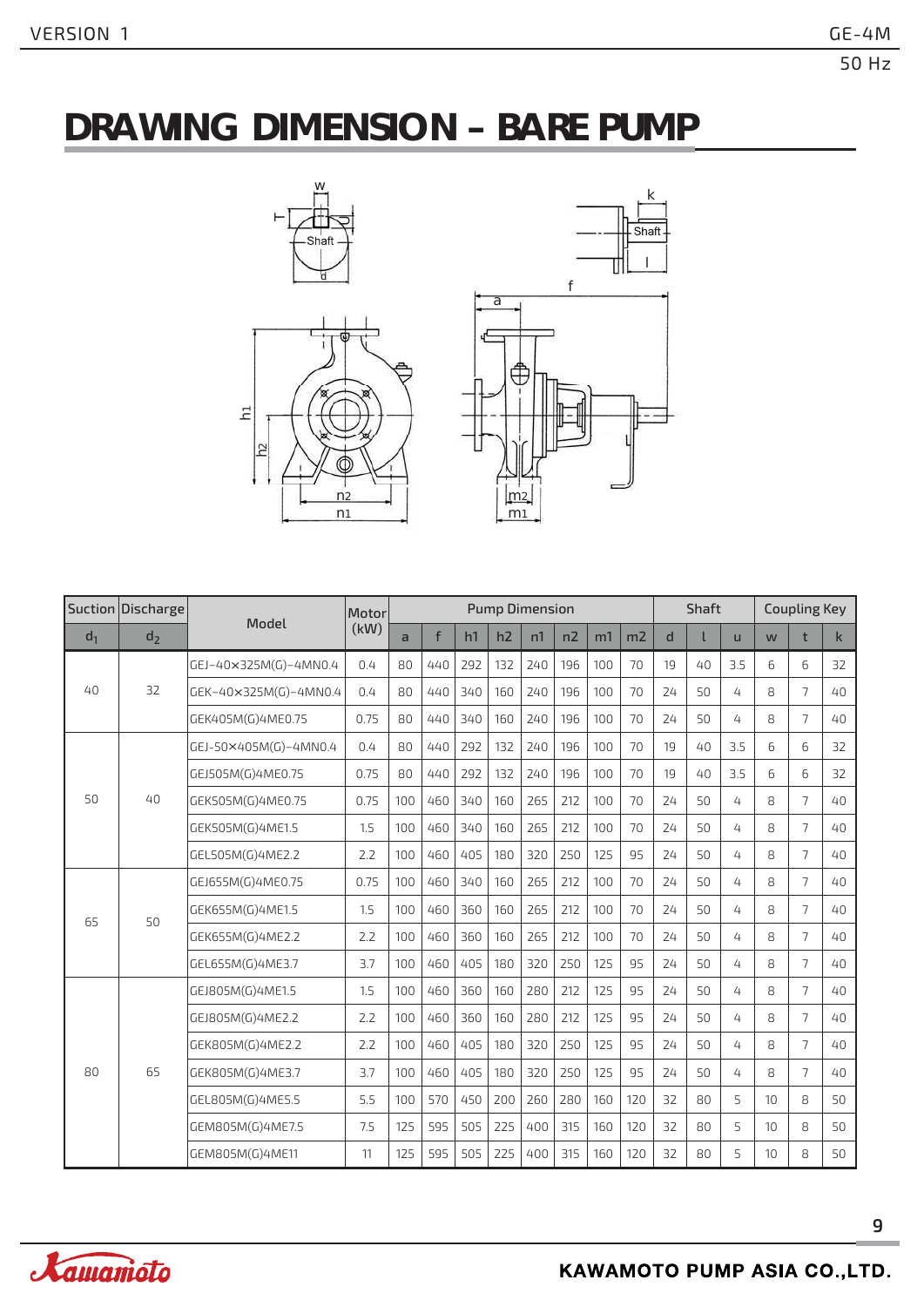### **DRAWING DIMENSION – BARE PUMP**





|          | Suction Discharge | Model                 | Motor          |     |     |     |     | <b>Pump Dimension</b> |     |                |     |    | Shaft        |     | <b>Coupling Key</b> |                |    |
|----------|-------------------|-----------------------|----------------|-----|-----|-----|-----|-----------------------|-----|----------------|-----|----|--------------|-----|---------------------|----------------|----|
| $d_1$    | d <sub>2</sub>    | (kW)                  | $\overline{a}$ | f   | h1  | h2  | n1  | n2                    | m1  | m <sub>2</sub> | d   |    | $\mathsf{u}$ | W   | t                   | $\mathsf{k}$   |    |
|          |                   | GEJ-40×325M(G)-4MN0.4 | 0.4            | 80  | 440 | 292 | 132 | 240                   | 196 | 100            | 70  | 19 | 40           | 3.5 | 6                   | 6              | 32 |
| $40^{1}$ | 32                | GEK-40×325M(G)-4MN0.4 | 0.4            | 80  | 440 | 340 | 160 | 240                   | 196 | 100            | 70  | 24 | 50           | 4   | 8                   | 7              | 40 |
|          |                   | GEK405M(G)4ME0.75     | 0.75           | 80  | 440 | 340 | 160 | 240                   | 196 | 100            | 70  | 24 | 50           | 4   | 8                   | $\overline{7}$ | 40 |
|          |                   | GEJ-50×405M(G)-4MN0.4 | 0.4            | 80  | 440 | 292 | 132 | 240                   | 196 | 100            | 70  | 19 | $40^{1}$     | 3.5 | 6                   | 6              | 32 |
|          |                   | GEJ505M(G)4ME0.75     | 0.75           | 80  | 440 | 292 | 132 | 240                   | 196 | 100            | 70  | 19 | $40^{1}$     | 3.5 | 6                   | 6              | 32 |
| 50       | $40^{1}$          | GEK505M(G)4ME0.75     | 0.75           | 100 | 460 | 340 | 160 | 265                   | 212 | 100            | 70  | 24 | 50           | 4   | 8                   | 7              | 40 |
|          |                   | GEK505M(G)4ME1.5      | 1.5            | 100 | 460 | 340 | 160 | 265                   | 212 | 100            | 70  | 24 | 50           | 4   | 8                   | 7              | 40 |
|          |                   | GEL505M(G)4ME2.2      | 2.2            | 100 | 460 | 405 | 180 | 320                   | 250 | 125            | 95  | 24 | 50           | 4   | 8                   | $\overline{7}$ | 40 |
|          | 50                | GEJ655M(G)4ME0.75     | 0.75           | 100 | 460 | 340 | 160 | 265                   | 212 | 100            | 70  | 24 | 50           | 4   | 8                   | 7              | 40 |
| 65       |                   | GEK655M(G)4ME1.5      | 1.5            | 100 | 460 | 360 | 160 | 265                   | 212 | 100            | 70  | 24 | 50           | 4   | 8                   | $\overline{7}$ | 40 |
|          |                   | GEK655M(G)4ME2.2      | 2.2            | 100 | 460 | 360 | 160 | 265                   | 212 | 100            | 70  | 24 | 50           | 4   | 8                   | 7              | 40 |
|          |                   | GEL655M(G)4ME3.7      | 3.7            | 100 | 460 | 405 | 180 | 320                   | 250 | 125            | 95  | 24 | 50           | 4   | 8                   | $\overline{7}$ | 40 |
|          |                   | GEJ805M(G)4ME1.5      | 1.5            | 100 | 460 | 360 | 160 | 280                   | 212 | 125            | 95  | 24 | 50           | 4   | 8                   | 7              | 40 |
|          |                   | GEJ805M(G)4ME2.2      | 2.2            | 100 | 460 | 360 | 160 | 280                   | 212 | 125            | 95  | 24 | 50           | 4   | 8                   | $\overline{7}$ | 40 |
|          |                   | GEK805M(G)4ME2.2      | 2.2            | 100 | 460 | 405 | 180 | 320                   | 250 | 125            | 95  | 24 | 50           | 4   | 8                   | $\overline{7}$ | 40 |
| 80       | 65                | GEK805M(G)4ME3.7      | 3.7            | 100 | 460 | 405 | 180 | 320                   | 250 | 125            | 95  | 24 | 50           | 4   | 8                   | $\overline{7}$ | 40 |
|          |                   | GEL805M(G)4ME5.5      | 5.5            | 100 | 570 | 450 | 200 | 260                   | 280 | 160            | 120 | 32 | 80           | 5   | 10                  | 8              | 50 |
|          |                   | GEM805M(G)4ME7.5      | 7.5            | 125 | 595 | 505 | 225 | 400                   | 315 | 160            | 120 | 32 | 80           | 5   | 10                  | 8              | 50 |
|          |                   | GEM805M(G)4ME11       | 11             | 125 | 595 | 505 | 225 | 400                   | 315 | 160            | 120 | 32 | 80           | 5   | 10                  | 8              | 50 |

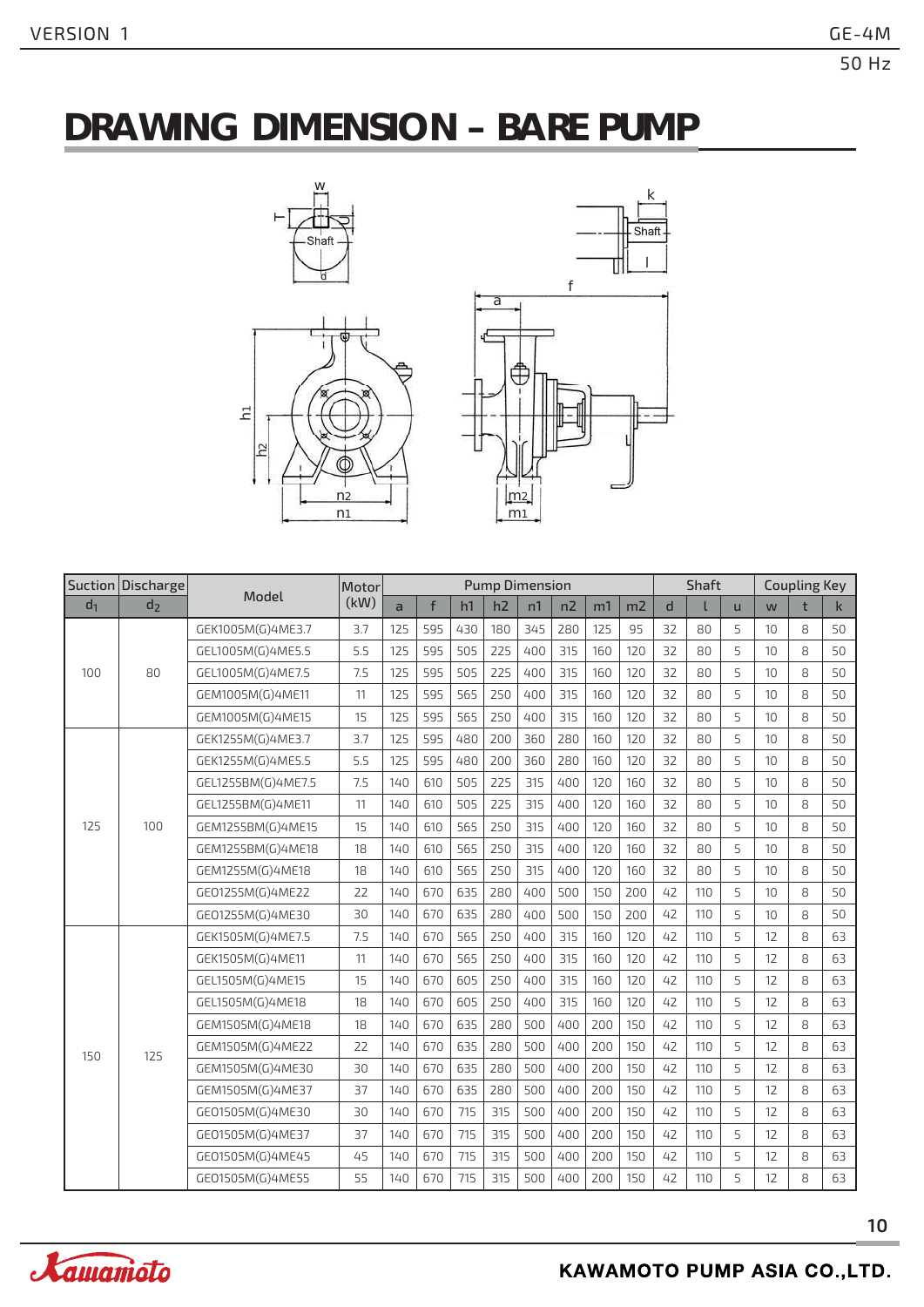### **DRAWING DIMENSION – BARE PUMP**



w



|       | Suction Discharge |                    | Motor |     |     |     |     | <b>Pump Dimension</b> |     |     |     |    | <b>Shaft</b> |   |                 | <b>Coupling Key</b> |              |
|-------|-------------------|--------------------|-------|-----|-----|-----|-----|-----------------------|-----|-----|-----|----|--------------|---|-----------------|---------------------|--------------|
| $d_1$ | d <sub>2</sub>    | Model              | (kW)  | a   | f   | h1  | h2  | n1                    | n2  | m1  | m2  | d  |              | ū | W               | t                   | $\mathsf{k}$ |
|       |                   | GEK1005M(G)4ME3.7  | 3.7   | 125 | 595 | 430 | 180 | 345                   | 280 | 125 | 95  | 32 | 80           | 5 | 10 <sup>1</sup> | 8                   | 50           |
|       |                   | GEL1005M(G)4ME5.5  | 5.5   | 125 | 595 | 505 | 225 | 400                   | 315 | 160 | 120 | 32 | 80           | 5 | 10              | 8                   | 50           |
| 100   | 80                | GEL1005M(G)4ME7.5  | 7.5   | 125 | 595 | 505 | 225 | 400                   | 315 | 160 | 120 | 32 | 80           | 5 | 10              | 8                   | 50           |
|       |                   | GEM1005M(G)4ME11   | 11    | 125 | 595 | 565 | 250 | 400                   | 315 | 160 | 120 | 32 | 80           | 5 | 10              | 8                   | 50           |
|       |                   | GEM1005M(G)4ME15   | 15    | 125 | 595 | 565 | 250 | 400                   | 315 | 160 | 120 | 32 | 80           | 5 | 10              | 8                   | 50           |
|       |                   | GEK1255M(G)4ME3.7  | 3.7   | 125 | 595 | 480 | 200 | 360                   | 280 | 160 | 120 | 32 | 80           | 5 | 10              | 8                   | 50           |
|       | 100               | GEK1255M(G)4ME5.5  | 5.5   | 125 | 595 | 480 | 200 | 360                   | 280 | 160 | 120 | 32 | 80           | 5 | 10              | 8                   | 50           |
|       |                   | GEL1255BM(G)4ME7.5 | 7.5   | 140 | 610 | 505 | 225 | 315                   | 400 | 120 | 160 | 32 | 80           | 5 | 10              | 8                   | 50           |
|       |                   | GEL1255BM(G)4ME11  | 11    | 140 | 610 | 505 | 225 | 315                   | 400 | 120 | 160 | 32 | 80           | 5 | 10              | 8                   | 50           |
| 125   |                   | GEM1255BM(G)4ME15  | 15    | 140 | 610 | 565 | 250 | 315                   | 400 | 120 | 160 | 32 | 80           | 5 | 10 <sup>°</sup> | 8                   | 50           |
|       |                   | GEM1255BM(G)4ME18  | 18    | 140 | 610 | 565 | 250 | 315                   | 400 | 120 | 160 | 32 | 80           | 5 | 10              | 8                   | 50           |
|       |                   | GEM1255M(G)4ME18   | 18    | 140 | 610 | 565 | 250 | 315                   | 400 | 120 | 160 | 32 | 80           | 5 | 10              | 8                   | 50           |
|       |                   | GE01255M(G)4ME22   | 22    | 140 | 670 | 635 | 280 | 400                   | 500 | 150 | 200 | 42 | 110          | 5 | 10              | 8                   | 50           |
|       |                   | GE01255M(G)4ME30   | 30    | 140 | 670 | 635 | 280 | 400                   | 500 | 150 | 200 | 42 | 110          | 5 | 10              | 8                   | 50           |
|       |                   | GEK1505M(G)4ME7.5  | 7.5   | 140 | 670 | 565 | 250 | 400                   | 315 | 160 | 120 | 42 | 110          | 5 | 12              | 8                   | 63           |
|       |                   | GEK1505M(G)4ME11   | 11    | 140 | 670 | 565 | 250 | 400                   | 315 | 160 | 120 | 42 | 110          | 5 | 12              | 8                   | 63           |
|       |                   | GEL1505M(G)4ME15   | 15    | 140 | 670 | 605 | 250 | 400                   | 315 | 160 | 120 | 42 | 110          | 5 | 12              | 8                   | 63           |
|       |                   | GEL1505M(G)4ME18   | 18    | 140 | 670 | 605 | 250 | 400                   | 315 | 160 | 120 | 42 | 110          | 5 | 12              | 8                   | 63           |
|       |                   | GEM1505M(G)4ME18   | 18    | 140 | 670 | 635 | 280 | 500                   | 400 | 200 | 150 | 42 | 110          | 5 | 12              | 8                   | 63           |
| 150   | 125               | GEM1505M(G)4ME22   | 22    | 140 | 670 | 635 | 280 | 500                   | 400 | 200 | 150 | 42 | 110          | 5 | 12              | 8                   | 63           |
|       |                   | GEM1505M(G)4ME30   | 30    | 140 | 670 | 635 | 280 | 500                   | 400 | 200 | 150 | 42 | 110          | 5 | 12              | 8                   | 63           |
|       |                   | GEM1505M(G)4ME37   | 37    | 140 | 670 | 635 | 280 | 500                   | 400 | 200 | 150 | 42 | 110          | 5 | 12              | 8                   | 63           |
|       |                   | GE01505M(G)4ME30   | 30    | 140 | 670 | 715 | 315 | 500                   | 400 | 200 | 150 | 42 | 110          | 5 | 12              | 8                   | 63           |
|       |                   | GE01505M(G)4ME37   | 37    | 140 | 670 | 715 | 315 | 500                   | 400 | 200 | 150 | 42 | 110          | 5 | 12              | 8                   | 63           |
|       |                   | GE01505M(G)4ME45   | 45    | 140 | 670 | 715 | 315 | 500                   | 400 | 200 | 150 | 42 | 110          | 5 | 12              | 8                   | 63           |
|       |                   | GE01505M(G)4ME55   | 55    | 140 | 670 | 715 | 315 | 500                   | 400 | 200 | 150 | 42 | 110          | 5 | 12              | 8                   | 63           |

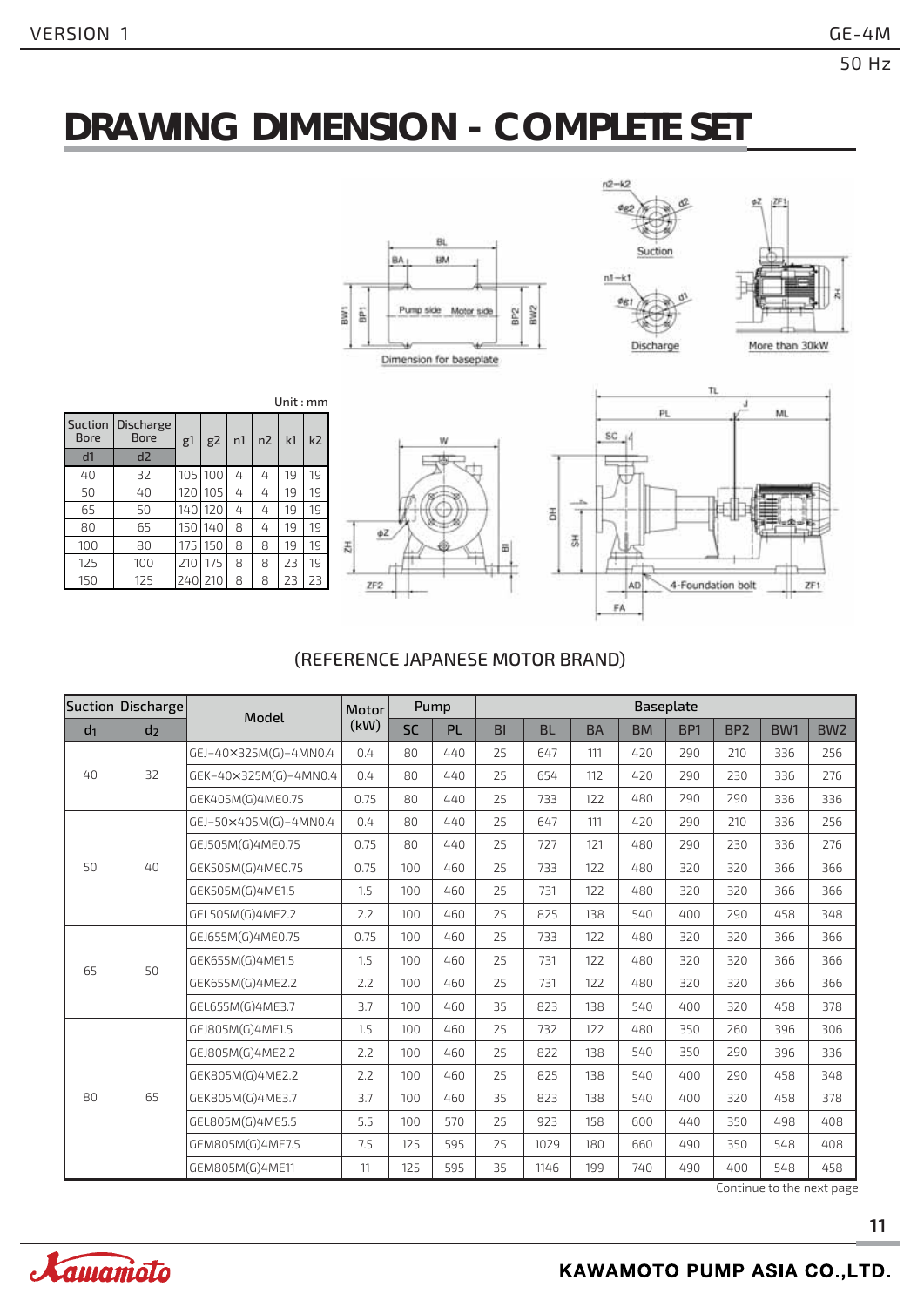# **DRAWING DIMENSION - COMPLETE SET**





| Suction<br><b>Bore</b> | <b>Discharge</b><br><b>Bore</b> | g1  | g2  | n1 | n <sub>2</sub> | k <sub>1</sub> | k <sub>2</sub> |
|------------------------|---------------------------------|-----|-----|----|----------------|----------------|----------------|
| d1                     | d2                              |     |     |    |                |                |                |
| 40                     | 32                              | 105 | 100 | 4  | 4              | 19             | 19             |
| 50                     | 40                              | 120 | 105 | 4  | 4              | 19             | 19             |
| 65                     | 50                              | 140 | 120 | 4  | 4              | 19             | 19             |
| 80                     | 65                              | 150 | 140 | 8  | 4              | 19             | 19             |
| 100                    | 80                              | 175 | 150 | 8  | 8              | 19             | 19             |
| 125                    | 100                             | 210 | 175 | 8  | 8              | 23             | 19             |
| 150                    | 125                             | 240 | 210 | 8  | 8              | 23             | 23             |





#### (REFERENCE JAPANESE MOTOR BRAND)

|                | Suction Discharge | Model                 | Motor |           | Pump      |           | Baseplate |           |           |                 |                 |     |                                     |
|----------------|-------------------|-----------------------|-------|-----------|-----------|-----------|-----------|-----------|-----------|-----------------|-----------------|-----|-------------------------------------|
| d <sub>1</sub> | d <sub>2</sub>    |                       | (kW)  | <b>SC</b> | <b>PL</b> | <b>BI</b> | <b>BL</b> | <b>BA</b> | <b>BM</b> | BP <sub>1</sub> | BP <sub>2</sub> | BW1 | BW <sub>2</sub>                     |
|                |                   | GEJ-40×325M(G)-4MN0.4 | 0.4   | 80        | 440       | 25        | 647       | 111       | 420       | 290             | 210             | 336 | 256                                 |
| 40             | 32                | GEK-40×325M(G)-4MN0.4 | 0.4   | 80        | 440       | 25        | 654       | 112       | 420       | 290             | 230             | 336 | 276                                 |
|                |                   | GEK405M(G)4ME0.75     | 0.75  | 80        | 440       | 25        | 733       | 122       | 480       | 290             | 290             | 336 | 336                                 |
|                |                   | GEJ-50×405M(G)-4MN0.4 | 0.4   | 80        | 440       | 25        | 647       | 111       | 420       | 290             | 210             | 336 | 256                                 |
|                |                   | GEJ505M(G)4ME0.75     | 0.75  | 80        | 440       | 25        | 727       | 121       | 480       | 290             | 230             | 336 | 276                                 |
| 50             | 40                | GEK505M(G)4ME0.75     | 0.75  | 100       | 460       | 25        | 733       | 122       | 480       | 320             | 320             | 366 | 366                                 |
|                |                   | GEK505M(G)4ME1.5      | 1.5   | 100       | 460       | 25        | 731       | 122       | 480       | 320             | 320             | 366 | 366                                 |
|                |                   | GEL505M(G)4ME2.2      | 2.2   | 100       | 460       | 25        | 825       | 138       | 540       | 400             | 290             | 458 | 348                                 |
|                | 50                | GEJ655M(G)4ME0.75     | 0.75  | 100       | 460       | 25        | 733       | 122       | 480       | 320             | 320             | 366 | 366                                 |
| 65             |                   | GEK655M(G)4ME1.5      | 1.5   | 100       | 460       | 25        | 731       | 122       | 480       | 320             | 320             | 366 | 366                                 |
|                |                   | GEK655M(G)4ME2.2      | 2.2   | 100       | 460       | 25        | 731       | 122       | 480       | 320             | 320             | 366 | 366                                 |
|                |                   | GEL655M(G)4ME3.7      | 3.7   | 100       | 460       | 35        | 823       | 138       | 540       | 400             | 320             | 458 | 378                                 |
|                |                   | GEJ805M(G)4ME1.5      | 1.5   | 100       | 460       | 25        | 732       | 122       | 480       | 350             | 260             | 396 | 306                                 |
|                |                   | GEJ805M(G)4ME2.2      | 2.2   | 100       | 460       | 25        | 822       | 138       | 540       | 350             | 290             | 396 | 336                                 |
|                |                   | GEK805M(G)4ME2.2      | 2.2   | 100       | 460       | 25        | 825       | 138       | 540       | 400             | 290             | 458 | 348                                 |
| 80             | 65                | GEK805M(G)4ME3.7      | 3.7   | 100       | 460       | 35        | 823       | 138       | 540       | 400             | 320             | 458 | 378                                 |
|                |                   | GEL805M(G)4ME5.5      | 5.5   | 100       | 570       | 25        | 923       | 158       | 600       | 440             | 350             | 498 | 408                                 |
|                |                   | GEM805M(G)4ME7.5      | 7.5   | 125       | 595       | 25        | 1029      | 180       | 660       | 490             | 350             | 548 | 408                                 |
|                |                   | GEM805M(G)4ME11       | 11    | 125       | 595       | 35        | 1146      | 199       | 740       | 490             | 400             | 548 | 458<br>$C$ ontinuo to the novt nore |

Continue to the next page

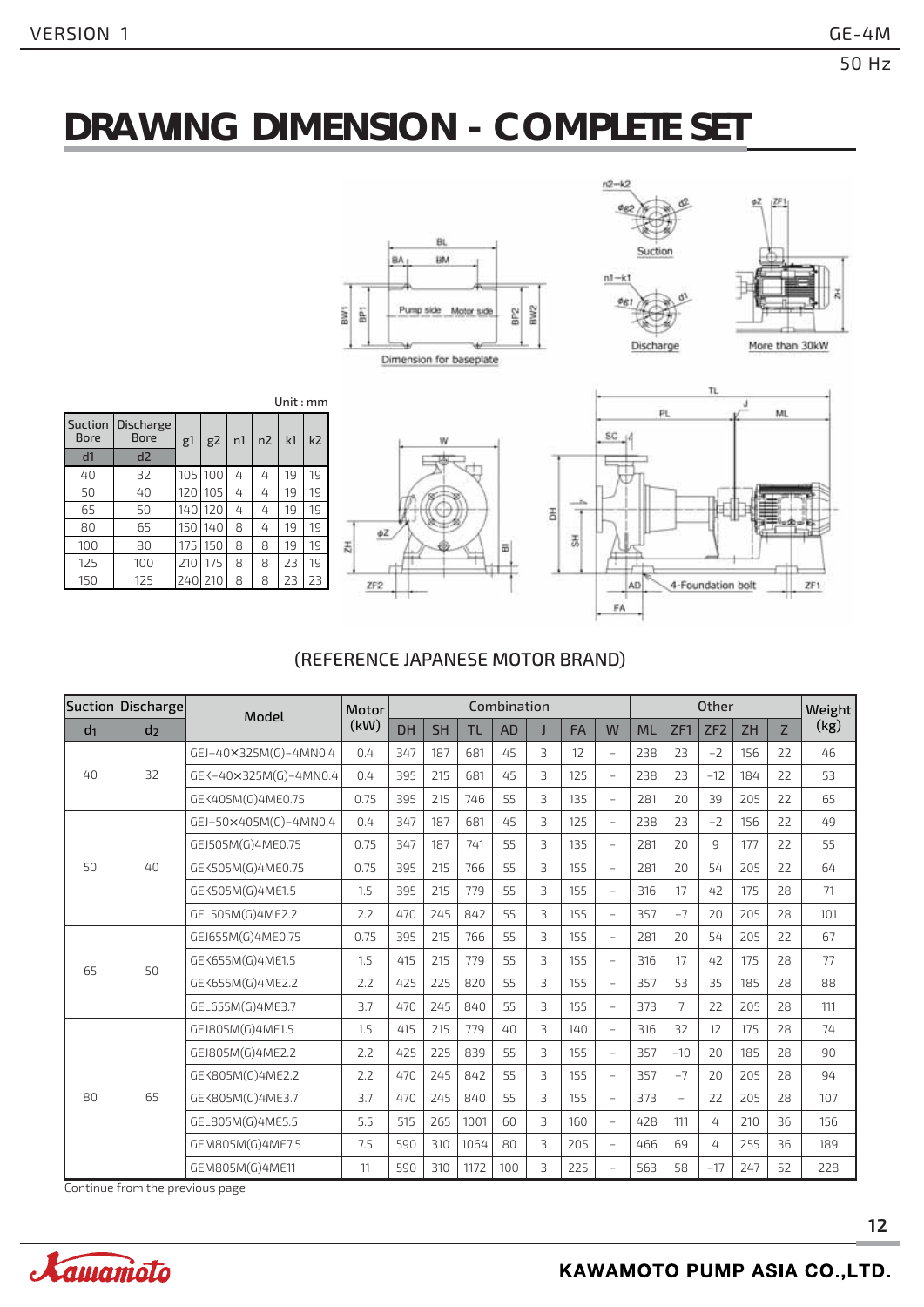# **DRAWING DIMENSION - COMPLETE SET**







| Suction<br><b>Bore</b> | <b>Discharge</b><br><b>Bore</b> | g1   | g2  | n1 | n <sub>2</sub> | k1 | k <sub>2</sub> |
|------------------------|---------------------------------|------|-----|----|----------------|----|----------------|
| d <sub>1</sub>         | d2                              |      |     |    |                |    |                |
| 40                     | 32                              | 105  | 100 | 4  | 4              | 19 | 19             |
| 50                     | 40                              | 120  | 105 | 4  | 4              | 19 | 19             |
| 65                     | 50                              | 140  | 120 | 4  | 4              | 19 | 19             |
| 80                     | 65                              | 150  | 140 | 8  | 4              | 19 | 19             |
| 100                    | 80                              | 175  | 150 | 8  | 8              | 19 | 19             |
| 125                    | 100                             | 210  | 175 | 8  | 8              | 23 | 19             |
| 150                    | 125                             | 2401 | 210 | 8  | 8              | 23 | 23             |





#### (REFERENCE JAPANESE MOTOR BRAND)

|                | Suction Discharge | Model                 | Motor |           |           |           | Combination |                |           |                          | <b>Other</b> |                |                 |           |                | Weight |
|----------------|-------------------|-----------------------|-------|-----------|-----------|-----------|-------------|----------------|-----------|--------------------------|--------------|----------------|-----------------|-----------|----------------|--------|
| d <sub>1</sub> | d <sub>2</sub>    |                       | (kW)  | <b>DH</b> | <b>SH</b> | <b>TL</b> | <b>AD</b>   | J              | <b>FA</b> | W                        | <b>ML</b>    | ZF1            | ZF <sub>2</sub> | <b>ZH</b> | $\overline{z}$ | (kg)   |
|                |                   | GEJ-40×325M(G)-4MN0.4 | 0.4   | 347       | 187       | 681       | 45          | 3              | 12        |                          | 238          | 23             | $-2$            | 156       | 22             | 46     |
| $40^{1}$       | 32                | GEK-40×325M(G)-4MN0.4 | 0.4   | 395       | 215       | 681       | 45          | 3              | 125       | $\qquad \qquad -$        | 238          | 23             | $-12$           | 184       | 22             | 53     |
|                |                   | GEK405M(G)4ME0.75     | 0.75  | 395       | 215       | 746       | 55          | 3              | 135       | $\overline{\phantom{m}}$ | 281          | 20             | 39              | 205       | 22             | 65     |
|                |                   | GEJ-50×405M(G)-4MN0.4 | 0.4   | 347       | 187       | 681       | 45          | $\overline{3}$ | 125       | $\overline{\phantom{0}}$ | 238          | 23             | $-2$            | 156       | 22             | 49     |
|                |                   | GEJ505M(G)4ME0.75     | 0.75  | 347       | 187       | 741       | 55          | $\overline{3}$ | 135       | $\overline{\phantom{a}}$ | 281          | 20             | 9               | 177       | 22             | 55     |
| 50             | 40                | GEK505M(G)4ME0.75     | 0.75  | 395       | 215       | 766       | 55          | $\overline{3}$ | 155       | $\equiv$                 | 281          | 20             | 54              | 205       | 22             | 64     |
|                |                   | GEK505M(G)4ME1.5      | 1.5   | 395       | 215       | 779       | 55          | 3              | 155       | $\overline{\phantom{m}}$ | 316          | 17             | 42              | 175       | 28             | 71     |
|                |                   | GEL505M(G)4ME2.2      | 2.2   | 470       | 245       | 842       | 55          | $\overline{3}$ | 155       | $\equiv$                 | 357          | $-7$           | 20              | 205       | 28             | 101    |
|                | 50                | GEJ655M(G)4ME0.75     | 0.75  | 395       | 215       | 766       | 55          | 3              | 155       | $\overline{\phantom{m}}$ | 281          | 20             | 54              | 205       | 22             | 67     |
| 65             |                   | GEK655M(G)4ME1.5      | 1.5   | 415       | 215       | 779       | 55          | 3              | 155       | $\overline{\phantom{m}}$ | 316          | 17             | 42              | 175       | 28             | 77     |
|                |                   | GEK655M(G)4ME2.2      | 2.2   | 425       | 225       | 820       | 55          | $\overline{3}$ | 155       | $\overline{\phantom{a}}$ | 357          | 53             | 35              | 185       | 28             | 88     |
|                |                   | GEL655M(G)4ME3.7      | 3.7   | 470       | 245       | 840       | 55          | $\overline{3}$ | 155       | $\equiv$                 | 373          | $\overline{7}$ | 22              | 205       | 28             | 111    |
|                |                   | GEJ805M(G)4ME1.5      | 1.5   | 415       | 215       | 779       | 40          | 3              | 140       | $\overline{\phantom{m}}$ | 316          | 32             | 12              | 175       | 28             | 74     |
|                |                   | GEJ805M(G)4ME2.2      | 2.2   | 425       | 225       | 839       | 55          | 3              | 155       | $\overline{\phantom{m}}$ | 357          | $-10$          | 20              | 185       | 28             | 90     |
|                |                   | GEK805M(G)4ME2.2      | 2.2   | 470       | 245       | 842       | 55          | 3              | 155       | $\overline{\phantom{m}}$ | 357          | $-7$           | 20              | 205       | 28             | 94     |
| 80             | 65                | GEK805M(G)4ME3.7      | 3.7   | 470       | 245       | 840       | 55          | 3              | 155       | $\overline{\phantom{m}}$ | 373          | $\equiv$       | 22              | 205       | 28             | 107    |
|                |                   | GEL805M(G)4ME5.5      | 5.5   | 515       | 265       | 1001      | 60          | 3              | 160       | $\equiv$                 | 428          | 111            | 4               | 210       | 36             | 156    |
|                |                   | GEM805M(G)4ME7.5      | 7.5   | 590       | 310       | 1064      | 80          | 3              | 205       | $\overline{\phantom{m}}$ | 466          | 69             | 4               | 255       | 36             | 189    |
|                |                   | GEM805M(G)4ME11       | 11    | 590       | 310       | 1172      | 100         | 3              | 225       | $\overline{\phantom{a}}$ | 563          | 58             | $-17$           | 247       | 52             | 228    |

Continue from the previous page

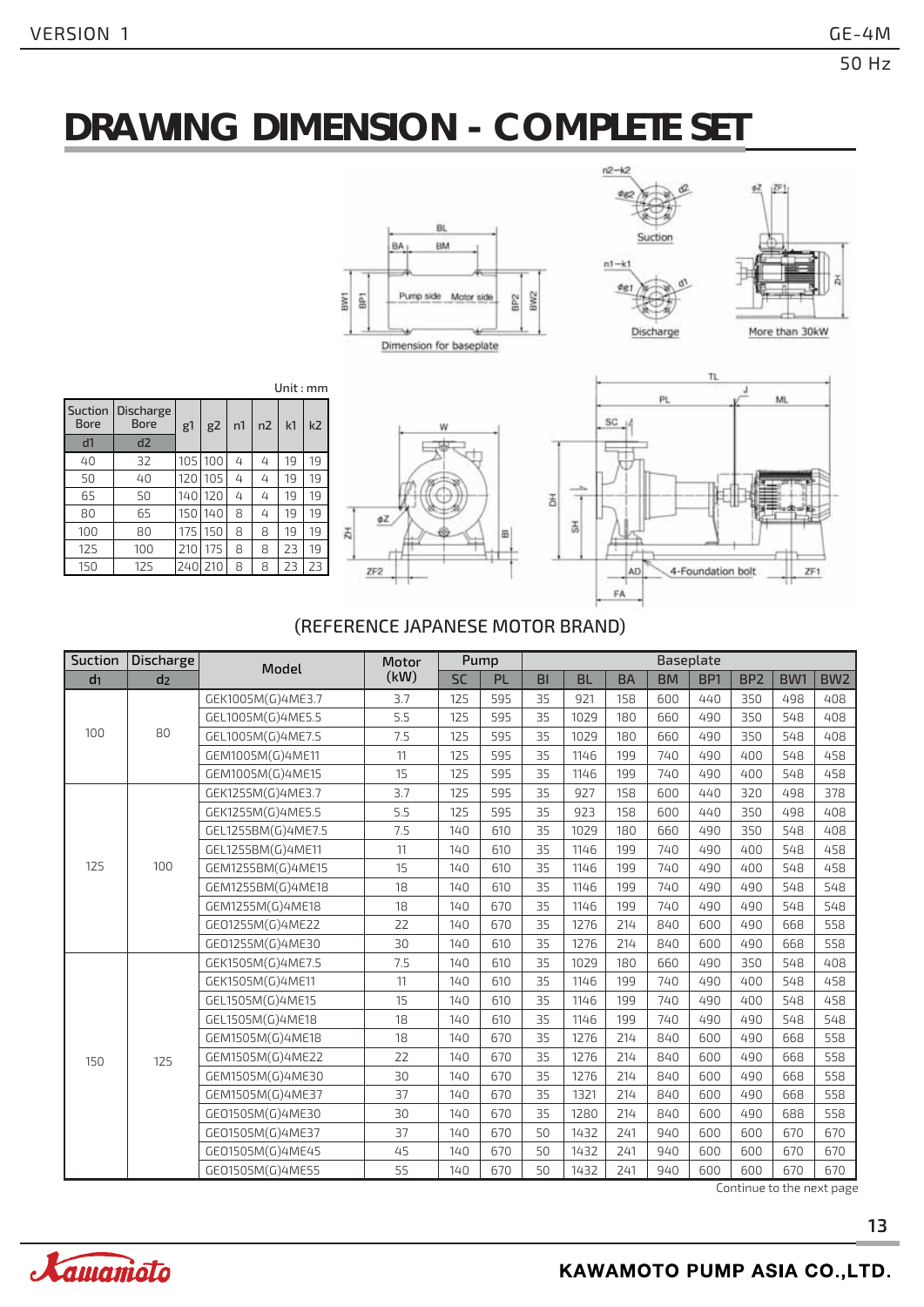# **DRAWING DIMENSION - COMPLETE SET**





| Unit : $mm$ |  |
|-------------|--|
|-------------|--|

| Suction<br><b>Bore</b> | Discharge<br><b>Bore</b> | g1  | g2  | n1 | n <sub>2</sub> | k <sub>1</sub> | k <sub>2</sub> |  |
|------------------------|--------------------------|-----|-----|----|----------------|----------------|----------------|--|
| d1                     | d2                       |     |     |    |                |                |                |  |
| 40                     | 32                       | 105 | 100 | 4  | 4              | 19             | 19             |  |
| 50                     | 40                       | 120 | 105 | 4  | 4              | 19             | 19             |  |
| 65                     | 50                       | 140 | 120 | 4  | 4              | 19             | 19             |  |
| 80                     | 65                       | 150 | 140 | 8  | 4              | 19             | 19             |  |
| 100                    | 80                       | 175 | 150 | 8  | 8              | 19             | 19             |  |
| 125                    | 100                      | 210 | 175 | 8  | 8              | 23             | 19             |  |
| 150                    | 125                      | 240 | 210 | 8  | 8              | 23             | 23             |  |





#### (REFERENCE JAPANESE MOTOR BRAND)

| Suction        | Discharge      | Model              | Motor |           | Pump      |           |           |           |           | Baseplate       |                 |                 |                 |
|----------------|----------------|--------------------|-------|-----------|-----------|-----------|-----------|-----------|-----------|-----------------|-----------------|-----------------|-----------------|
| d <sub>1</sub> | d <sub>2</sub> |                    | (kW)  | <b>SC</b> | <b>PL</b> | <b>BI</b> | <b>BL</b> | <b>BA</b> | <b>BM</b> | BP <sub>1</sub> | BP <sub>2</sub> | BW <sub>1</sub> | BW <sub>2</sub> |
|                |                | GEK1005M(G)4ME3.7  | 3.7   | 125       | 595       | 35        | 921       | 158       | 600       | 440             | 350             | 498             | 408             |
|                |                | GEL1005M(G)4ME5.5  | 5.5   | 125       | 595       | 35        | 1029      | 180       | 660       | 490             | 350             | 548             | 408             |
| 100            | 80             | GEL1005M(G)4ME7.5  | 7.5   | 125       | 595       | 35        | 1029      | 180       | 660       | 490             | 350             | 548             | 408             |
|                |                | GEM1005M(G)4ME11   | 11    | 125       | 595       | 35        | 1146      | 199       | 740       | 490             | 400             | 548             | 458             |
|                |                | GEM1005M(G)4ME15   | 15    | 125       | 595       | 35        | 1146      | 199       | 740       | 490             | 400             | 548             | 458             |
|                |                | GEK1255M(G)4ME3.7  | 3.7   | 125       | 595       | 35        | 927       | 158       | 600       | 440             | 320             | 498             | 378             |
|                |                | GEK1255M(G)4ME5.5  | 5.5   | 125       | 595       | 35        | 923       | 158       | 600       | 440             | 350             | 498             | 408             |
|                |                | GEL1255BM(G)4ME7.5 | 7.5   | 140       | 610       | 35        | 1029      | 180       | 660       | 490             | 350             | 548             | 408             |
|                |                | GEL1255BM(G)4ME11  | 11    | 140       | 610       | 35        | 1146      | 199       | 740       | 490             | 400             | 548             | 458             |
| 125            | 100            | GEM1255BM(G)4ME15  | 15    | 140       | 610       | 35        | 1146      | 199       | 740       | 490             | 400             | 548             | 458             |
|                |                | GEM1255BM(G)4ME18  | 18    | 140       | 610       | 35        | 1146      | 199       | 740       | 490             | 490             | 548             | 548             |
|                |                | GEM1255M(G)4ME18   | 18    | 140       | 670       | 35        | 1146      | 199       | 740       | 490             | 490             | 548             | 548             |
|                |                | GE01255M(G)4ME22   | 22    | 140       | 670       | 35        | 1276      | 214       | 840       | 600             | 490             | 668             | 558             |
|                |                | GE01255M(G)4ME30   | 30    | 140       | 610       | 35        | 1276      | 214       | 840       | 600             | 490             | 668             | 558             |
|                |                | GEK1505M(G)4ME7.5  | 7.5   | 140       | 610       | 35        | 1029      | 180       | 660       | 490             | 350             | 548             | 408             |
|                |                | GEK1505M(G)4ME11   | 11    | 140       | 610       | 35        | 1146      | 199       | 740       | 490             | 400             | 548             | 458             |
|                |                | GEL1505M(G)4ME15   | 15    | 140       | 610       | 35        | 1146      | 199       | 740       | 490             | 400             | 548             | 458             |
|                |                | GEL1505M(G)4ME18   | 18    | 140       | 610       | 35        | 1146      | 199       | 740       | 490             | 490             | 548             | 548             |
|                |                | GEM1505M(G)4ME18   | 18    | 140       | 670       | 35        | 1276      | 214       | 840       | 600             | 490             | 668             | 558             |
| 150            | 125            | GEM1505M(G)4ME22   | 22    | 140       | 670       | 35        | 1276      | 214       | 840       | 600             | 490             | 668             | 558             |
|                |                | GEM1505M(G)4ME30   | 30    | 140       | 670       | 35        | 1276      | 214       | 840       | 600             | 490             | 668             | 558             |
|                |                | GEM1505M(G)4ME37   | 37    | 140       | 670       | 35        | 1321      | 214       | 840       | 600             | 490             | 668             | 558             |
|                |                | GE01505M(G)4ME30   | 30    | 140       | 670       | 35        | 1280      | 214       | 840       | 600             | 490             | 688             | 558             |
|                |                | GE01505M(G)4ME37   | 37    | 140       | 670       | 50        | 1432      | 241       | 940       | 600             | 600             | 670             | 670             |
|                |                | GE01505M(G)4ME45   | 45    | 140       | 670       | 50        | 1432      | 241       | 940       | 600             | 600             | 670             | 670             |
|                |                | GE01505M(G)4ME55   | 55    | 140       | 670       | 50        | 1432      | 241       | 940       | 600             | 600             | 670             | 670             |

Continue to the next page

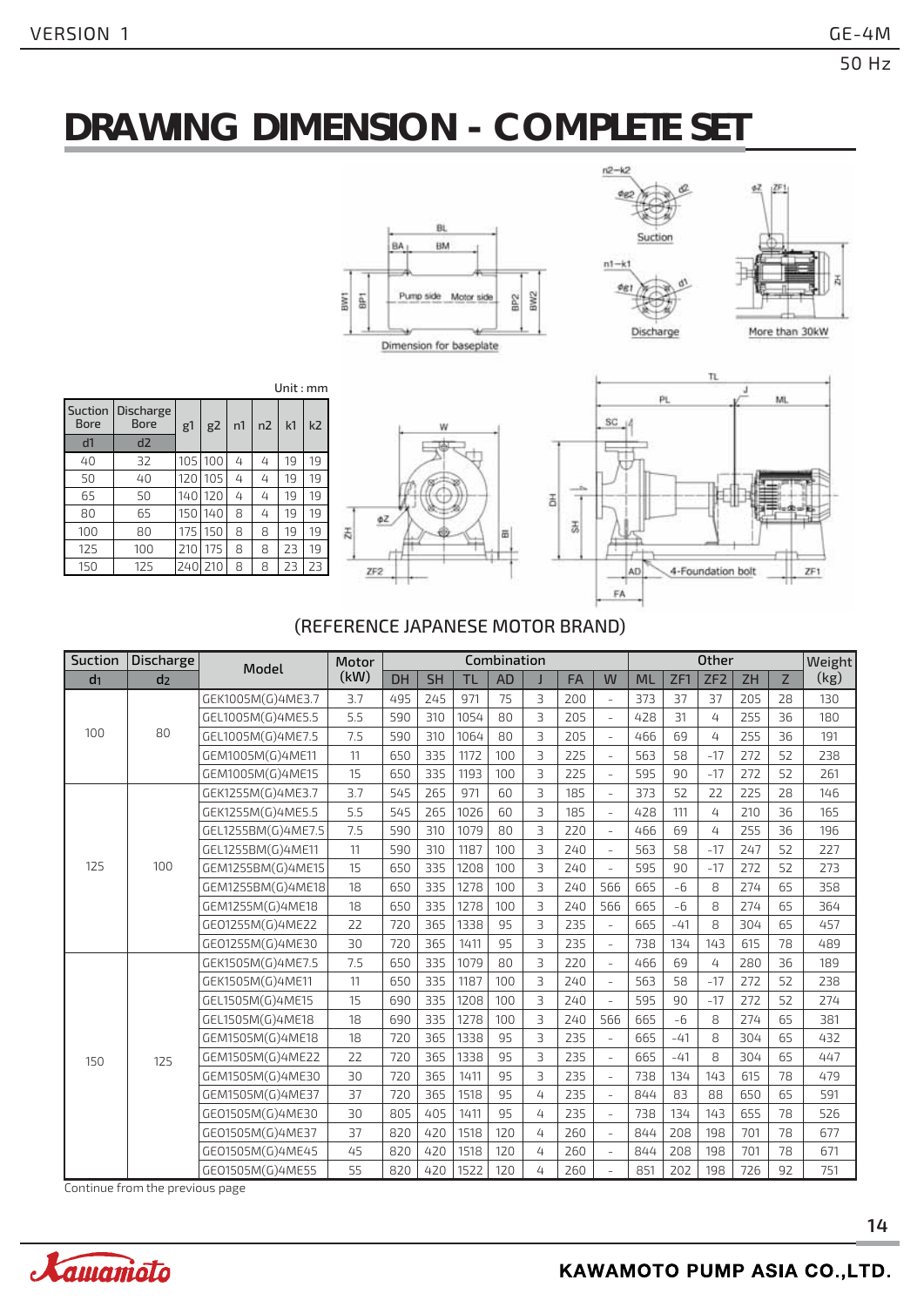# **DRAWING DIMENSION - COMPLETE SET**





| Suction<br>Bore | <b>Discharge</b><br><b>Bore</b> | g1  | g2  | n1 | n2 | k1 | k <sub>2</sub> |  |
|-----------------|---------------------------------|-----|-----|----|----|----|----------------|--|
| d1              | d2                              |     |     |    |    |    |                |  |
| 40              | 32                              | 105 | 100 | 4  | 4  | 19 | 19             |  |
| 50              | 40                              | 120 | 105 | 4  | 4  | 19 | 19             |  |
| 65              | 50                              | 140 | 120 | 4  | 4  | 19 | 19             |  |
| 80              | 65                              | 150 | 140 | 8  | 4  | 19 | 19             |  |
| 100             | 80                              | 175 | 150 | 8  | 8  | 19 | 19             |  |
| 125             | 100                             | 210 | 175 | 8  | 8  | 23 | 19             |  |
| 150             | 125                             | 240 | 210 | 8  | 8  | 23 | 23             |  |





#### (REFERENCE JAPANESE MOTOR BRAND)

| Suction        | Discharge      | Model              | Motor | <b>Other</b><br>Combination |           |           |           |   |           |                          |           |       | Weight          |           |    |      |
|----------------|----------------|--------------------|-------|-----------------------------|-----------|-----------|-----------|---|-----------|--------------------------|-----------|-------|-----------------|-----------|----|------|
| d <sub>1</sub> | d <sub>2</sub> |                    | (kW)  | <b>DH</b>                   | <b>SH</b> | <b>TL</b> | <b>AD</b> |   | <b>FA</b> | W                        | <b>ML</b> | ZF1   | ZF <sub>2</sub> | <b>ZH</b> | Z  | (kg) |
|                |                | GEK1005M(G)4ME3.7  | 3.7   | 495                         | 245       | 971       | 75        | 3 | 200       | $\bar{ }$                | 373       | 37    | 37              | 205       | 28 | 130  |
|                |                | GEL1005M(G)4ME5.5  | 5.5   | 590                         | 310       | 1054      | 80        | 3 | 205       | $\equiv$                 | 428       | 31    | 4               | 255       | 36 | 180  |
| 100            | 80             | GEL1005M(G)4ME7.5  | 7.5   | 590                         | 310       | 1064      | 80        | 3 | 205       | $\bar{a}$                | 466       | 69    | 4               | 255       | 36 | 191  |
|                |                | GEM1005M(G)4ME11   | 11    | 650                         | 335       | 1172      | 100       | 3 | 225       | $\overline{\phantom{a}}$ | 563       | 58    | $-17$           | 272       | 52 | 238  |
|                |                | GEM1005M(G)4ME15   | 15    | 650                         | 335       | 1193      | 100       | 3 | 225       | $\bar{ }$                | 595       | 90    | $-17$           | 272       | 52 | 261  |
|                |                | GEK1255M(G)4ME3.7  | 3.7   | 545                         | 265       | 971       | 60        | 3 | 185       | $\bar{ }$                | 373       | 52    | 22              | 225       | 28 | 146  |
|                |                | GEK1255M(G)4ME5.5  | 5.5   | 545                         | 265       | 1026      | 60        | 3 | 185       | $\sim$                   | 428       | 111   | 4               | 210       | 36 | 165  |
|                |                | GEL1255BM(G)4ME7.5 | 7.5   | 590                         | 310       | 1079      | 80        | 3 | 220       | $\equiv$                 | 466       | 69    | 4               | 255       | 36 | 196  |
|                |                | GEL1255BM(G)4ME11  | 11    | 590                         | 310       | 1187      | 100       | 3 | 240       | $\bar{a}$                | 563       | 58    | $-17$           | 247       | 52 | 227  |
| 125            | 100            | GEM1255BM(G)4ME15  | 15    | 650                         | 335       | 1208      | 100       | 3 | 240       |                          | 595       | 90    | $-17$           | 272       | 52 | 273  |
|                |                | GEM1255BM(G)4ME18  | 18    | 650                         | 335       | 1278      | 100       | 3 | 240       | 566                      | 665       | $-6$  | 8               | 274       | 65 | 358  |
|                |                | GEM1255M(G)4ME18   | 18    | 650                         | 335       | 1278      | 100       | 3 | 240       | 566                      | 665       | $-6$  | 8               | 274       | 65 | 364  |
|                |                | GE01255M(G)4ME22   | 22    | 720                         | 365       | 1338      | 95        | 3 | 235       | $\equiv$                 | 665       | $-41$ | 8               | 304       | 65 | 457  |
|                |                | GE01255M(G)4ME30   | 30    | 720                         | 365       | 1411      | 95        | 3 | 235       | $\equiv$                 | 738       | 134   | 143             | 615       | 78 | 489  |
|                |                | GEK1505M(G)4ME7.5  | 7.5   | 650                         | 335       | 1079      | 80        | 3 | 220       | $\bar{ }$                | 466       | 69    | 4               | 280       | 36 | 189  |
|                |                | GEK1505M(G)4ME11   | 11    | 650                         | 335       | 1187      | 100       | 3 | 240       | $\bar{ }$                | 563       | 58    | $-17$           | 272       | 52 | 238  |
|                |                | GEL1505M(G)4ME15   | 15    | 690                         | 335       | 1208      | 100       | 3 | 240       |                          | 595       | 90    | $-17$           | 272       | 52 | 274  |
|                |                | GEL1505M(G)4ME18   | 18    | 690                         | 335       | 1278      | 100       | 3 | 240       | 566                      | 665       | $-6$  | 8               | 274       | 65 | 381  |
|                |                | GEM1505M(G)4ME18   | 18    | 720                         | 365       | 1338      | 95        | 3 | 235       | $\bar{a}$                | 665       | $-41$ | 8               | 304       | 65 | 432  |
| 150            | 125            | GEM1505M(G)4ME22   | 22    | 720                         | 365       | 1338      | 95        | 3 | 235       | $\bar{ }$                | 665       | $-41$ | 8               | 304       | 65 | 447  |
|                |                | GEM1505M(G)4ME30   | 30    | 720                         | 365       | 1411      | 95        | 3 | 235       | $\bar{\phantom{a}}$      | 738       | 134   | 143             | 615       | 78 | 479  |
|                |                | GEM1505M(G)4ME37   | 37    | 720                         | 365       | 1518      | 95        | 4 | 235       | $\equiv$                 | 844       | 83    | 88              | 650       | 65 | 591  |
|                |                | GE01505M(G)4ME30   | 30    | 805                         | 405       | 1411      | 95        | 4 | 235       | $\bar{ }$                | 738       | 134   | 143             | 655       | 78 | 526  |
|                |                | GE01505M(G)4ME37   | 37    | 820                         | 420       | 1518      | 120       | 4 | 260       |                          | 844       | 208   | 198             | 701       | 78 | 677  |
|                |                | GE01505M(G)4ME45   | 45    | 820                         | 420       | 1518      | 120       | 4 | 260       | $\bar{ }$                | 844       | 208   | 198             | 701       | 78 | 671  |
|                |                | GE01505M(G)4ME55   | 55    | 820                         | 420       | 1522      | 120       | 4 | 260       |                          | 851       | 202   | 198             | 726       | 92 | 751  |

Continue from the previous page

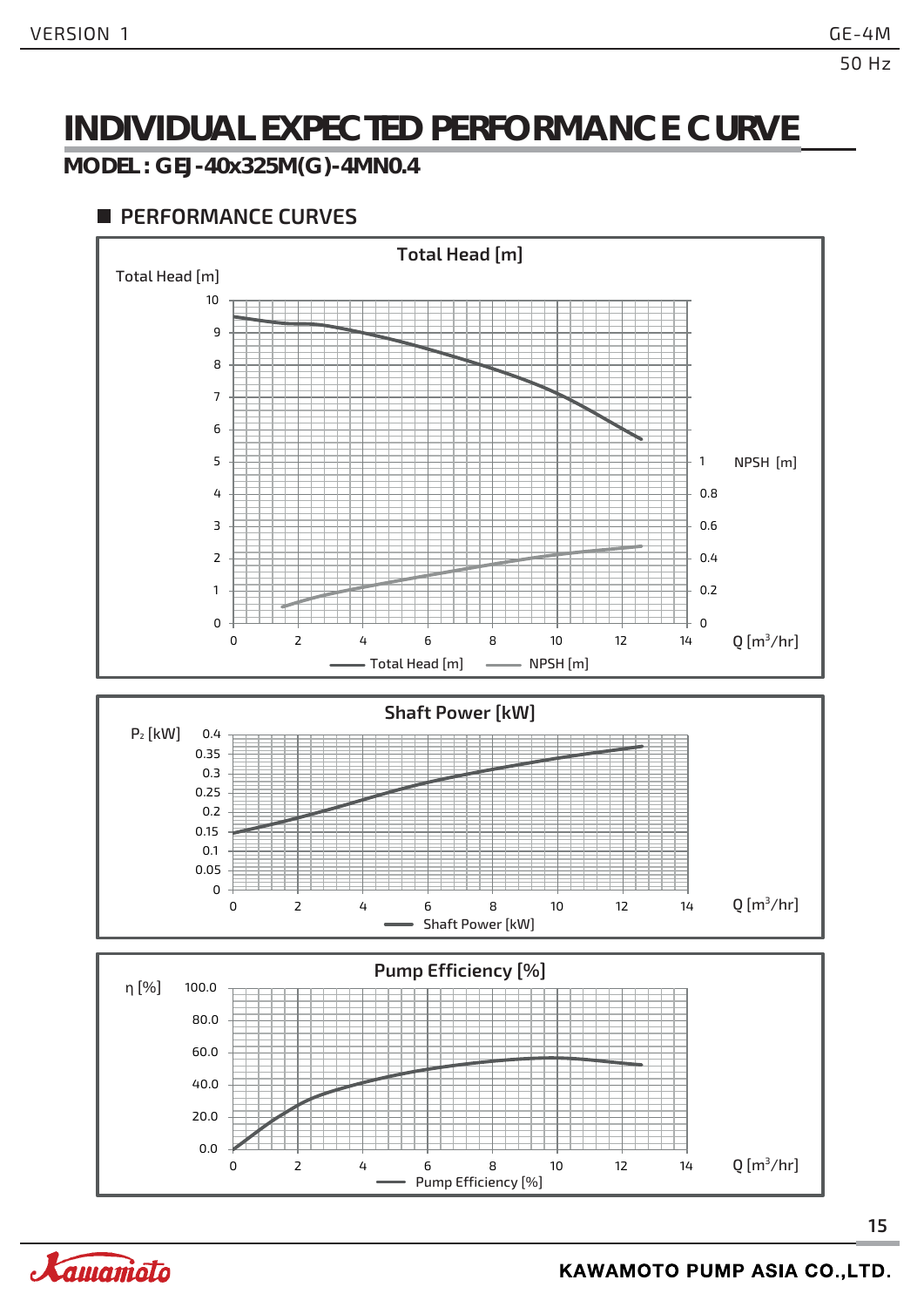### **INDIVIDUAL EXPECTED PERFORMANCE CURVE**

#### **MODEL : GEJ-40x325M(G)-4MN0.4**

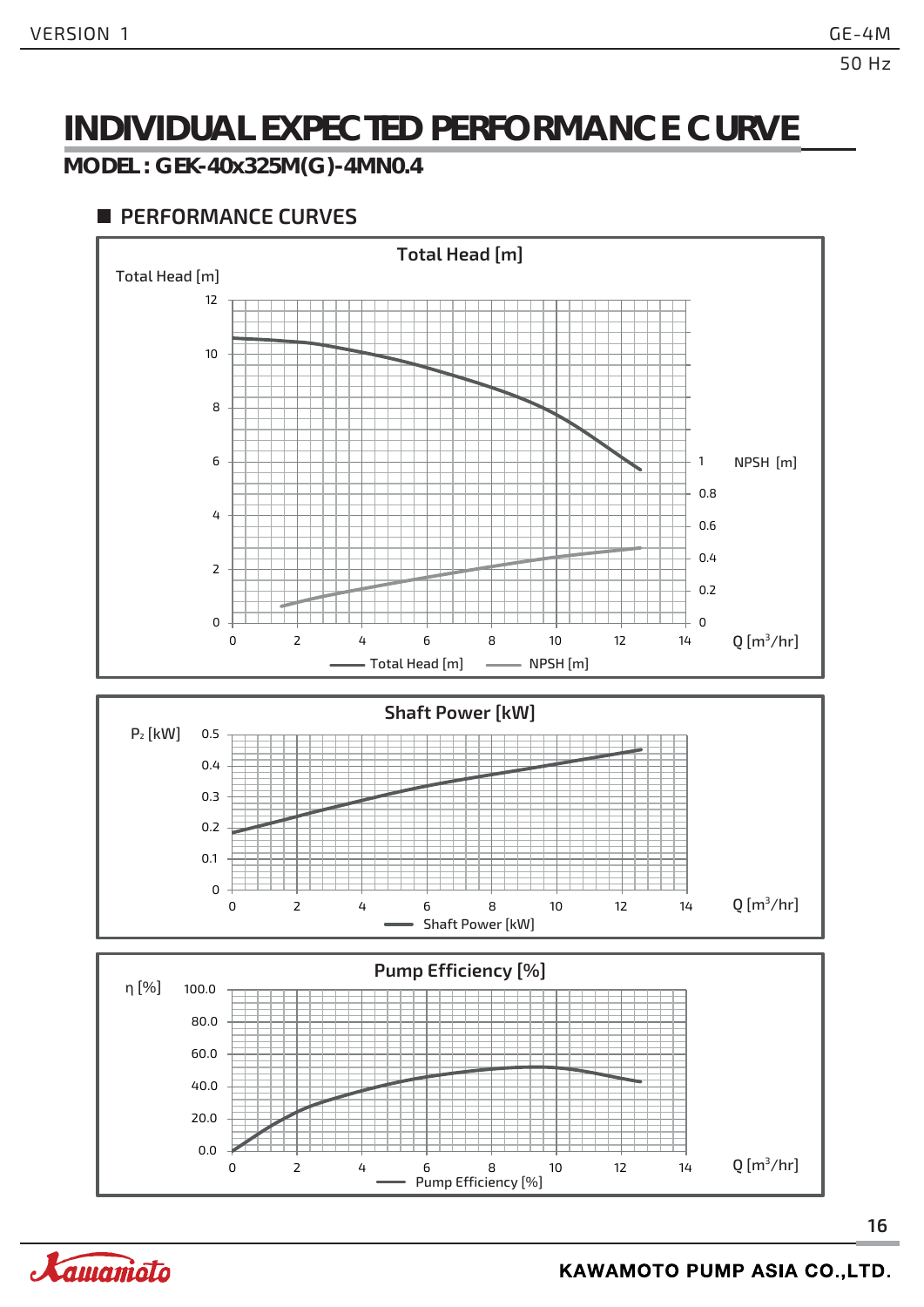### **INDIVIDUAL EXPECTED PERFORMANCE CURVE**

**MODEL : GEK-40x325M(G)-4MN0.4**

#### **PERFORMANCE CURVES**



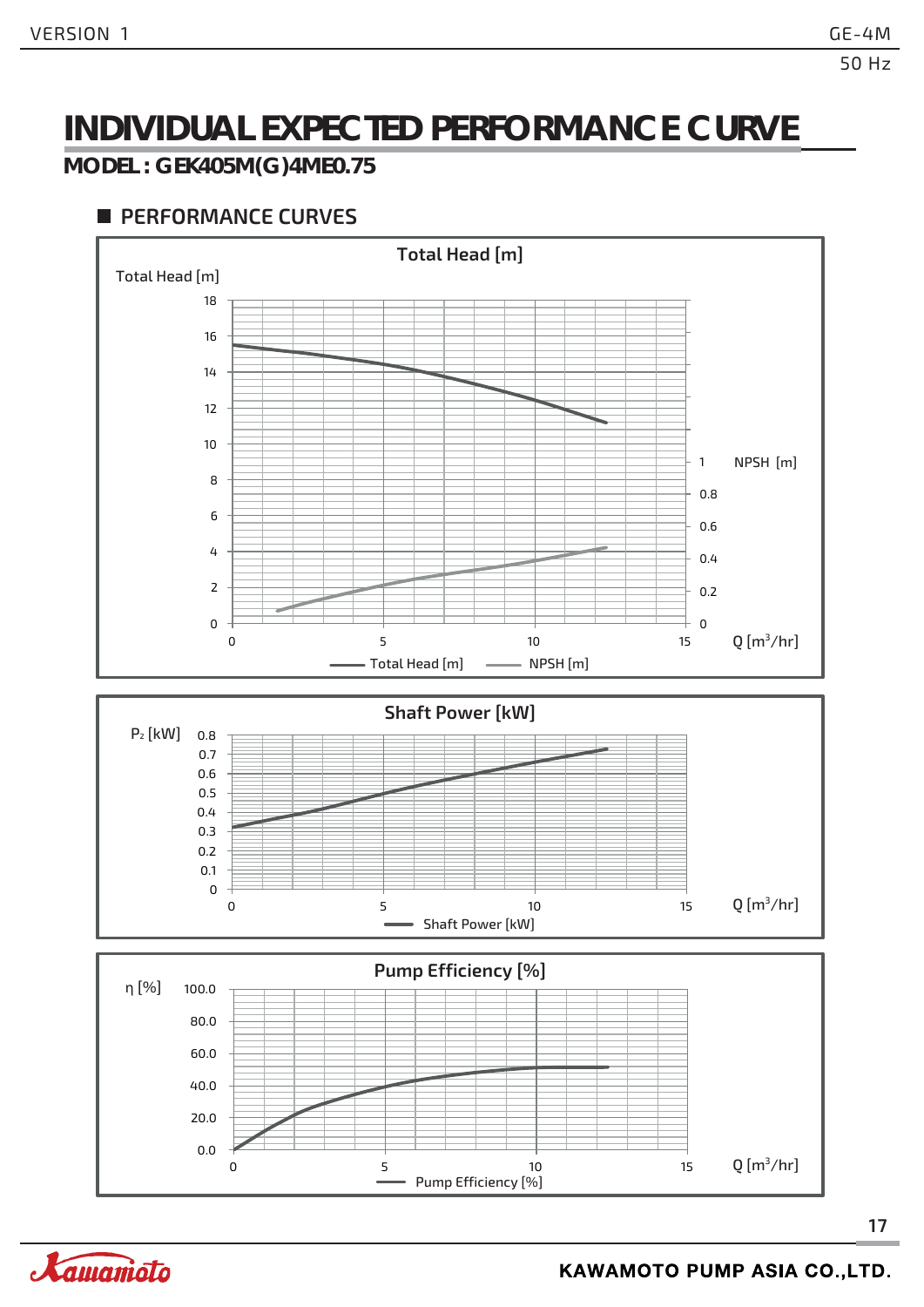### **INDIVIDUAL EXPECTED PERFORMANCE CURVE**

#### **MODEL : GEK405M(G)4ME0.75**



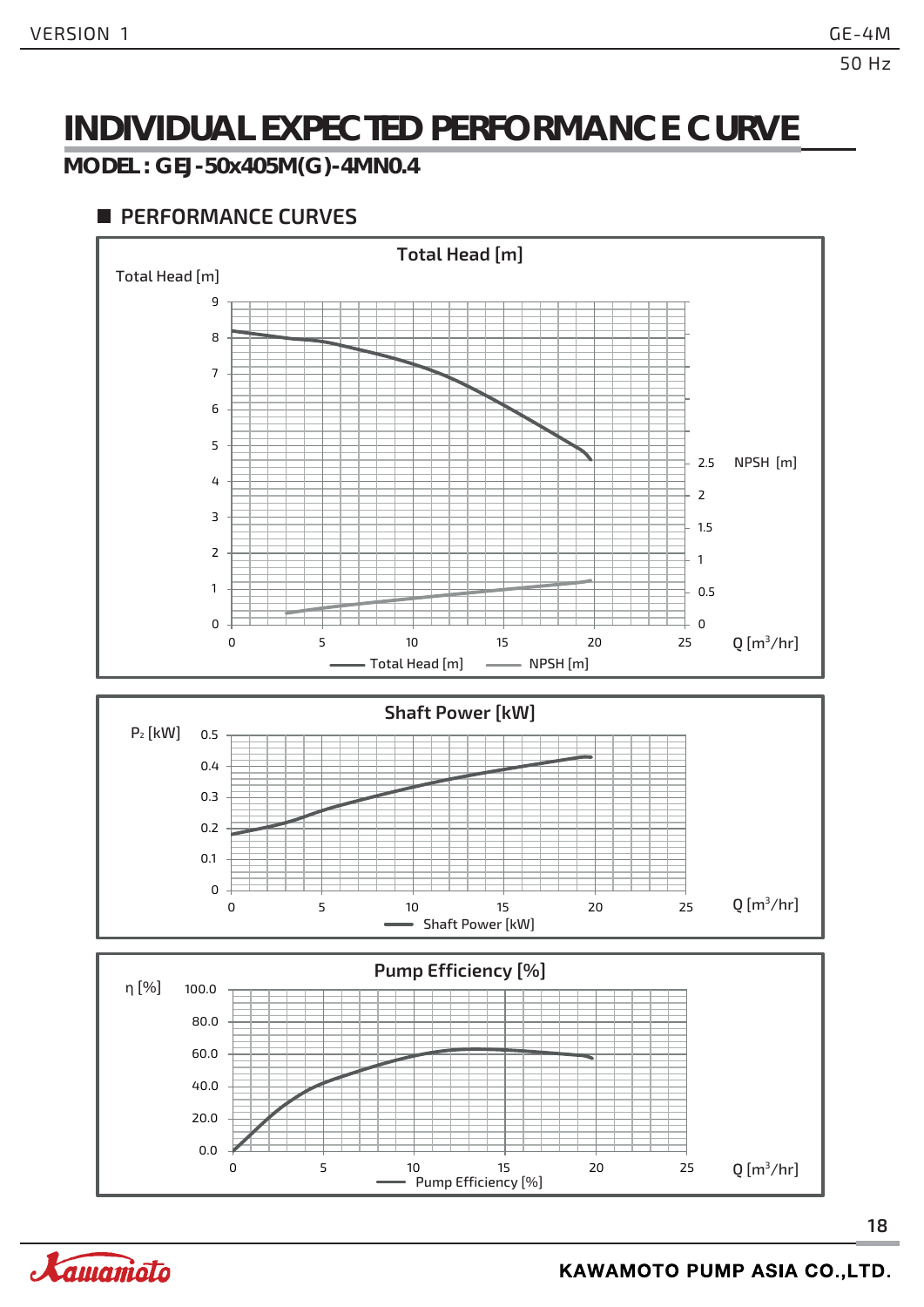### **INDIVIDUAL EXPECTED PERFORMANCE CURVE**

**MODEL : GEJ-50x405M(G)-4MN0.4**

#### **PERFORMANCE CURVES**



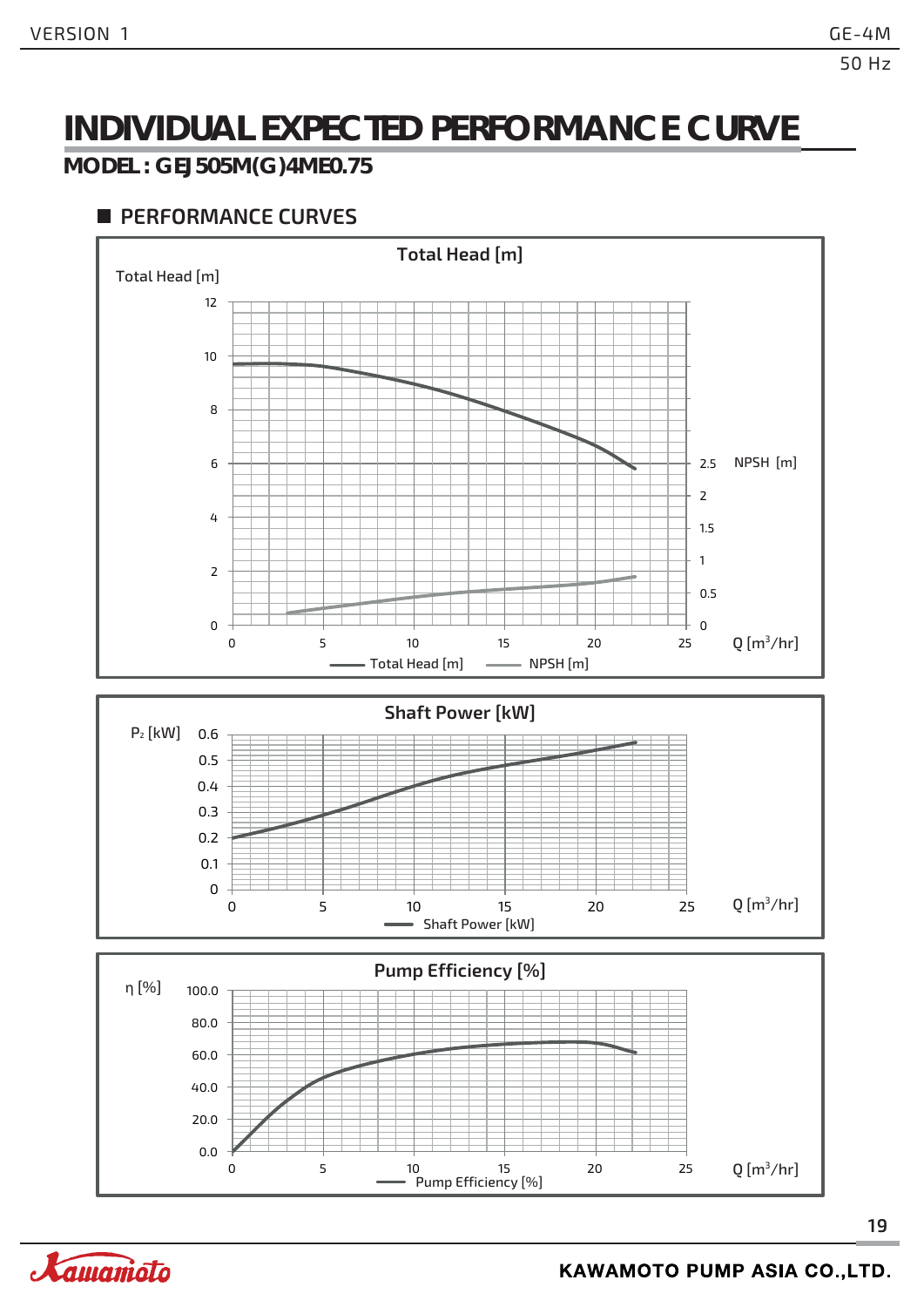### **INDIVIDUAL EXPECTED PERFORMANCE CURVE**

#### **MODEL : GEJ505M(G)4ME0.75**



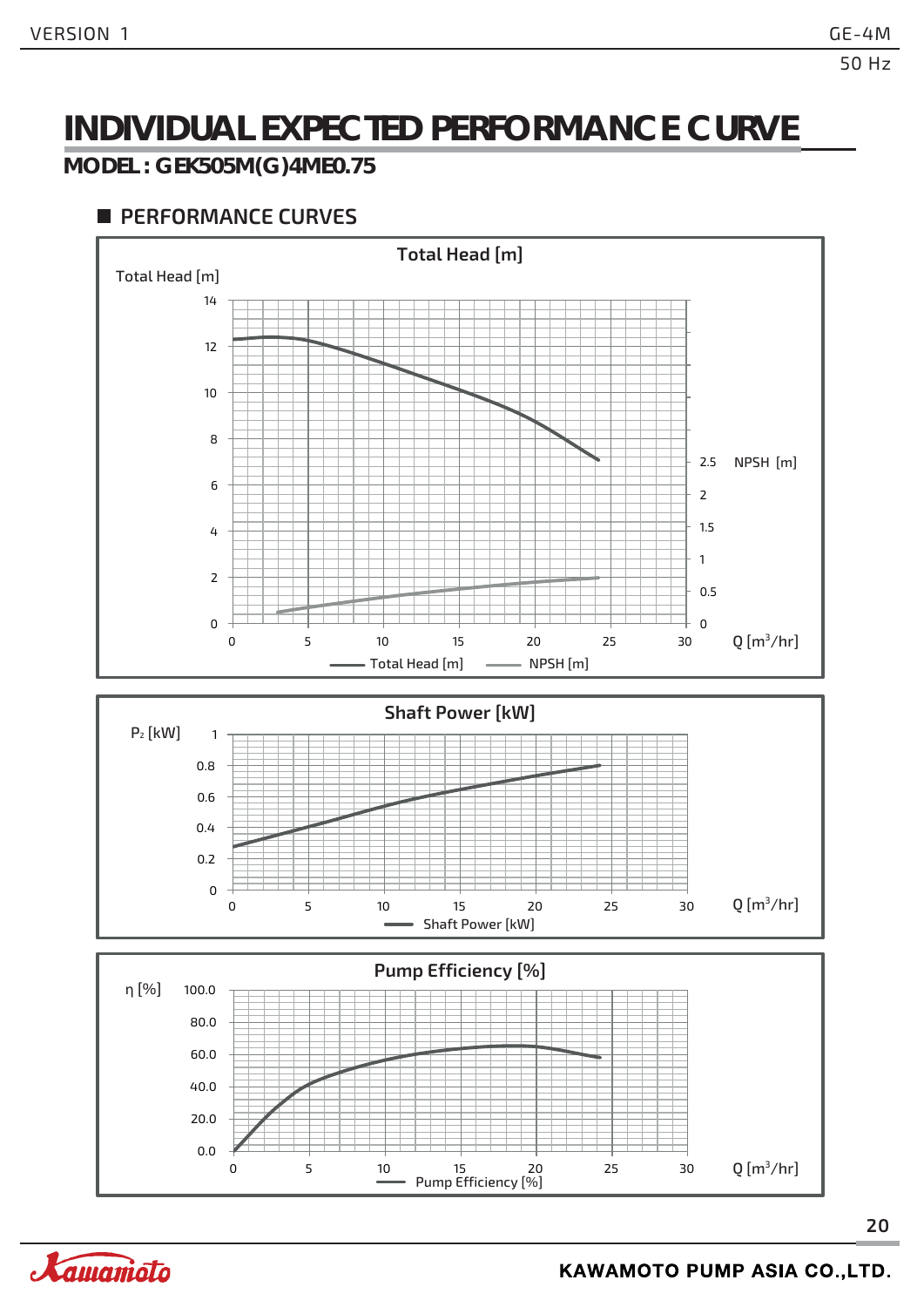### **INDIVIDUAL EXPECTED PERFORMANCE CURVE**

#### **MODEL : GEK505M(G)4ME0.75**



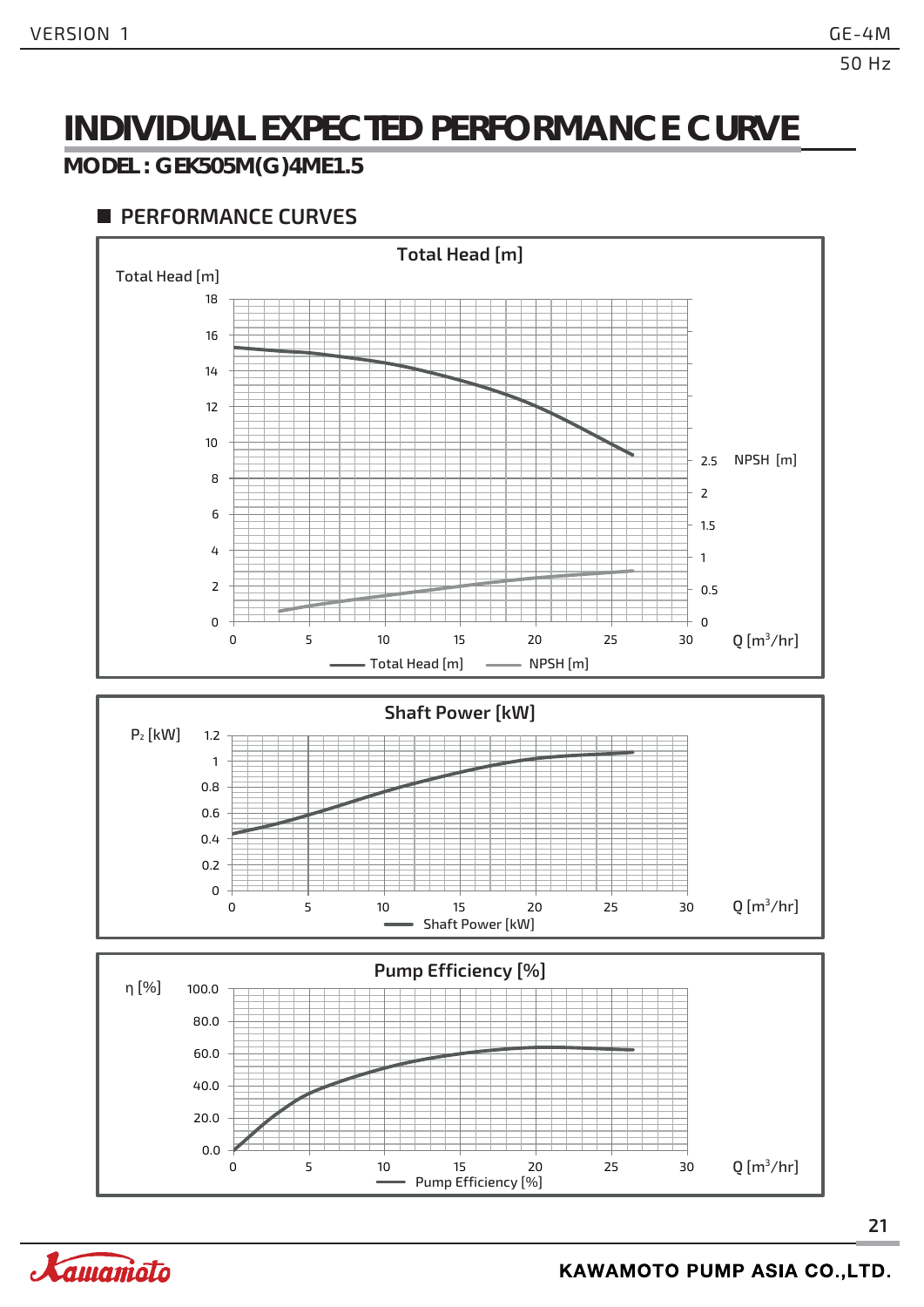### **INDIVIDUAL EXPECTED PERFORMANCE CURVE**

#### **MODEL : GEK505M(G)4ME1.5**

#### **PERFORMANCE CURVES**

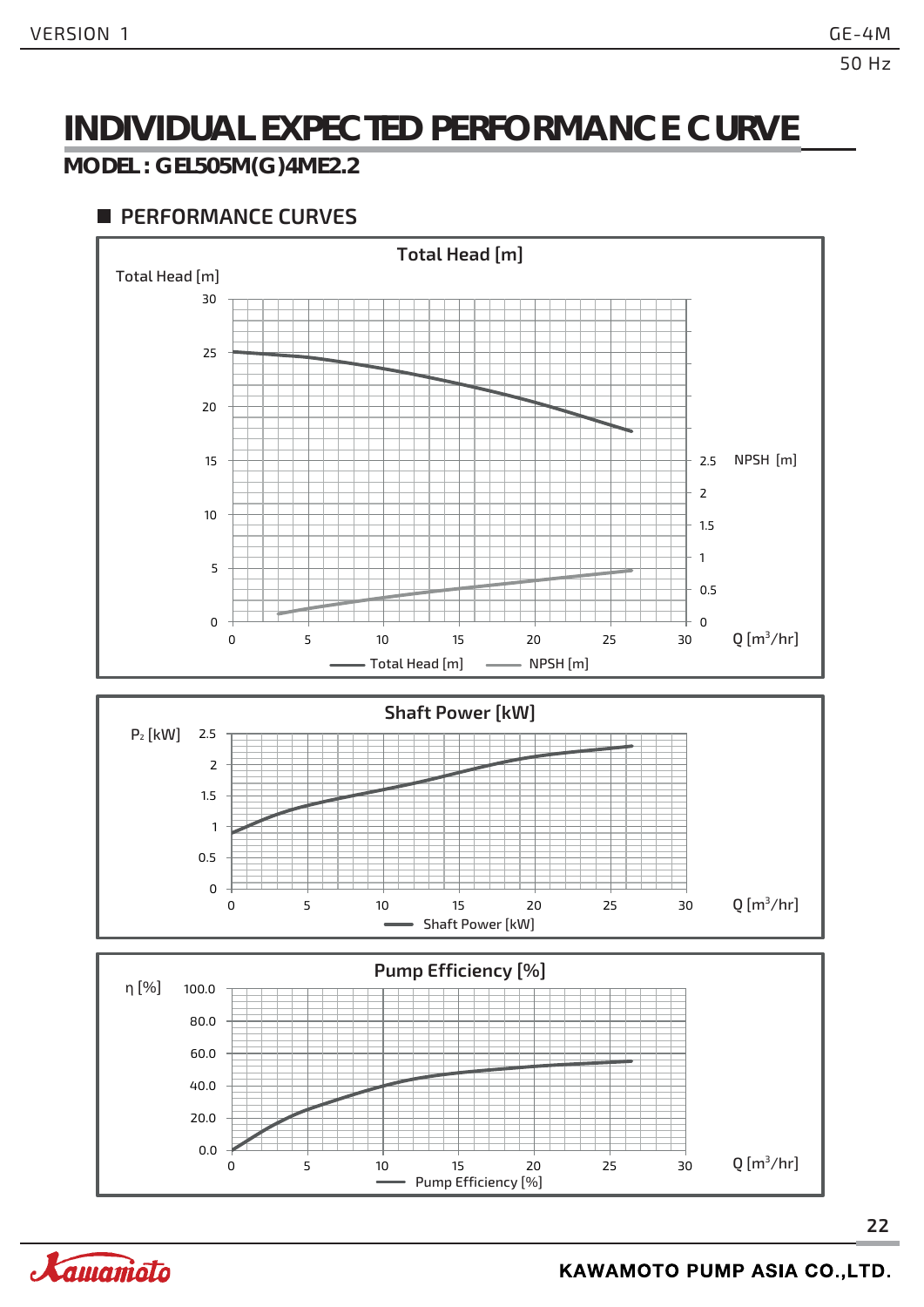### **INDIVIDUAL EXPECTED PERFORMANCE CURVE**

#### **MODEL : GEL505M(G)4ME2.2**

#### **PERFORMANCE CURVES**



Pump Efficiency [%]

0 5 10 15 20 25 30



 $Q$  [m<sup>3</sup>/hr]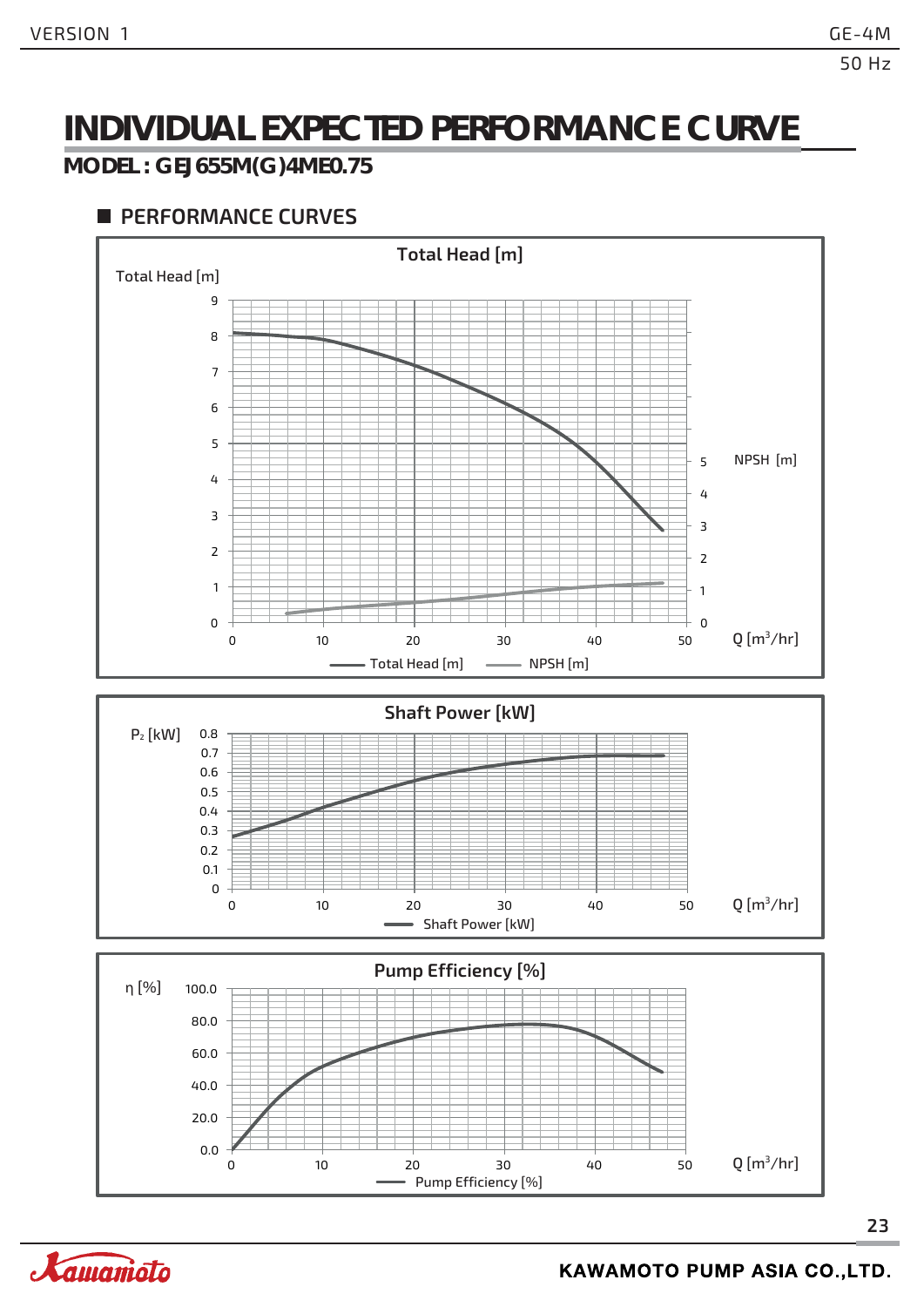### **INDIVIDUAL EXPECTED PERFORMANCE CURVE**

#### **MODEL : GEJ655M(G)4ME0.75**



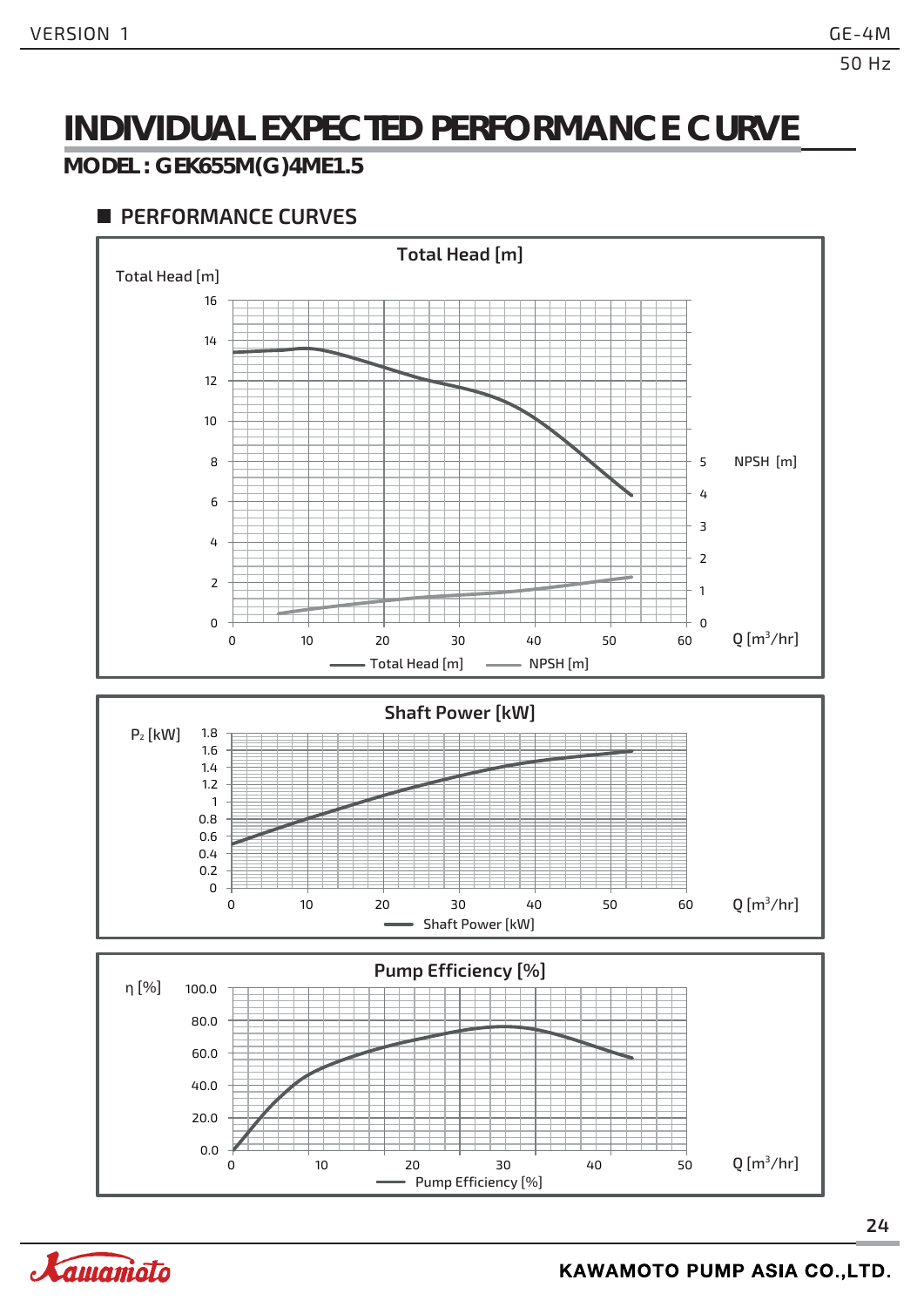### **INDIVIDUAL EXPECTED PERFORMANCE CURVE**

#### **MODEL : GEK655M(G)4ME1.5**

#### **PERFORMANCE CURVES**



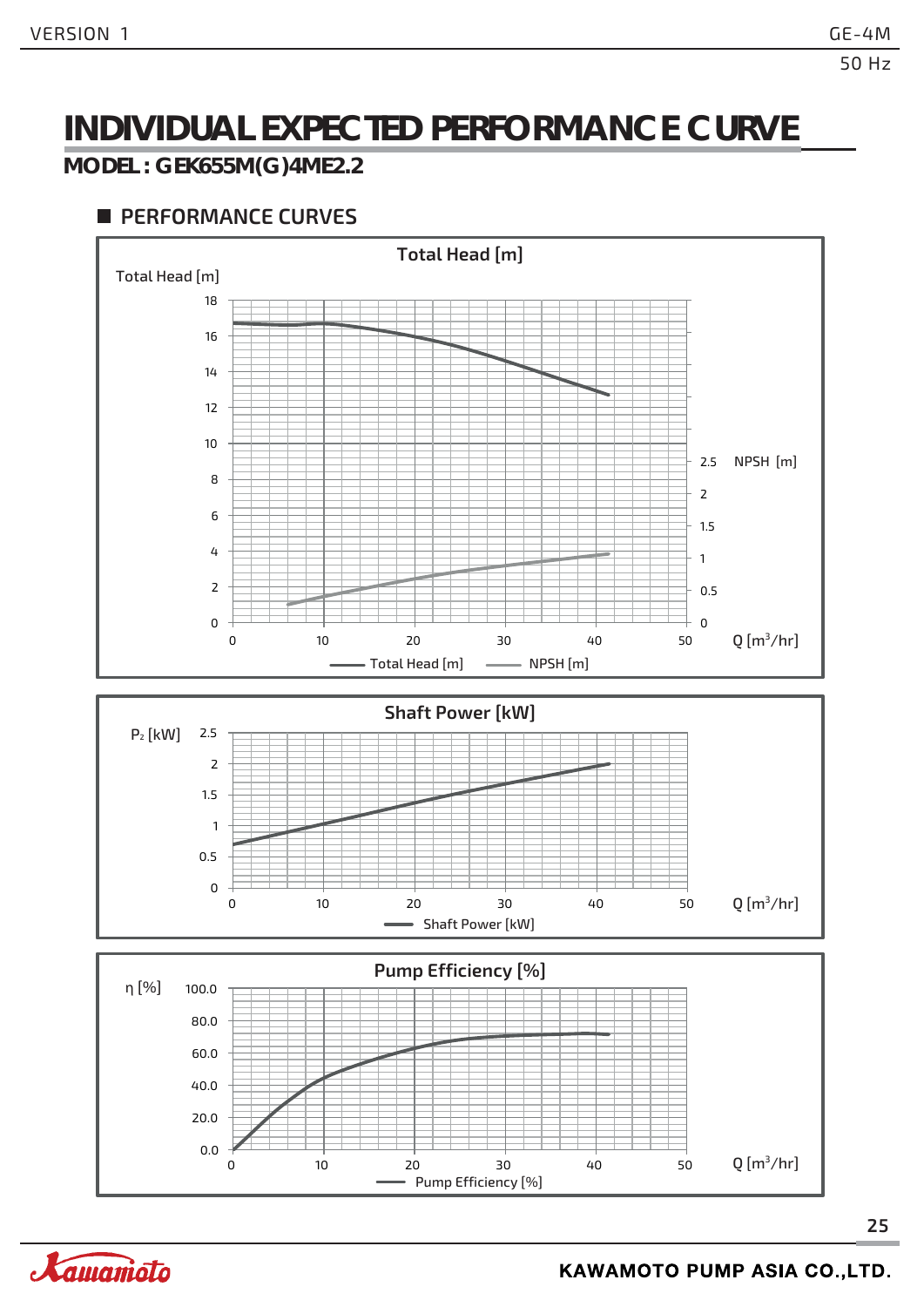### **INDIVIDUAL EXPECTED PERFORMANCE CURVE**

#### **MODEL : GEK655M(G)4ME2.2**

#### **PERFORMANCE CURVES**



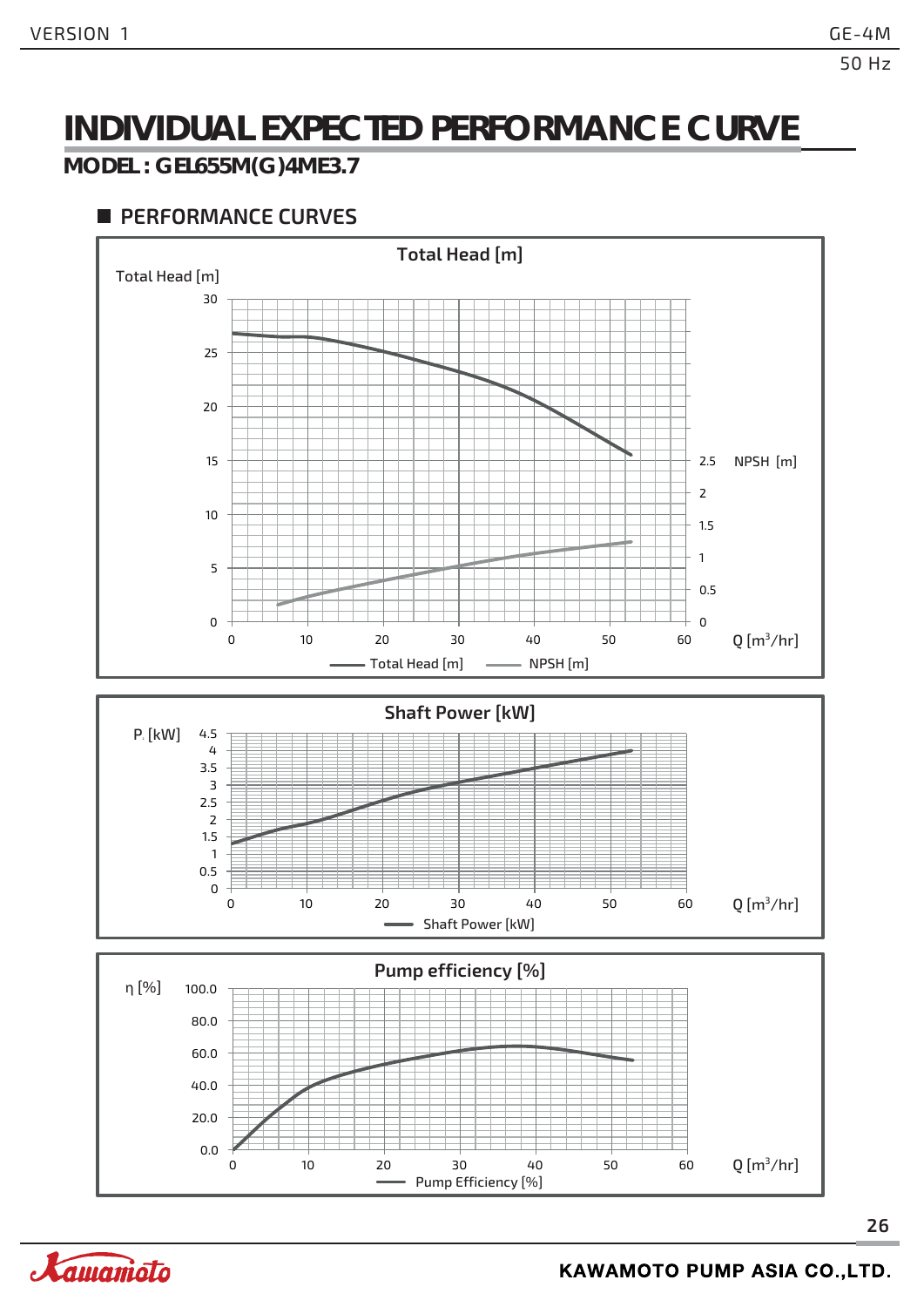### **INDIVIDUAL EXPECTED PERFORMANCE CURVE**

#### **MODEL : GEL655M(G)4ME3.7**

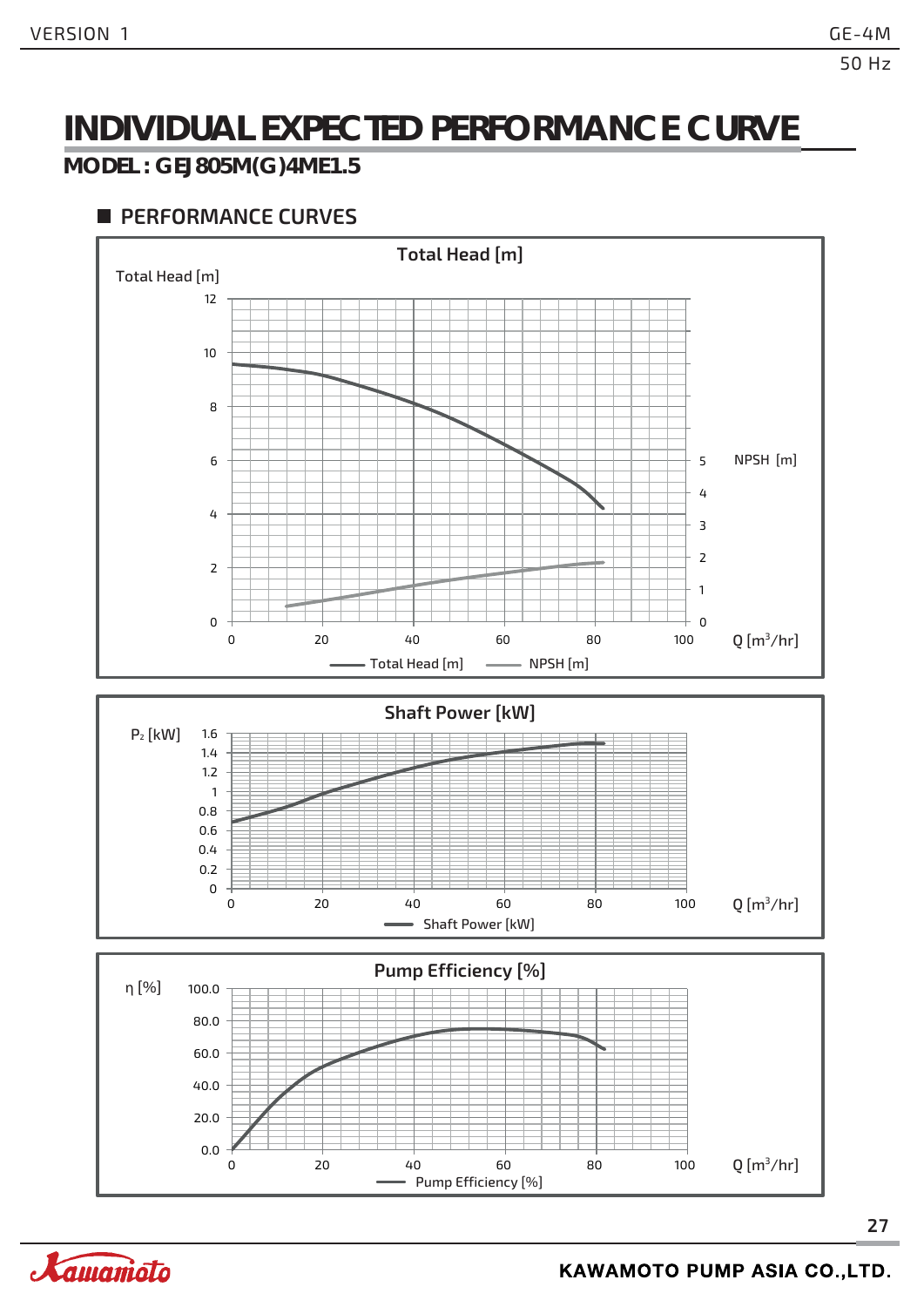### **INDIVIDUAL EXPECTED PERFORMANCE CURVE**

#### **MODEL : GEJ805M(G)4ME1.5**



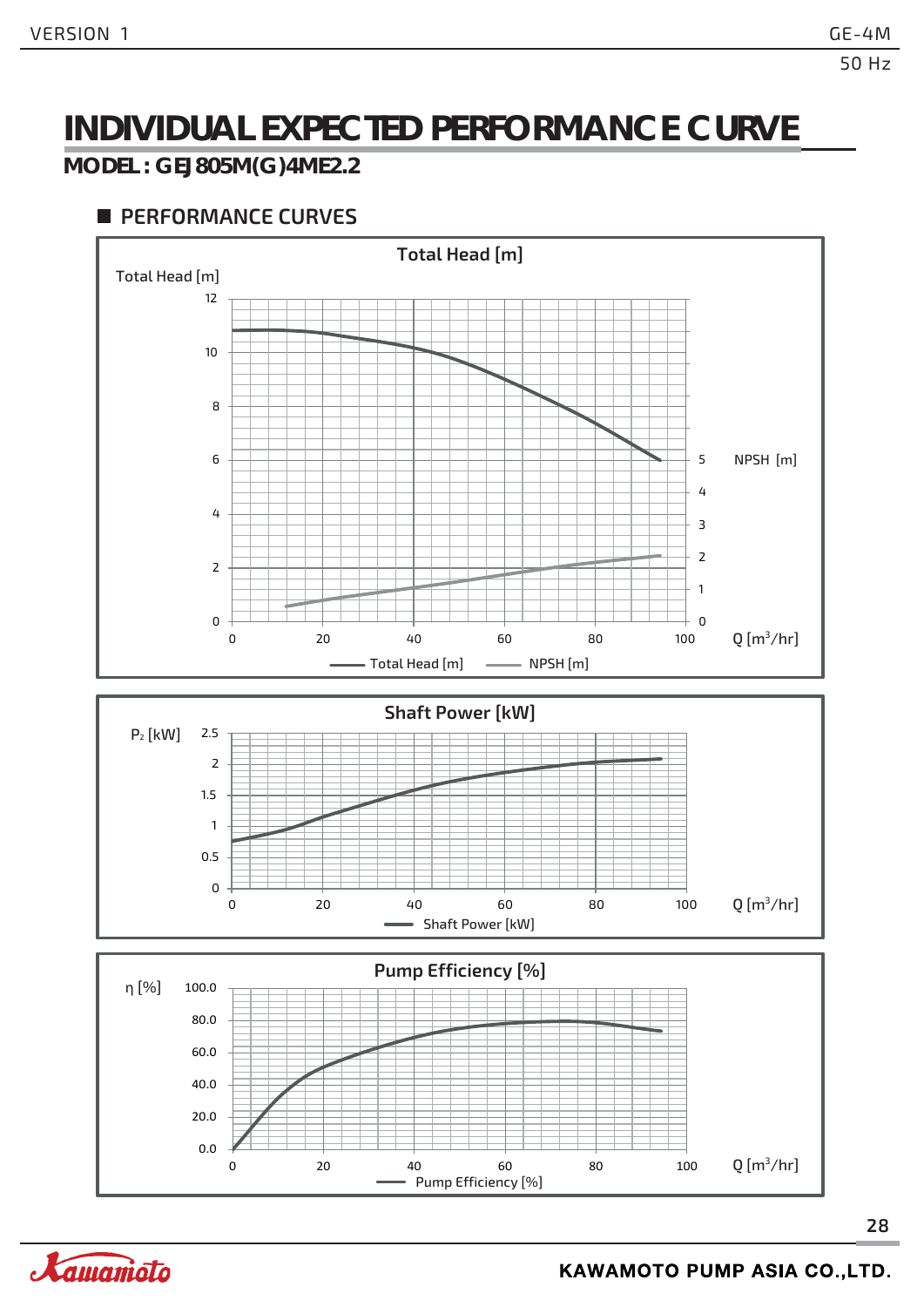### **INDIVIDUAL EXPECTED PERFORMANCE CURVE**

#### **MODEL : GEJ805M(G)4ME2.2**

#### **PERFORMANCE CURVES**





0 20 40 60 80 100

**28**



 $Q$ [m<sup>3</sup>/hr]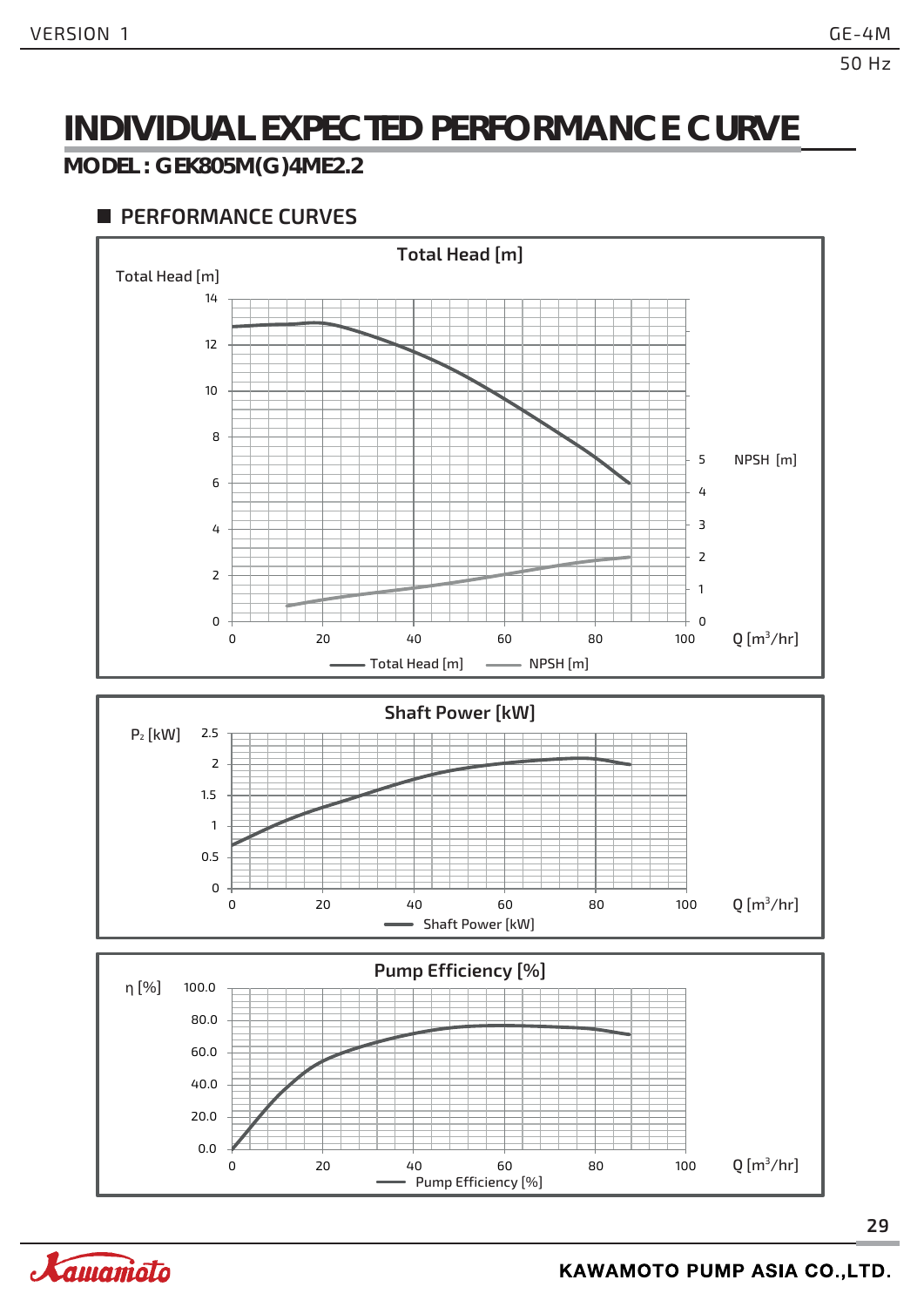### **INDIVIDUAL EXPECTED PERFORMANCE CURVE**

#### **MODEL : GEK805M(G)4ME2.2**

#### **PERFORMANCE CURVES**



Pump Efficiency [%]

0 20 40 60 80 100

0.0

20.0

 $Q$ [m<sup>3</sup>/hr]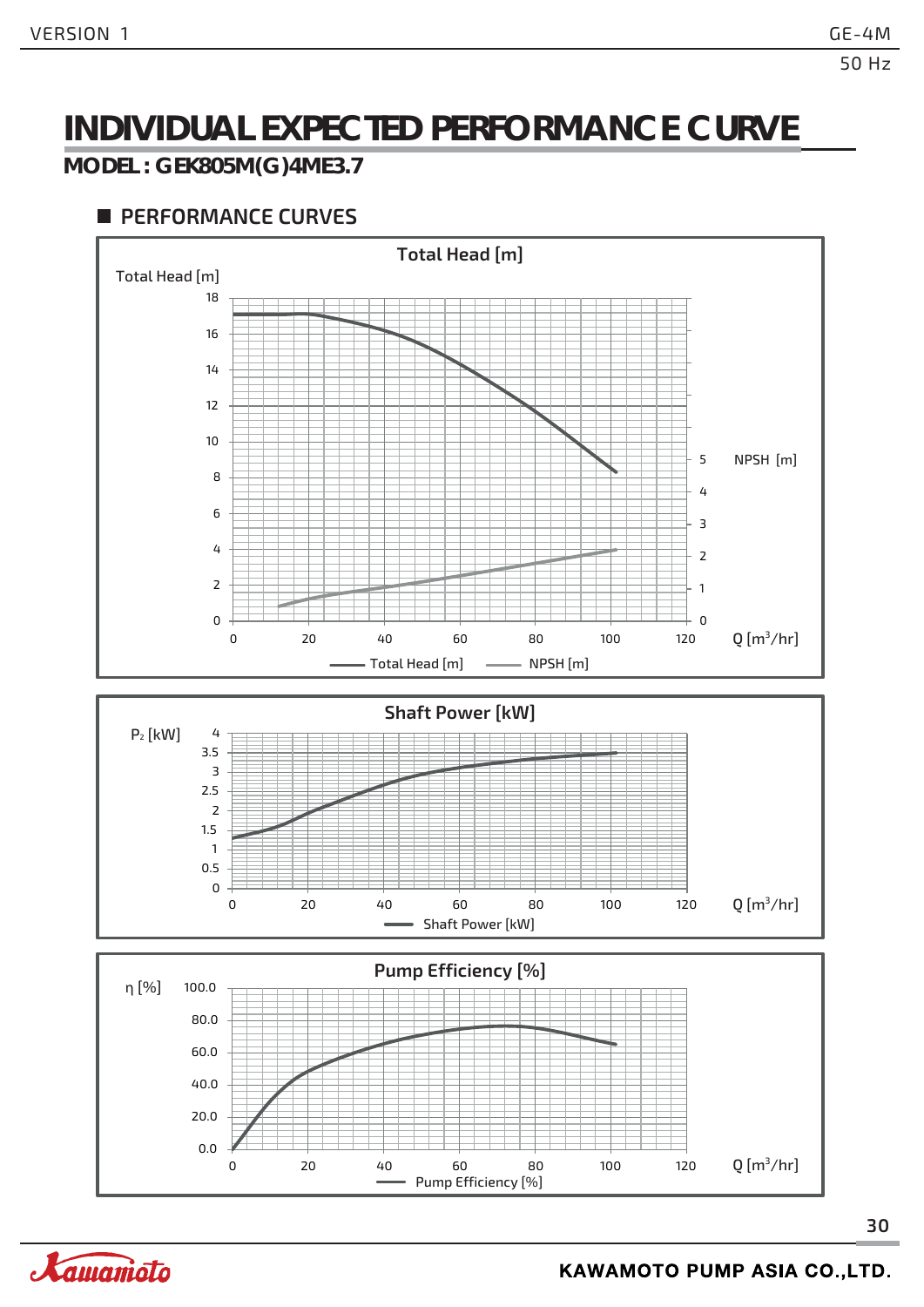### **INDIVIDUAL EXPECTED PERFORMANCE CURVE**

#### **MODEL : GEK805M(G)4ME3.7**



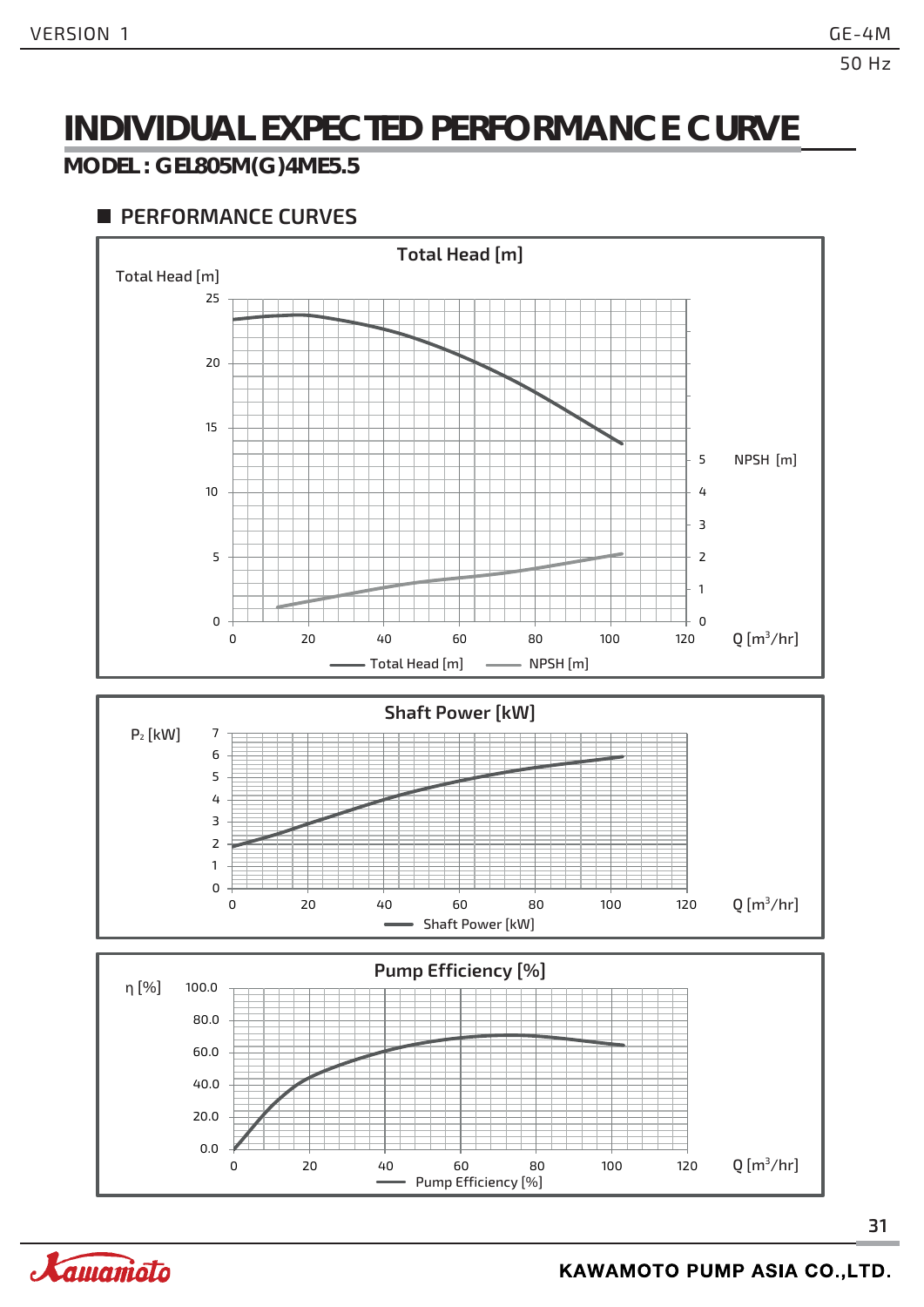### **INDIVIDUAL EXPECTED PERFORMANCE CURVE**

#### **MODEL : GEL805M(G)4ME5.5**

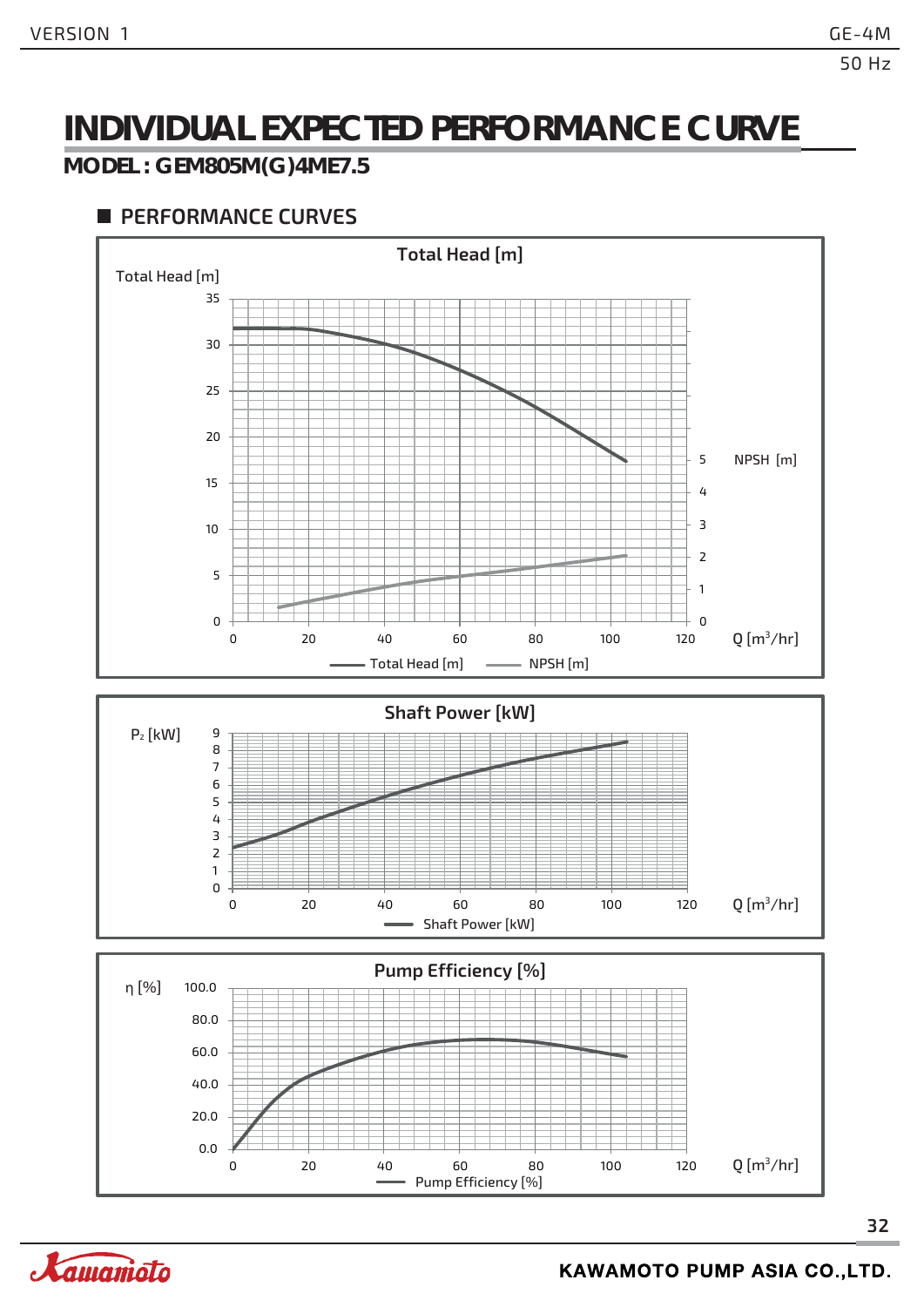### **INDIVIDUAL EXPECTED PERFORMANCE CURVE**

#### **MODEL : GEM805M(G)4ME7.5**



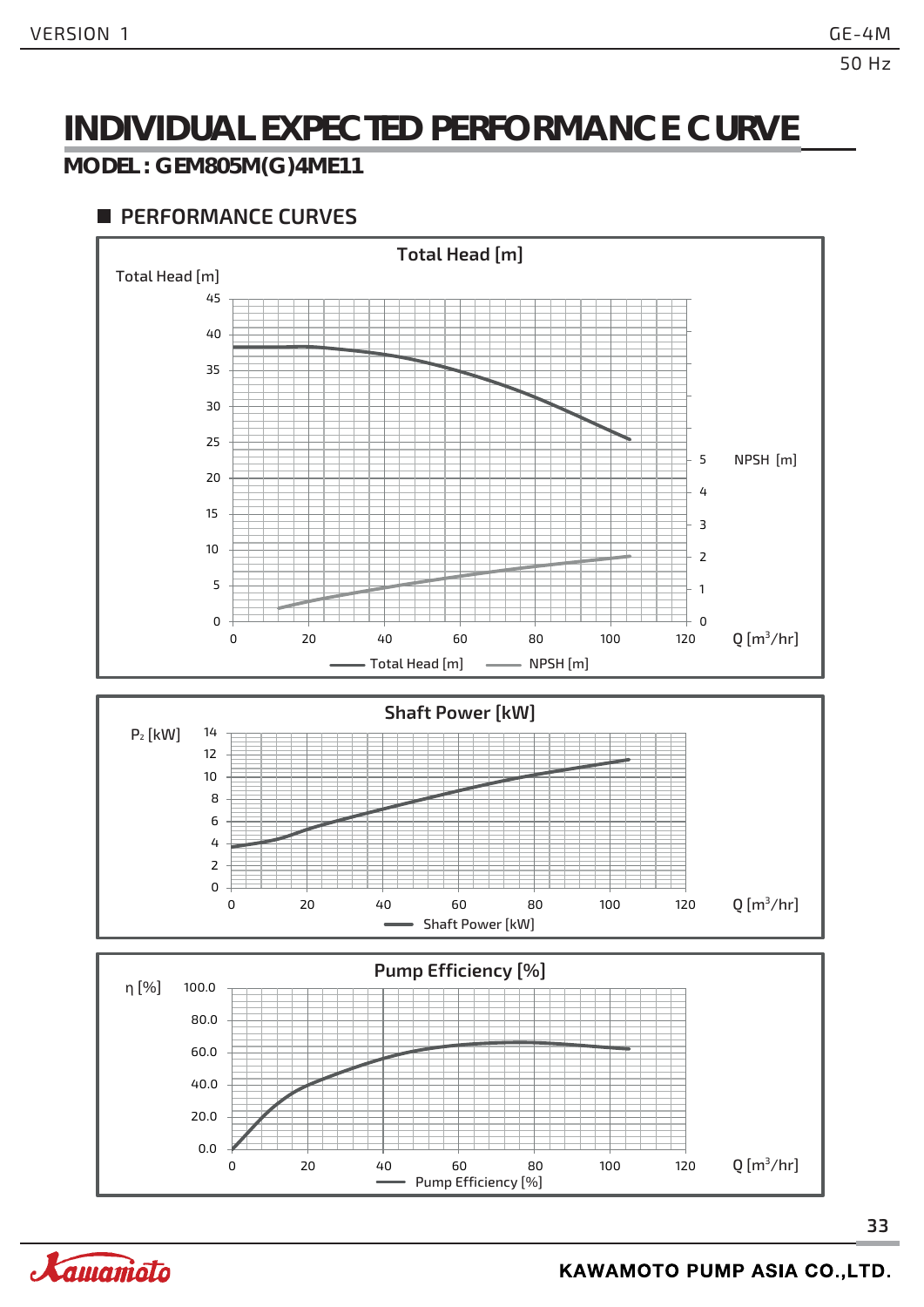### **INDIVIDUAL EXPECTED PERFORMANCE CURVE**

#### **MODEL : GEM805M(G)4ME11**



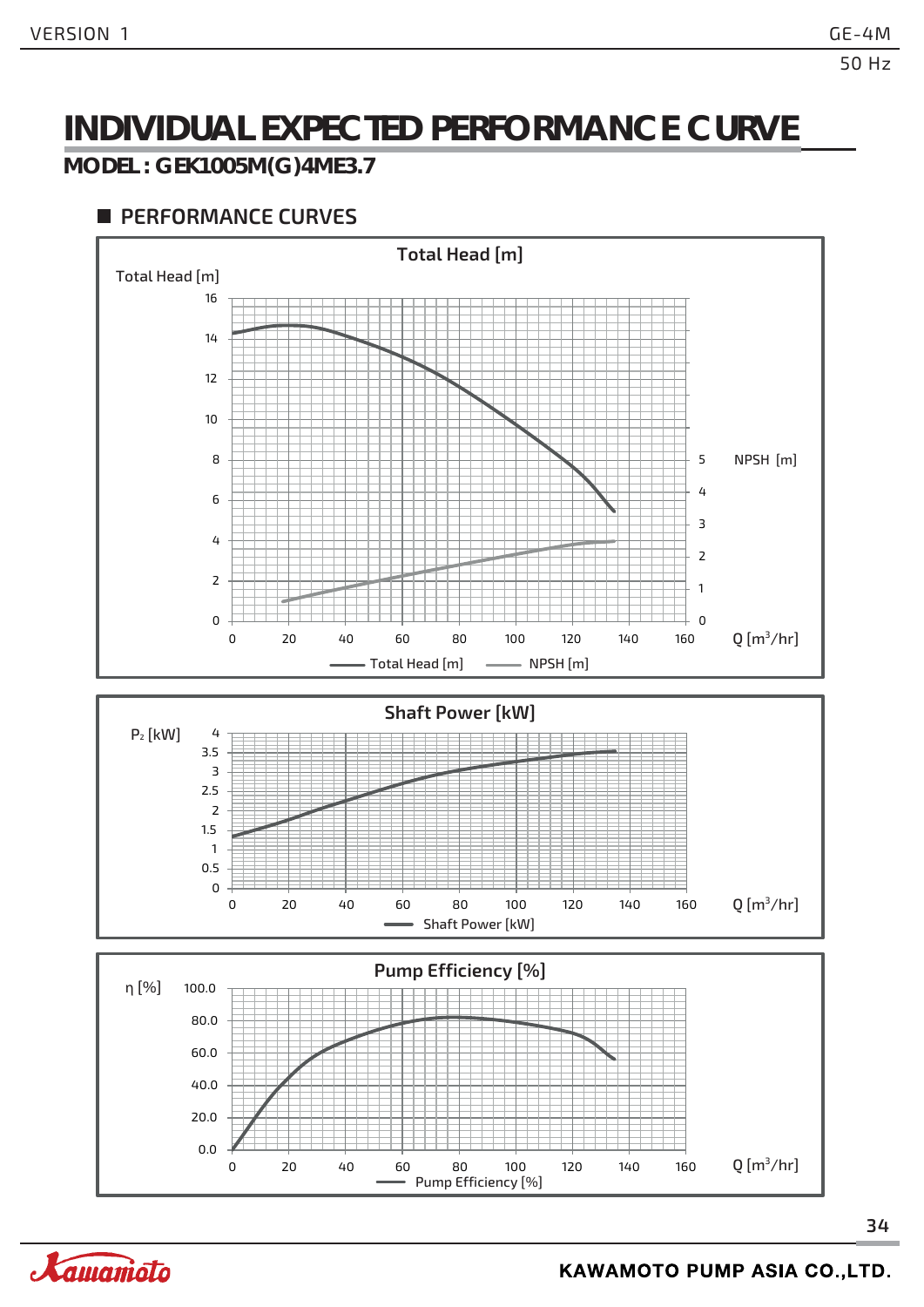### **INDIVIDUAL EXPECTED PERFORMANCE CURVE**

#### **MODEL : GEK1005M(G)4ME3.7**

#### **PERFORMANCE CURVES**



Pump Efficiency [%]

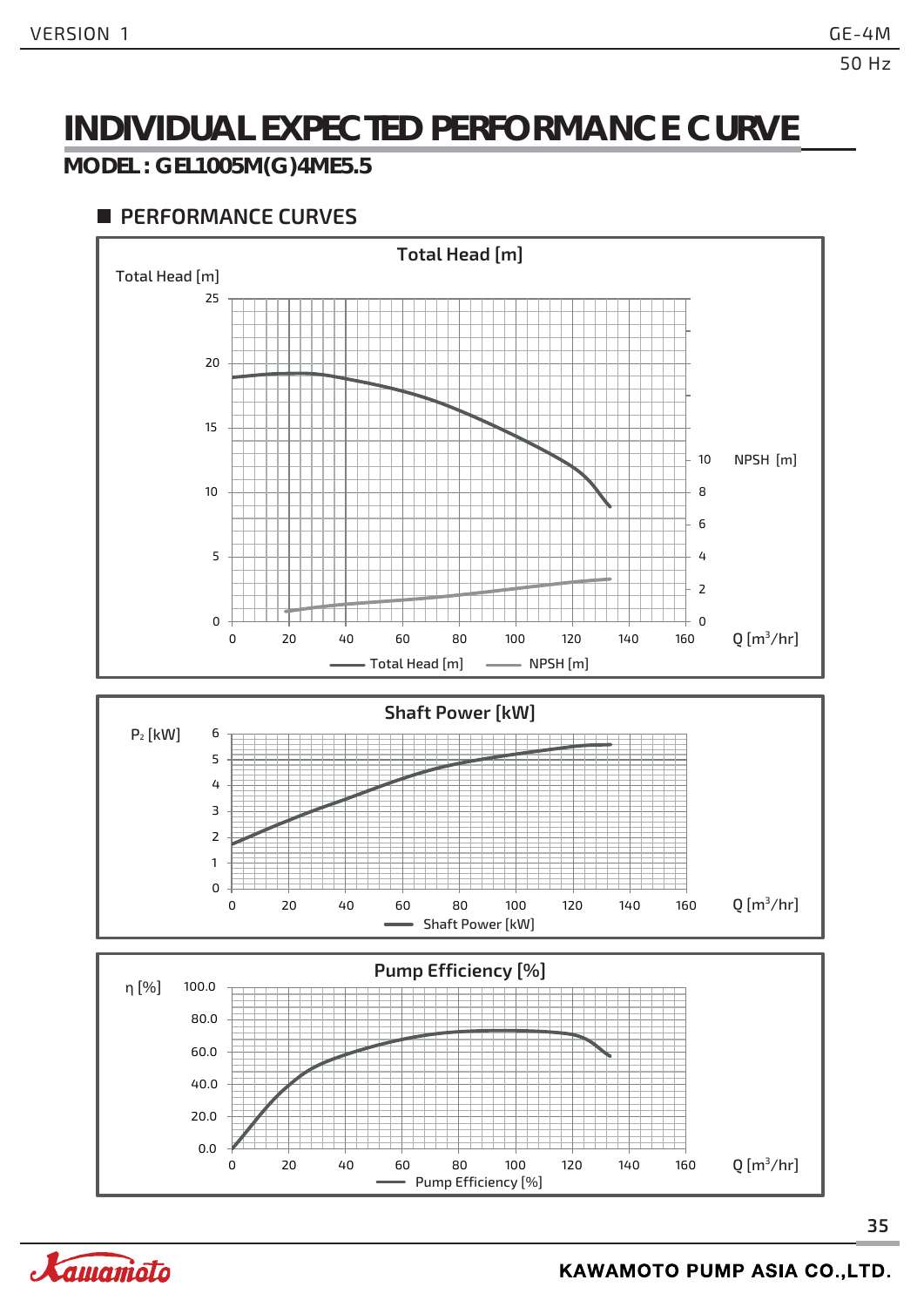### **INDIVIDUAL EXPECTED PERFORMANCE CURVE**

#### **MODEL : GEL1005M(G)4ME5.5**



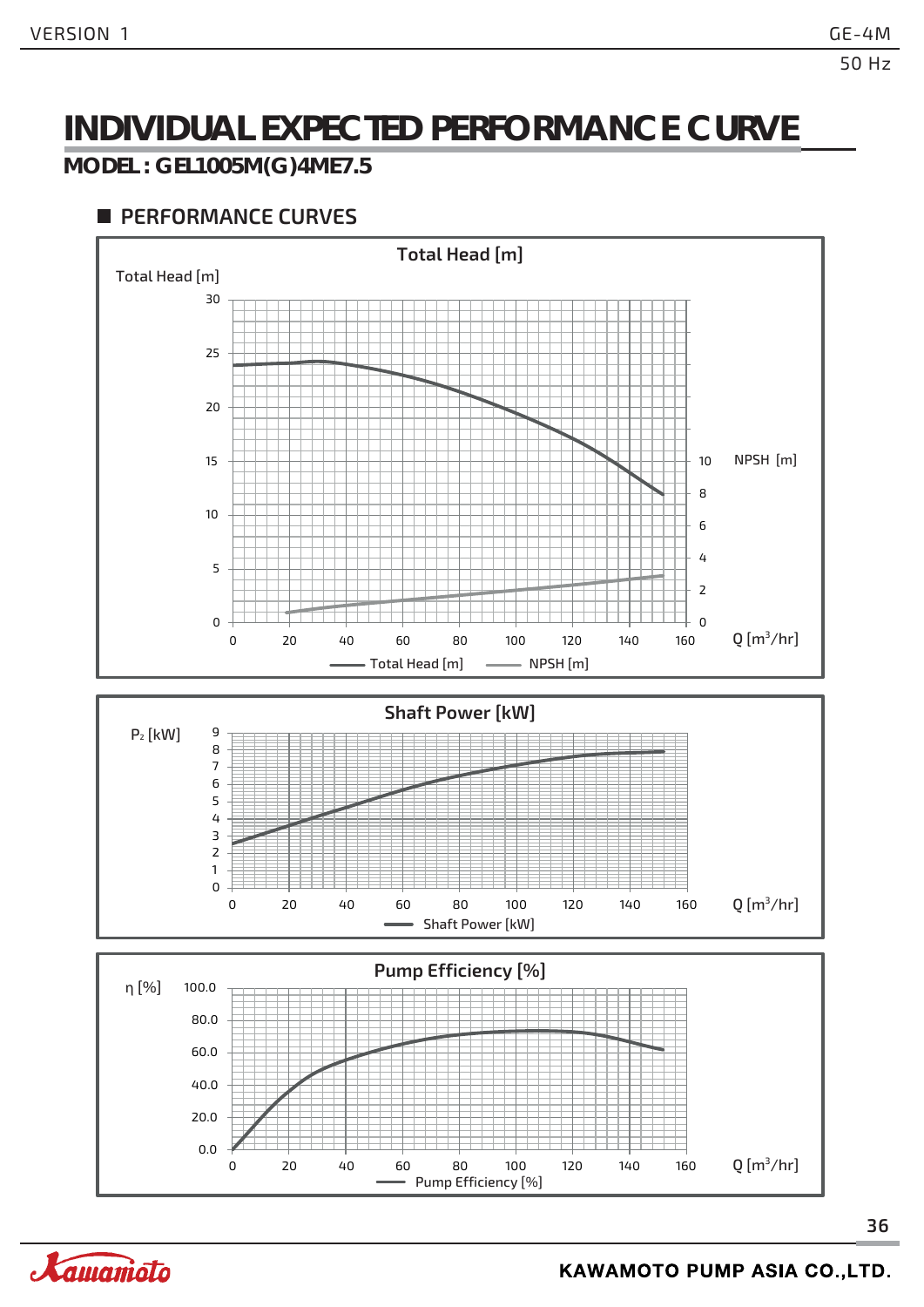### **INDIVIDUAL EXPECTED PERFORMANCE CURVE**

#### **MODEL : GEL1005M(G)4ME7.5**



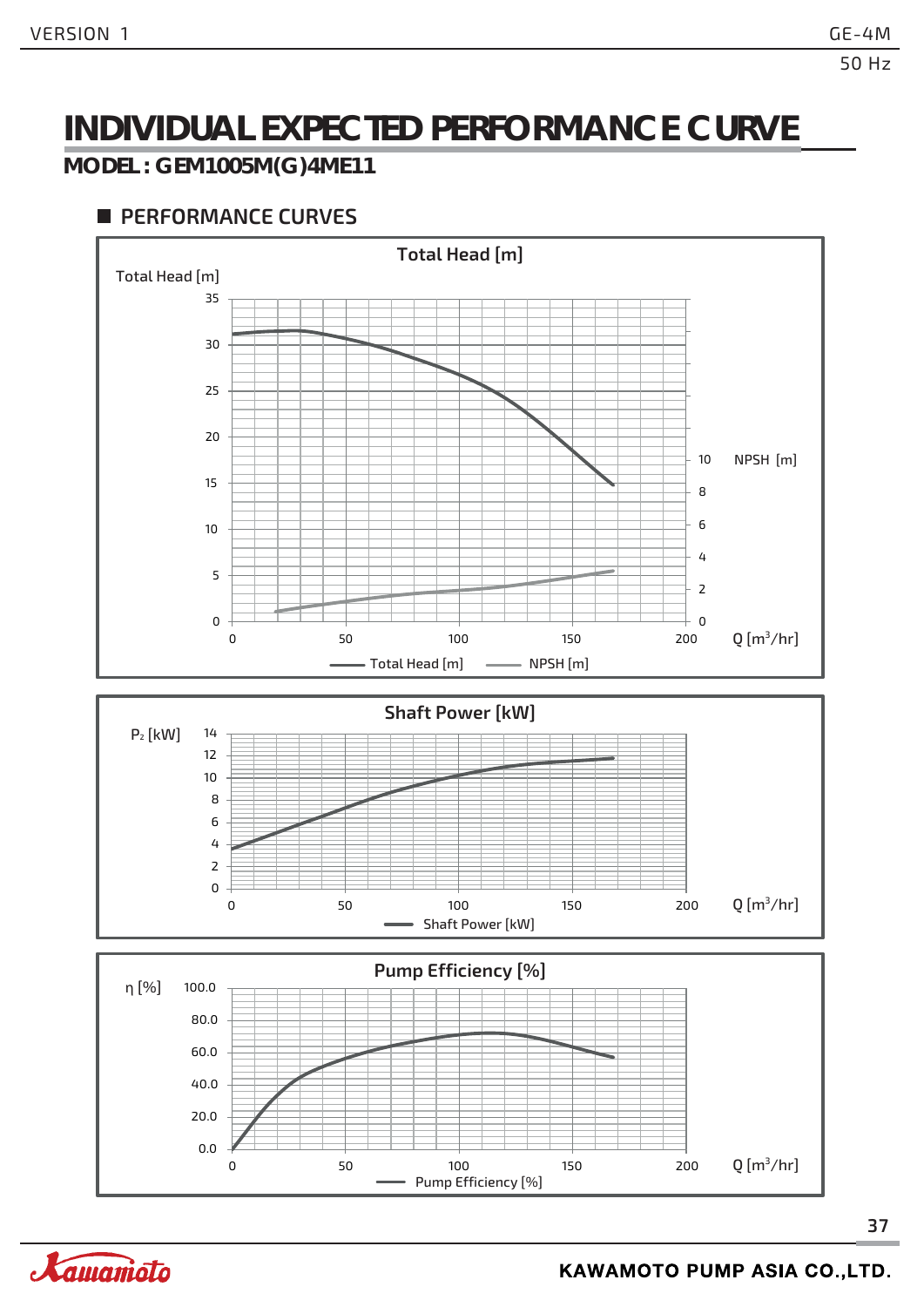### **INDIVIDUAL EXPECTED PERFORMANCE CURVE**

#### **MODEL : GEM1005M(G)4ME11**

#### **PERFORMANCE CURVES**



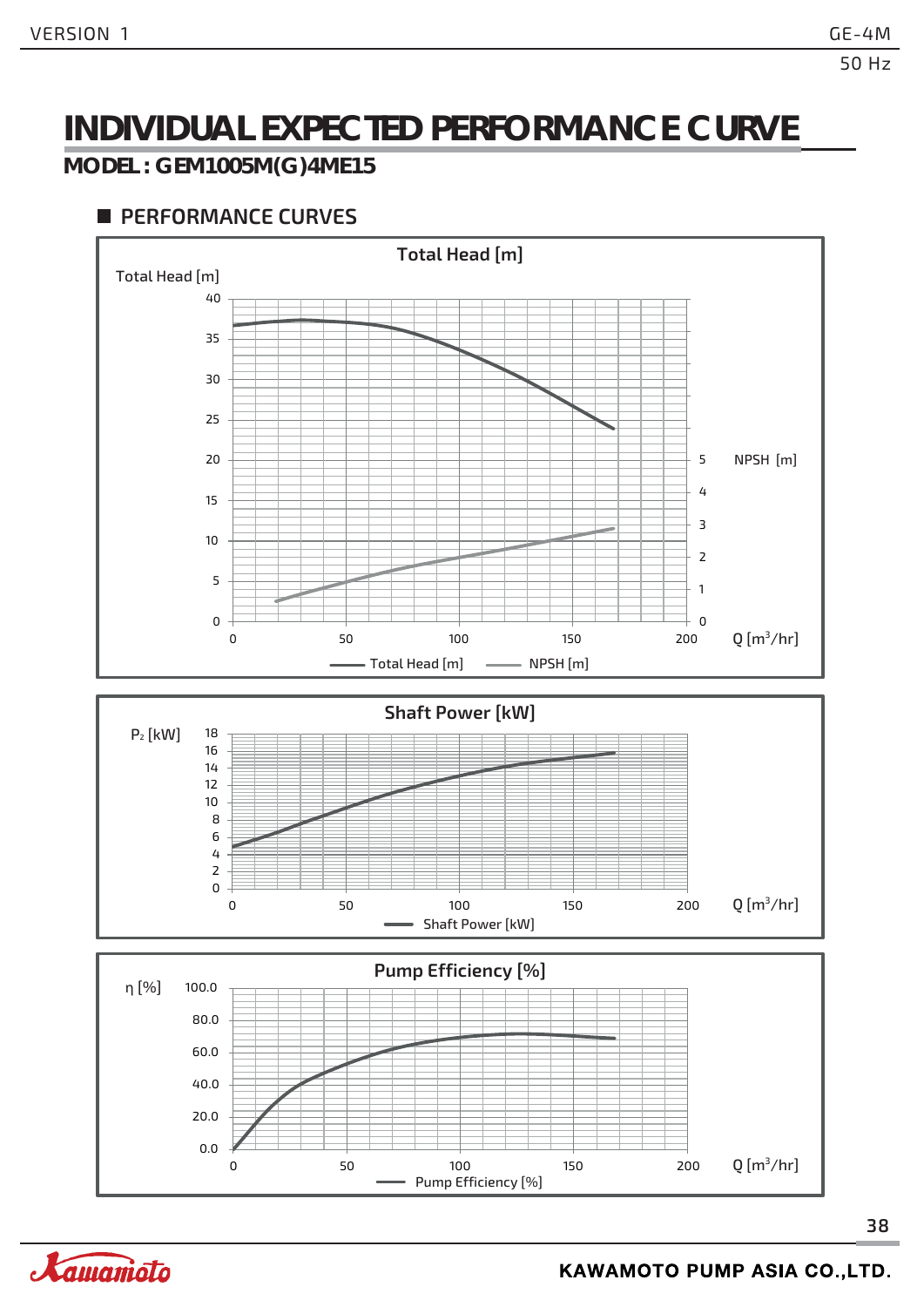### **INDIVIDUAL EXPECTED PERFORMANCE CURVE**

#### **MODEL : GEM1005M(G)4ME15**



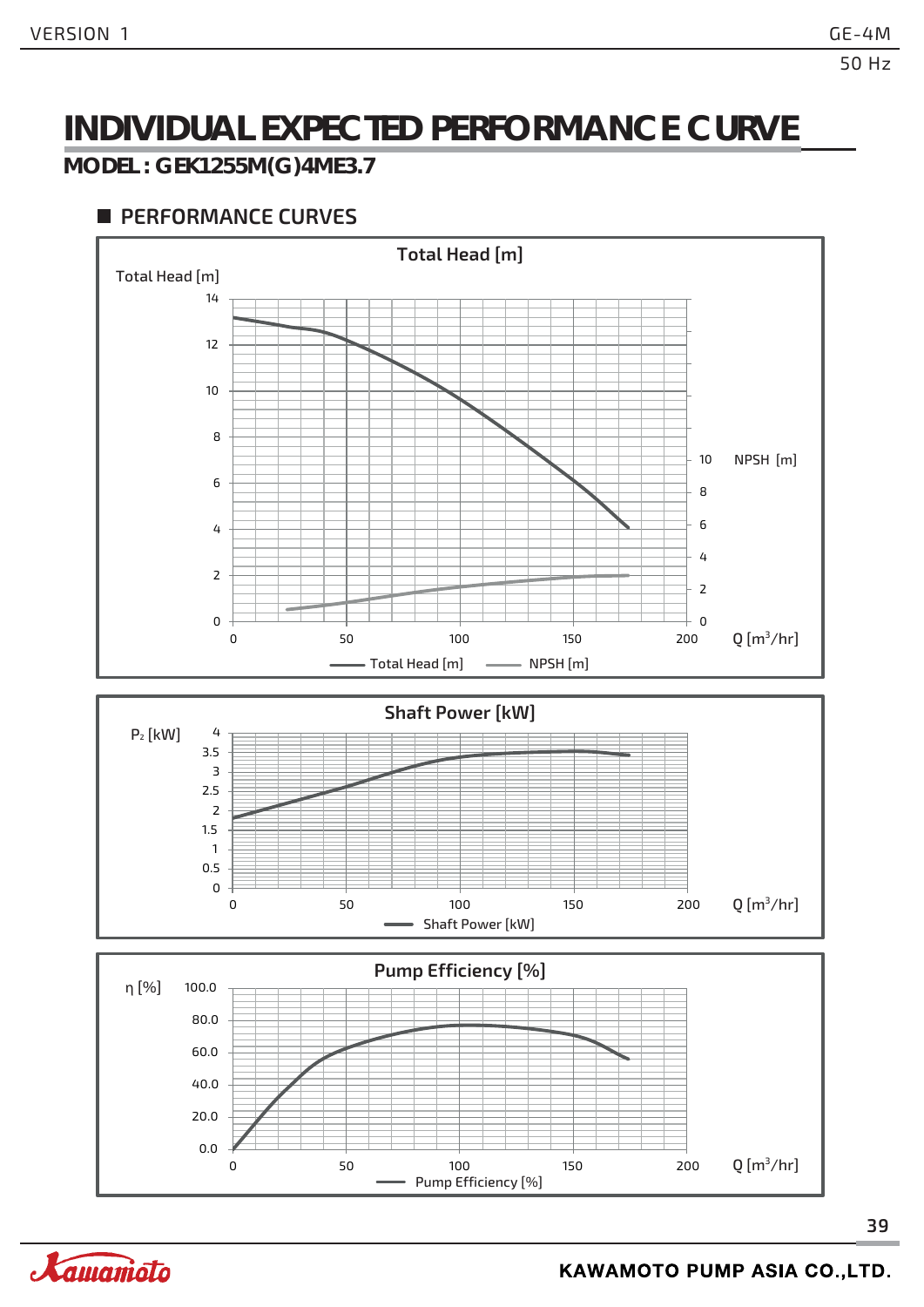### **INDIVIDUAL EXPECTED PERFORMANCE CURVE**

#### **MODEL : GEK1255M(G)4ME3.7**

#### **PERFORMANCE CURVES**



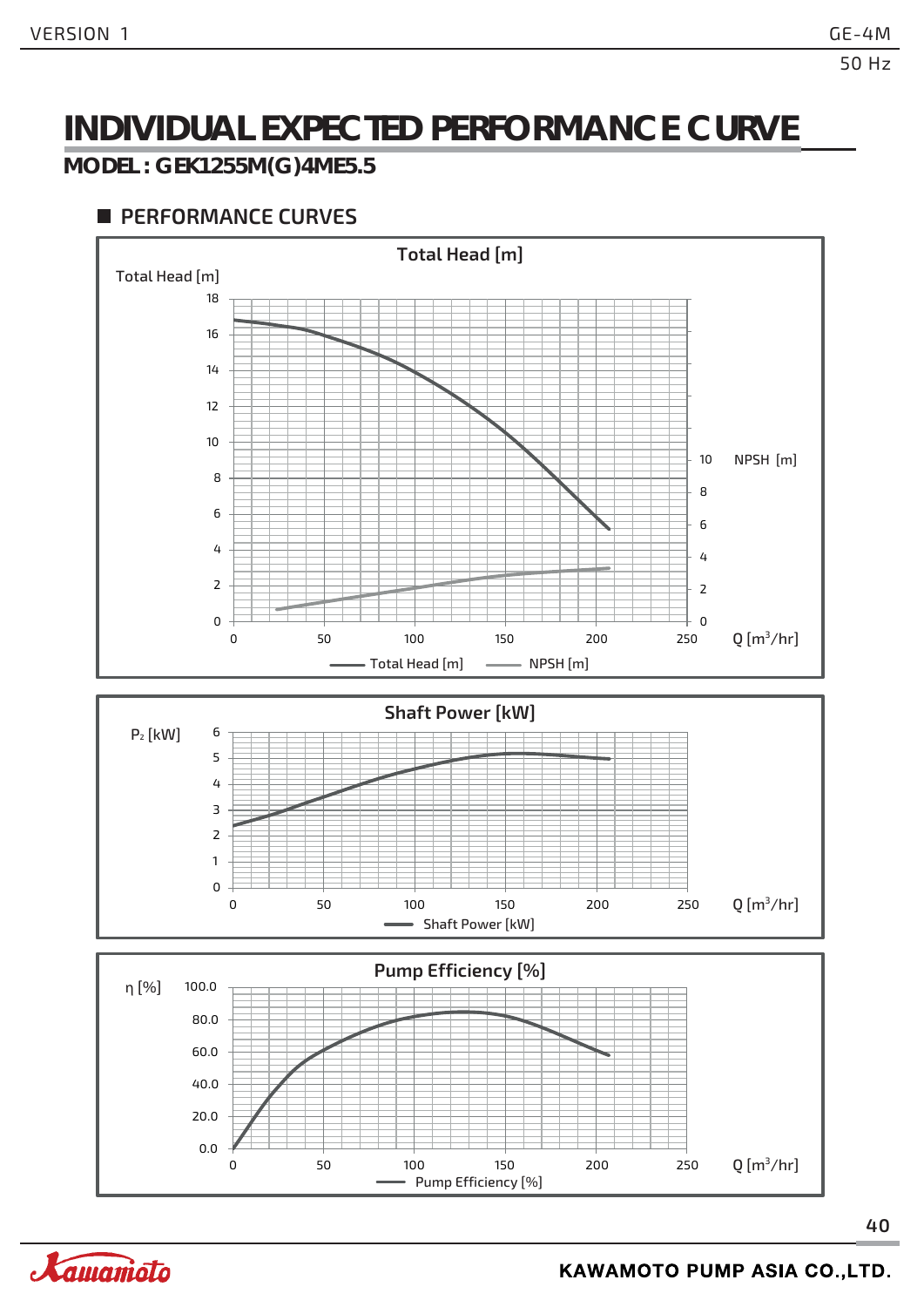### **INDIVIDUAL EXPECTED PERFORMANCE CURVE**

#### **MODEL : GEK1255M(G)4ME5.5**



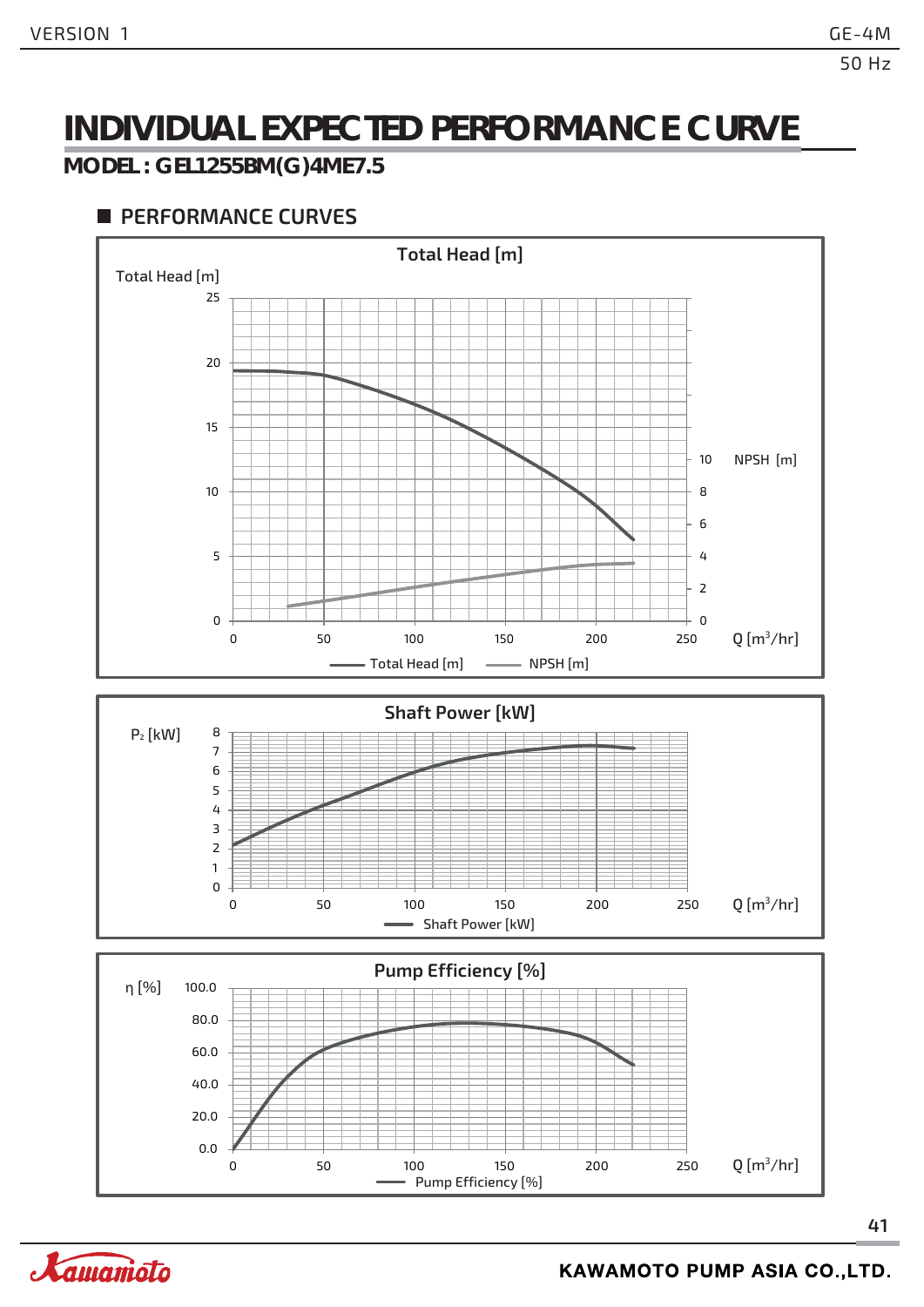### **INDIVIDUAL EXPECTED PERFORMANCE CURVE**

**MODEL : GEL1255BM(G)4ME7.5**

#### **PERFORMANCE CURVES**



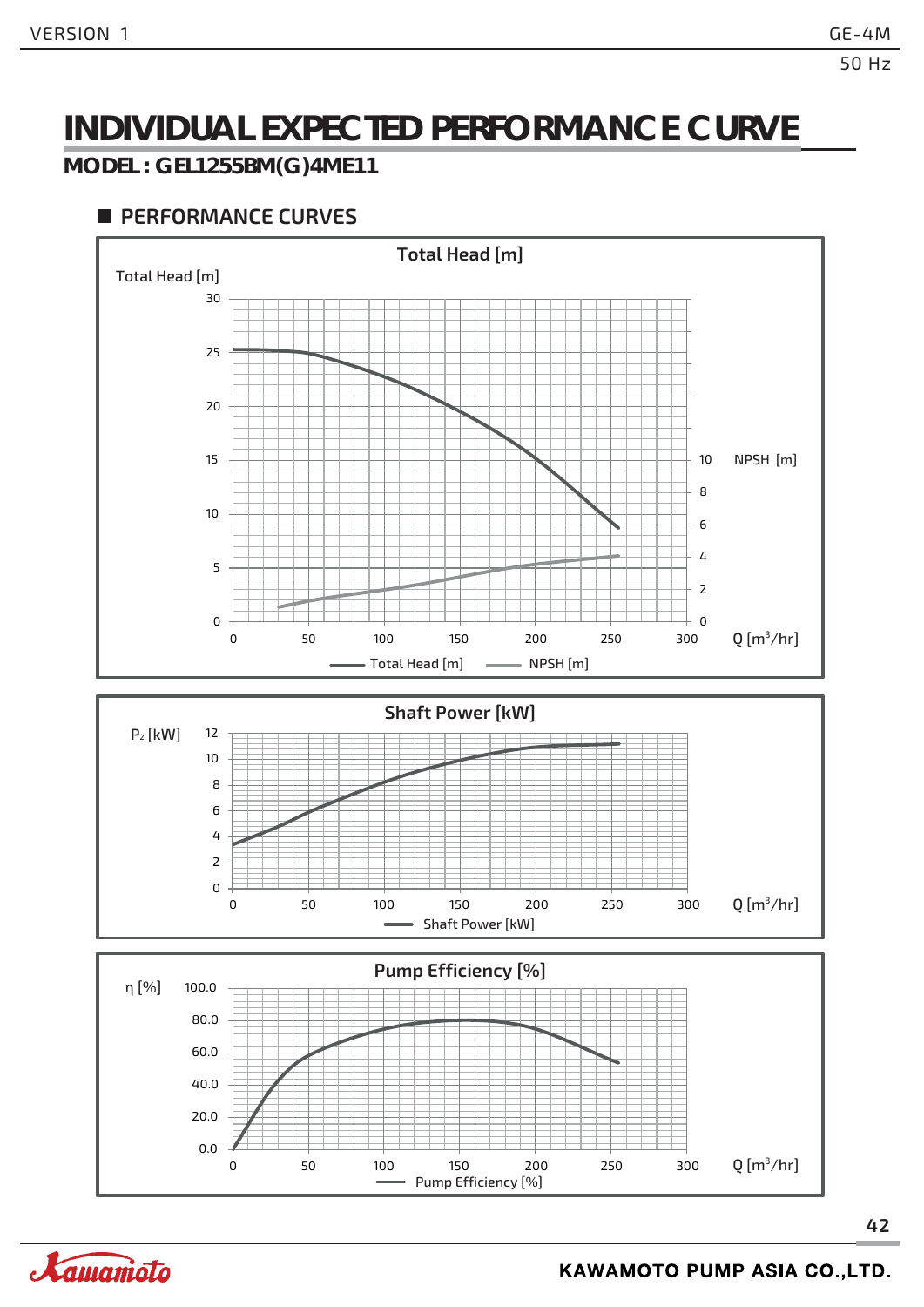### **INDIVIDUAL EXPECTED PERFORMANCE CURVE**

#### **MODEL : GEL1255BM(G)4ME11**



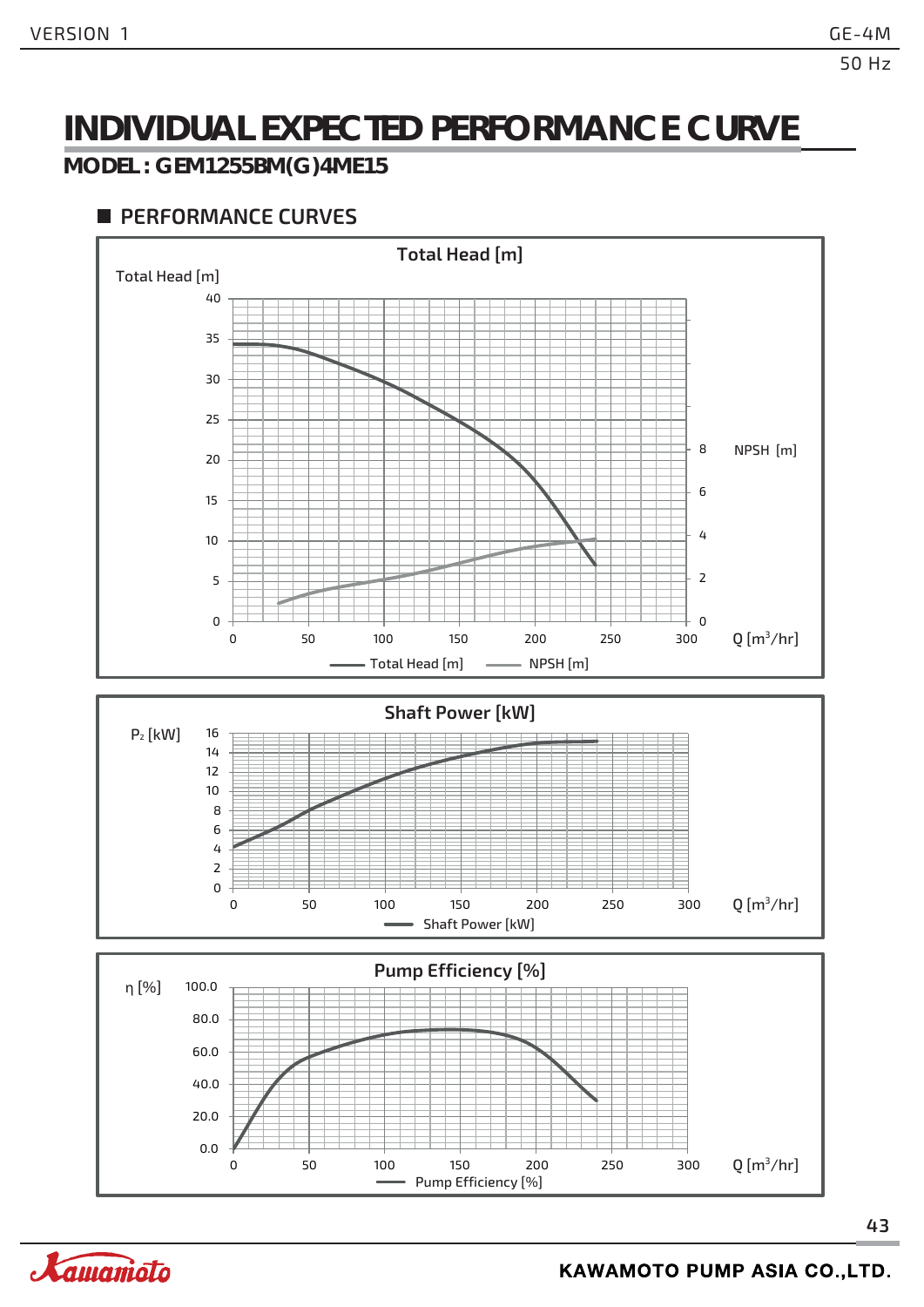### **INDIVIDUAL EXPECTED PERFORMANCE CURVE**

#### **MODEL : GEM1255BM(G)4ME15**



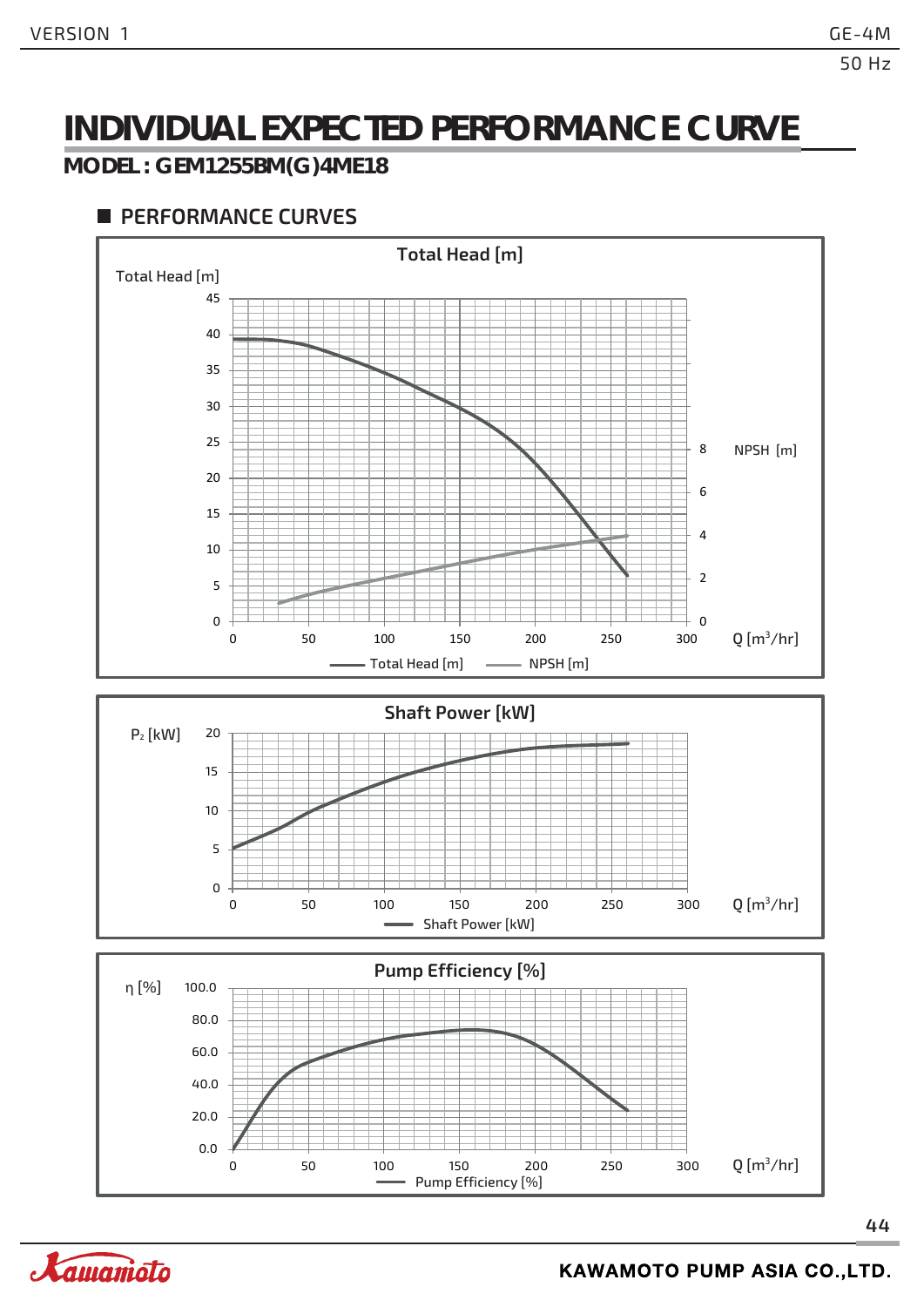### **INDIVIDUAL EXPECTED PERFORMANCE CURVE**

#### **MODEL : GEM1255BM(G)4ME18**

#### **PERFORMANCE CURVES**







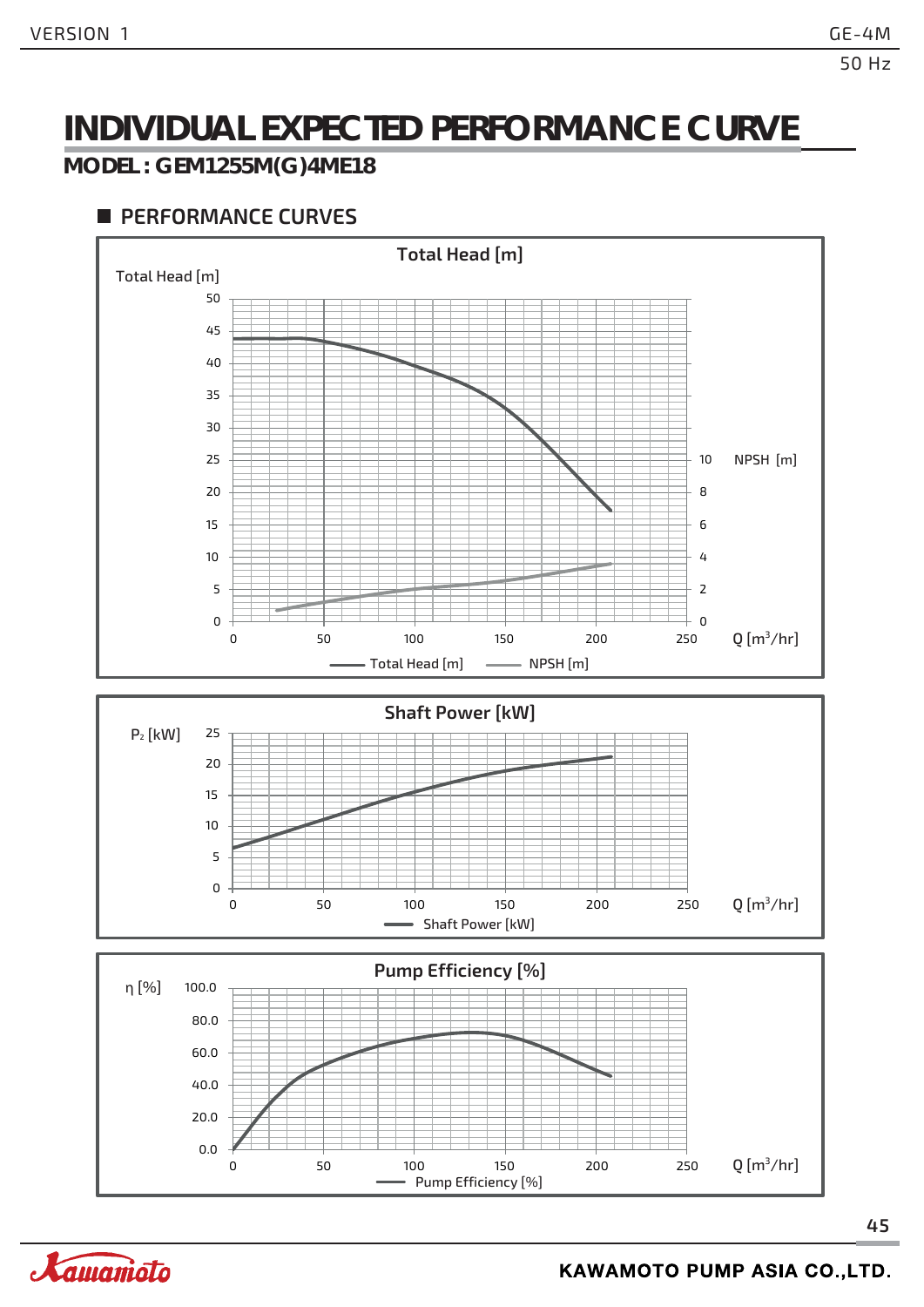### **INDIVIDUAL EXPECTED PERFORMANCE CURVE**

#### **MODEL : GEM1255M(G)4ME18**



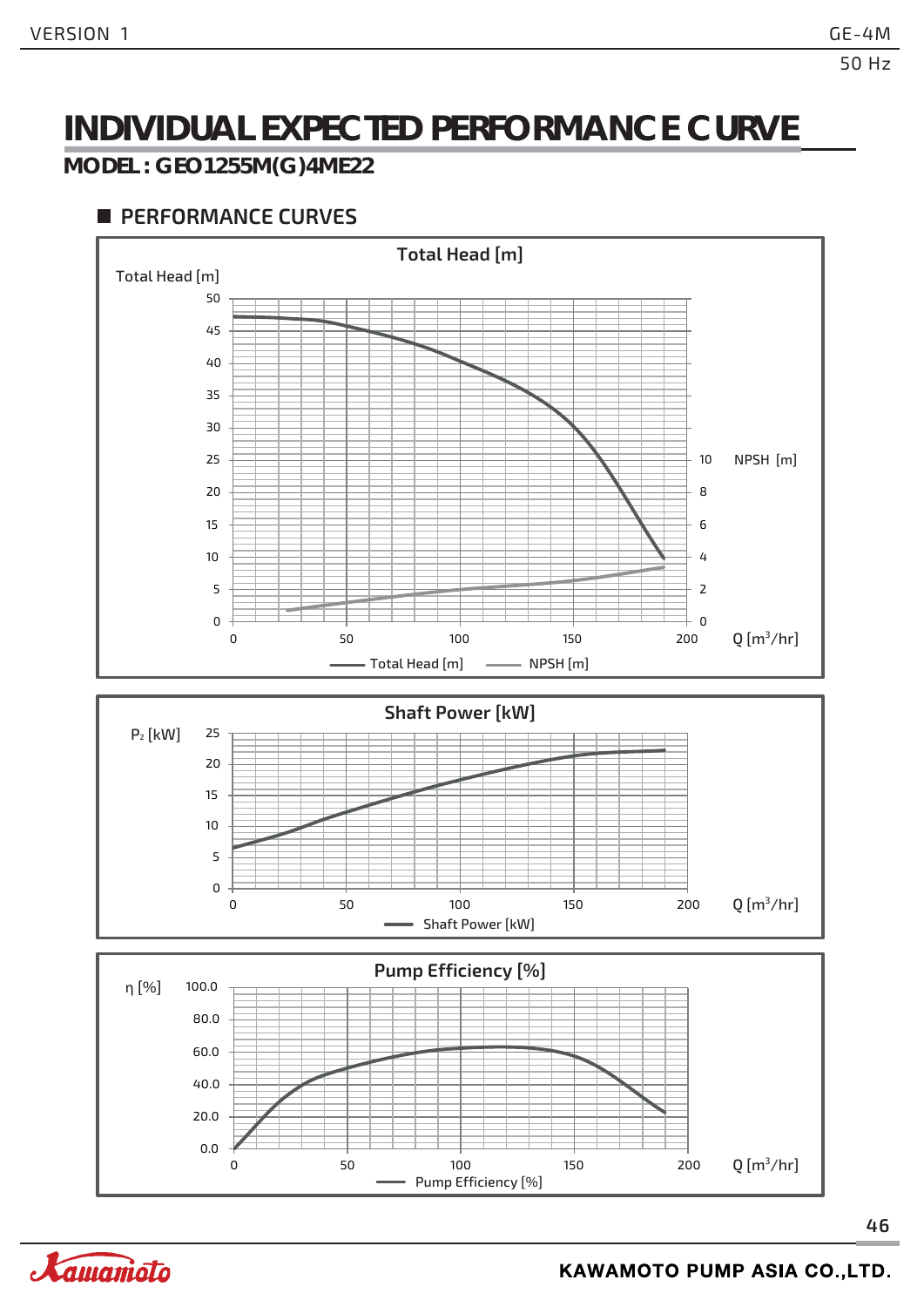### **INDIVIDUAL EXPECTED PERFORMANCE CURVE**

#### **MODEL : GEO1255M(G)4ME22**



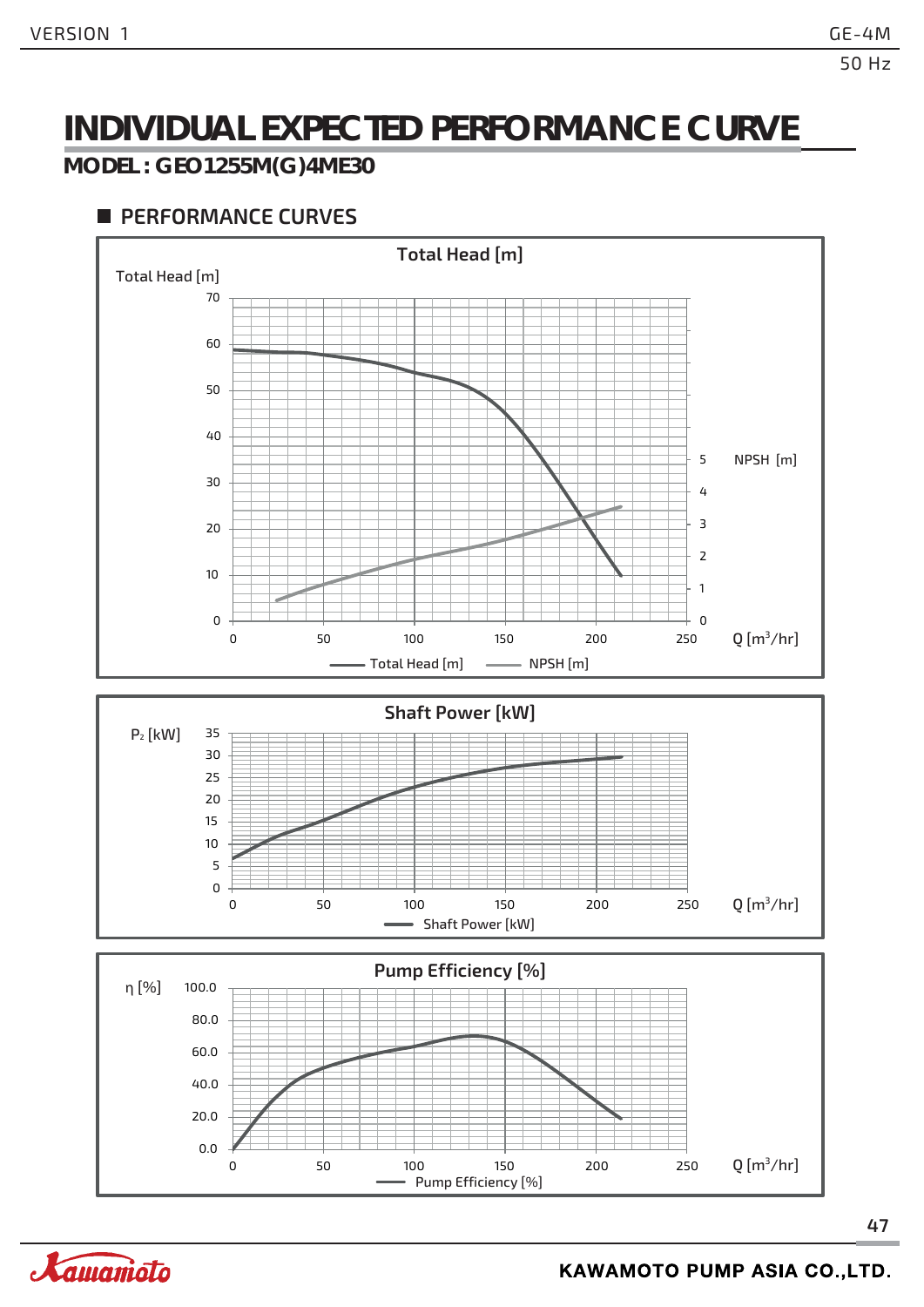### **INDIVIDUAL EXPECTED PERFORMANCE CURVE**

#### **MODEL : GEO1255M(G)4ME30**



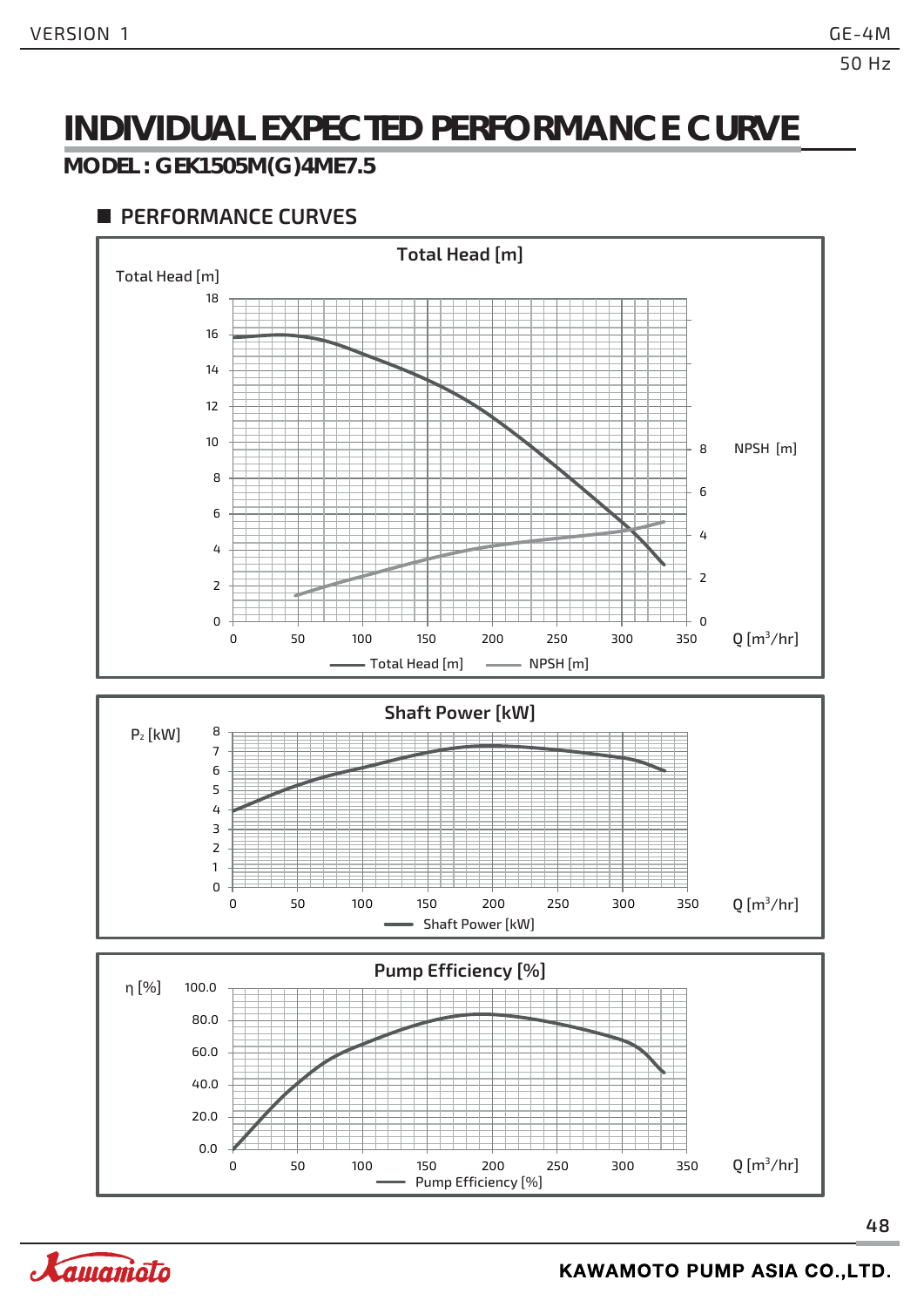### **INDIVIDUAL EXPECTED PERFORMANCE CURVE**

#### **MODEL : GEK1505M(G)4ME7.5**



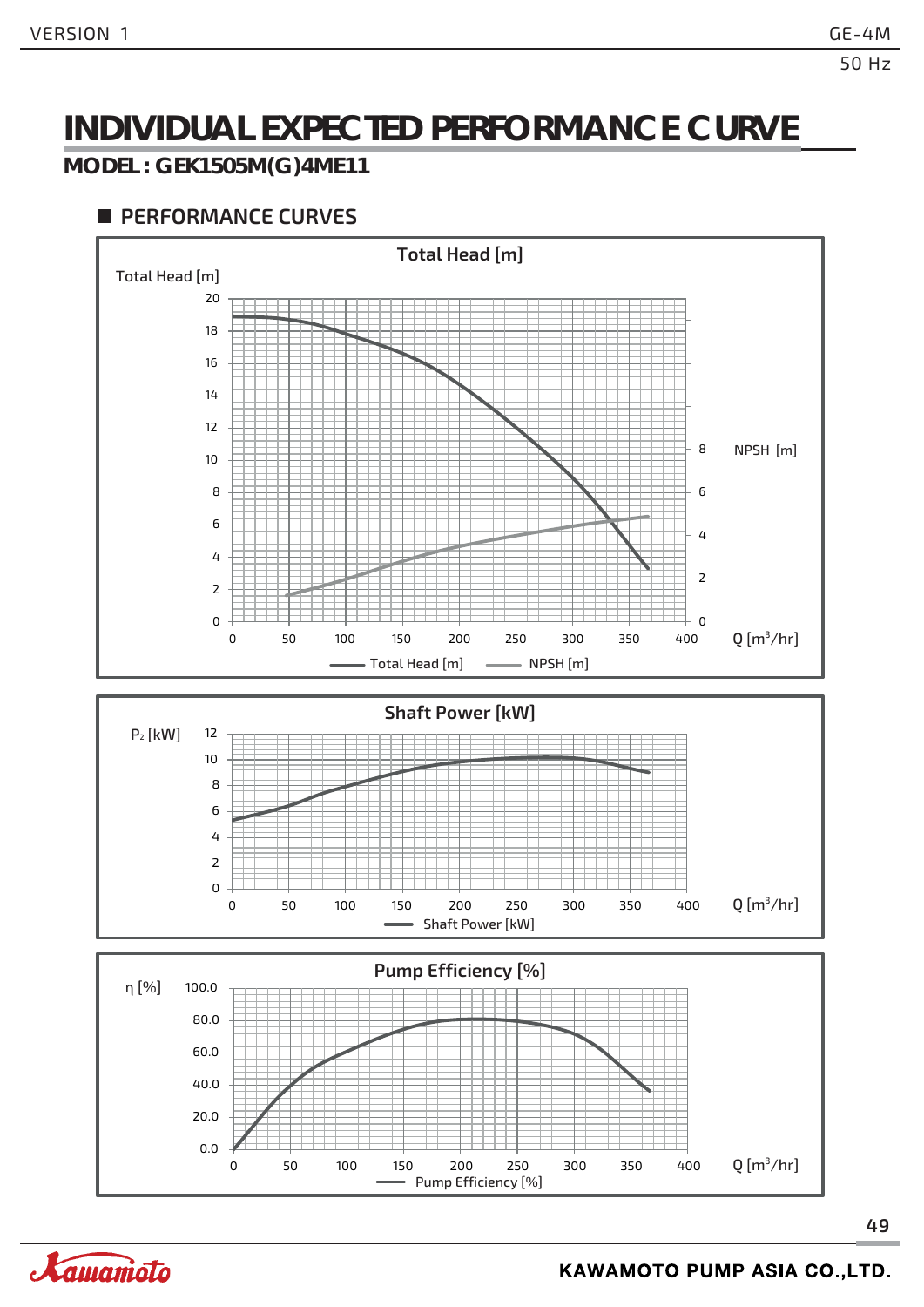### **INDIVIDUAL EXPECTED PERFORMANCE CURVE**

#### **MODEL : GEK1505M(G)4ME11**



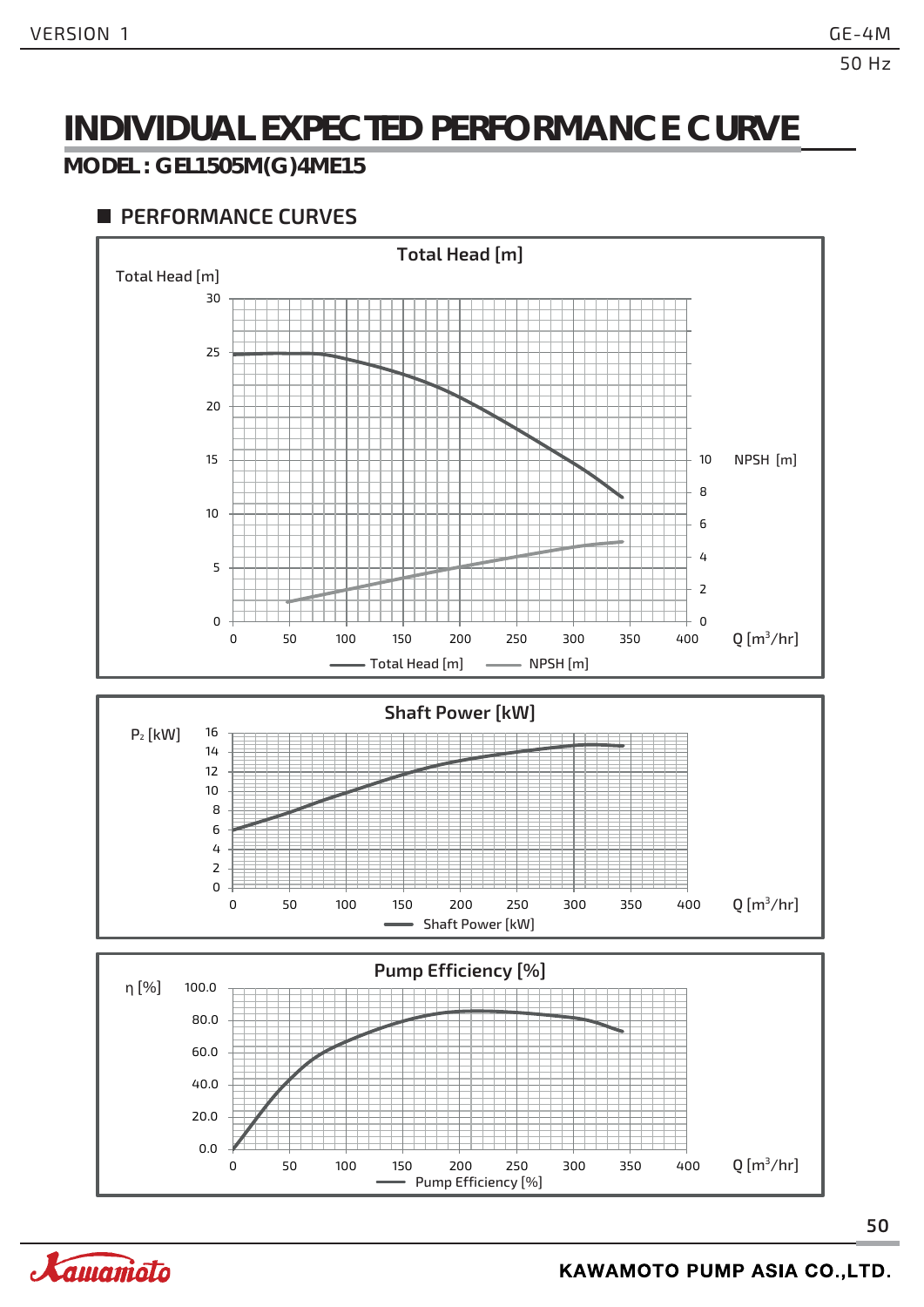### **INDIVIDUAL EXPECTED PERFORMANCE CURVE**

#### **MODEL : GEL1505M(G)4ME15**



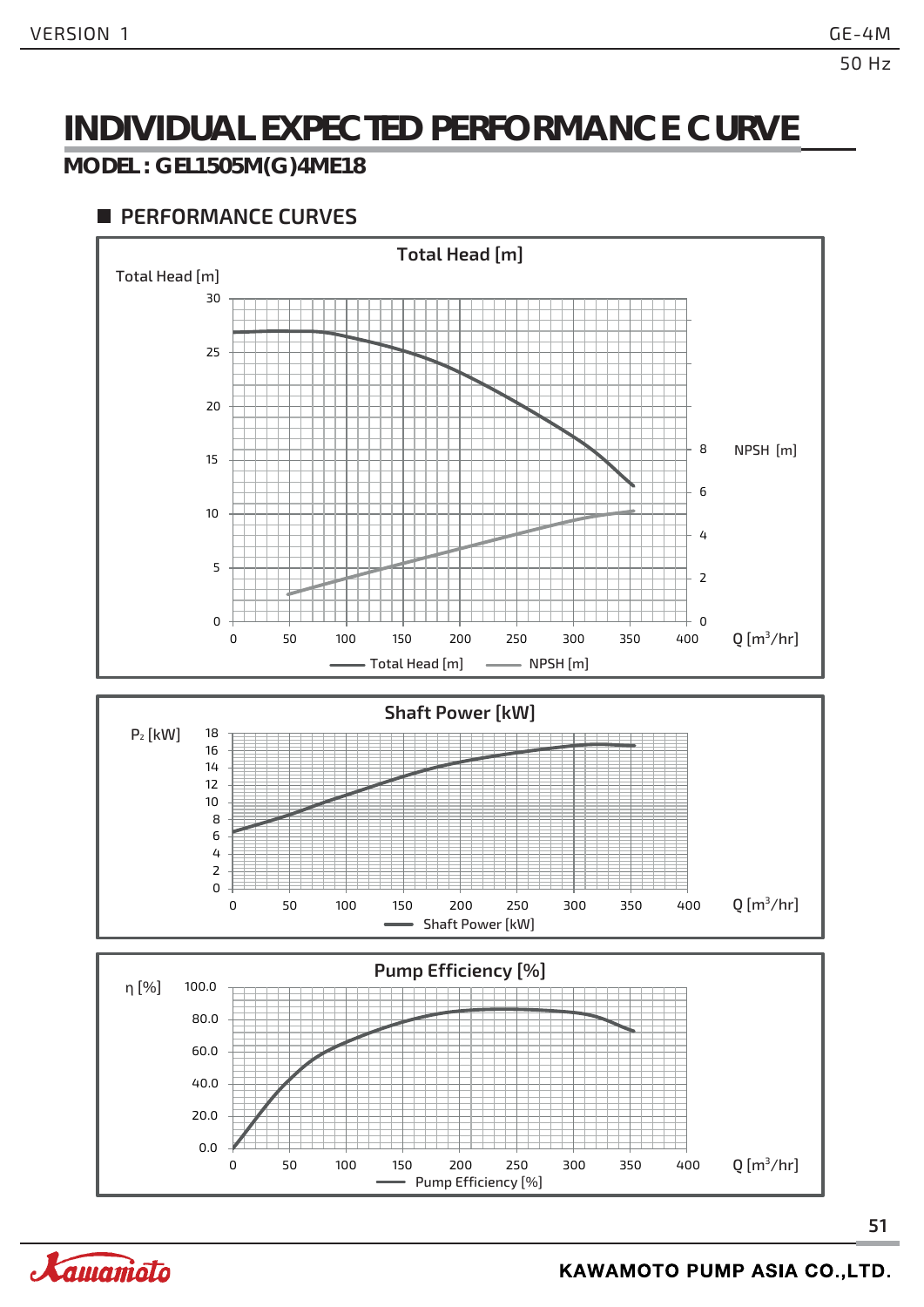### **INDIVIDUAL EXPECTED PERFORMANCE CURVE**

#### **MODEL : GEL1505M(G)4ME18**

#### **PERFORMANCE CURVES**



Pump Efficiency [%]

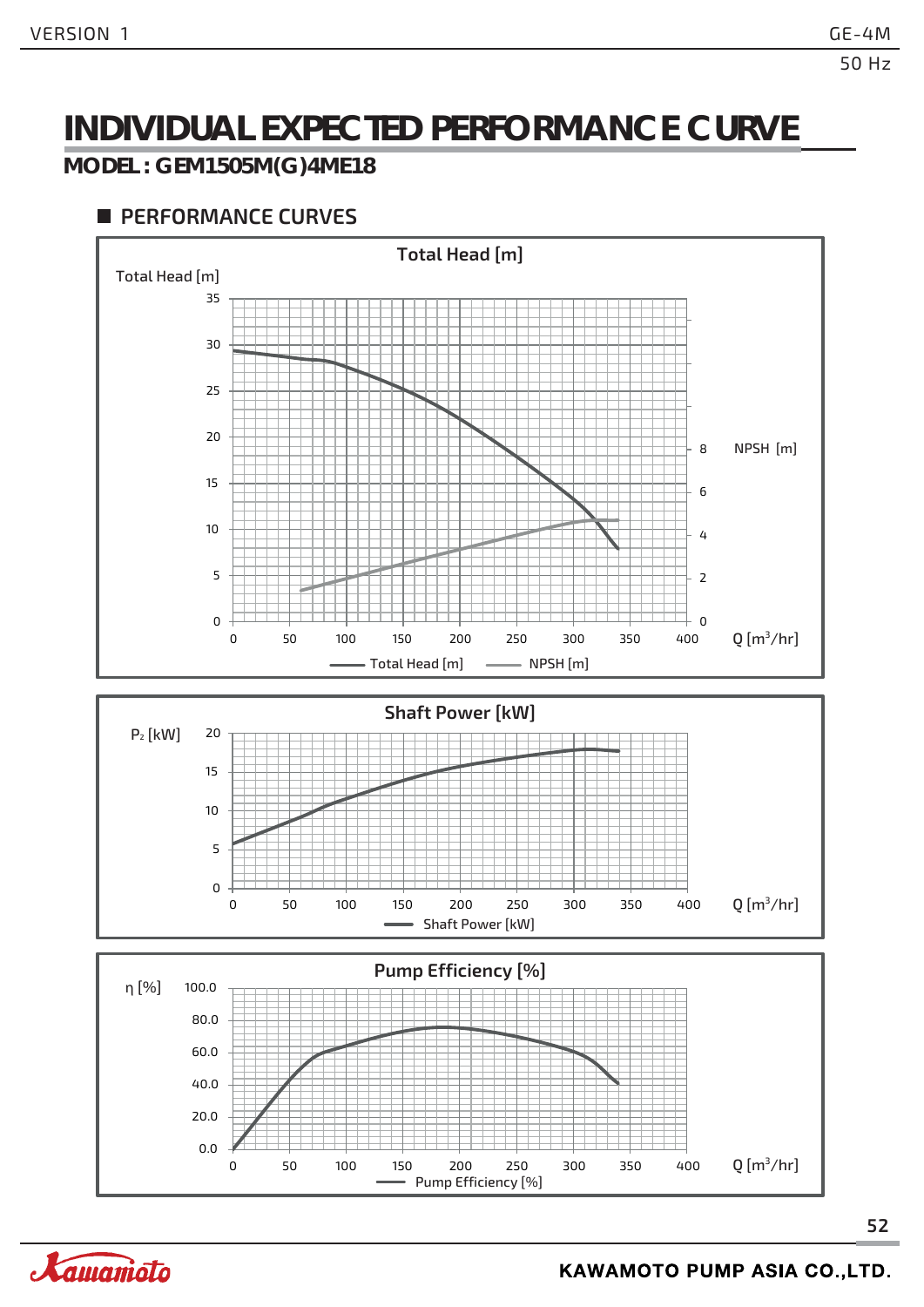### **INDIVIDUAL EXPECTED PERFORMANCE CURVE**

#### **MODEL : GEM1505M(G)4ME18**

#### **PERFORMANCE CURVES**





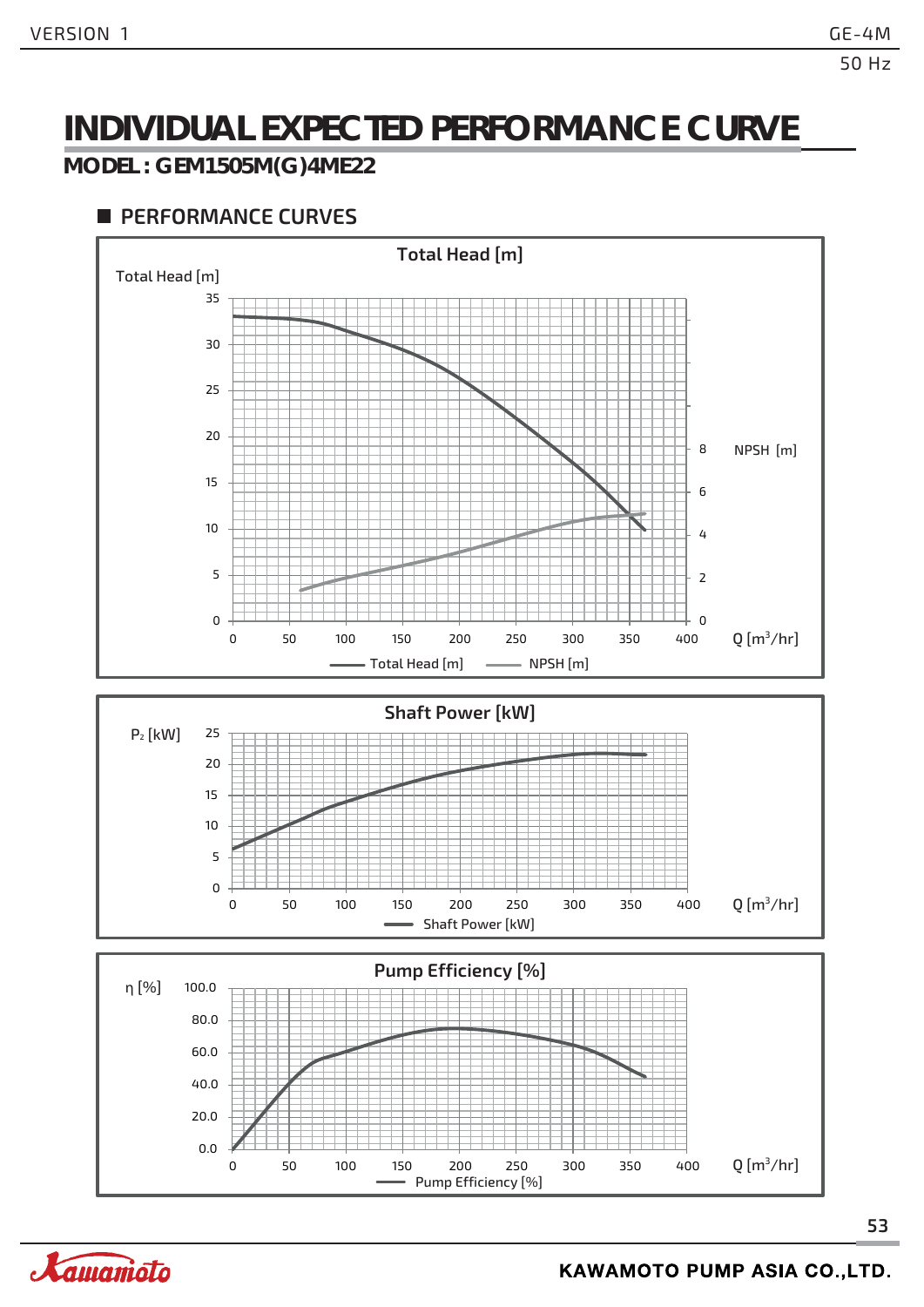### **INDIVIDUAL EXPECTED PERFORMANCE CURVE**

#### **MODEL : GEM1505M(G)4ME22**

#### **PERFORMANCE CURVES**



Pump Efficiency [%]

0 50 100 150 200 250 300 350 400



0.0

20.0 40.0

60.0

 $Q$ [m<sup>3</sup>/hr]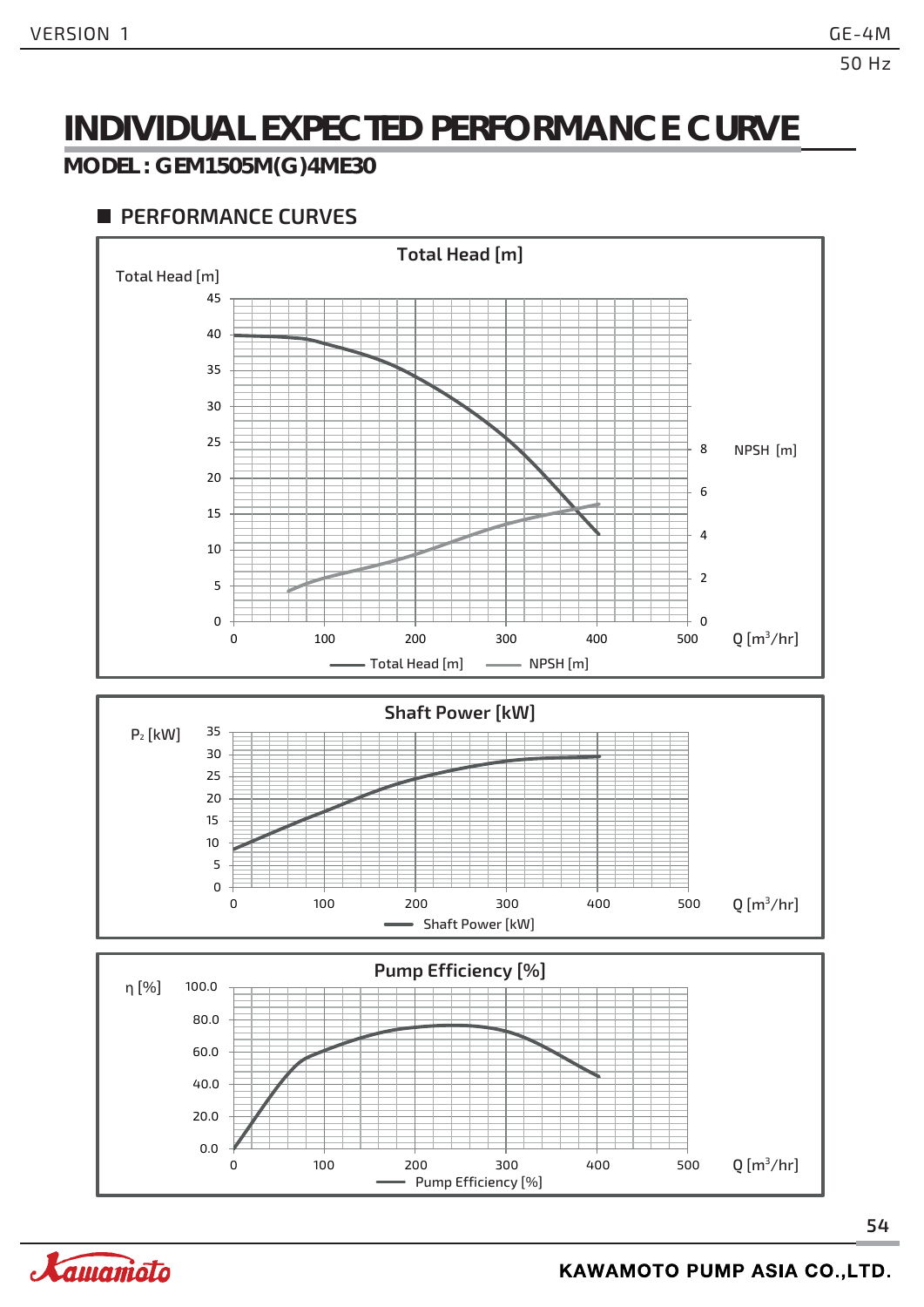### **INDIVIDUAL EXPECTED PERFORMANCE CURVE**

#### **MODEL : GEM1505M(G)4ME30**



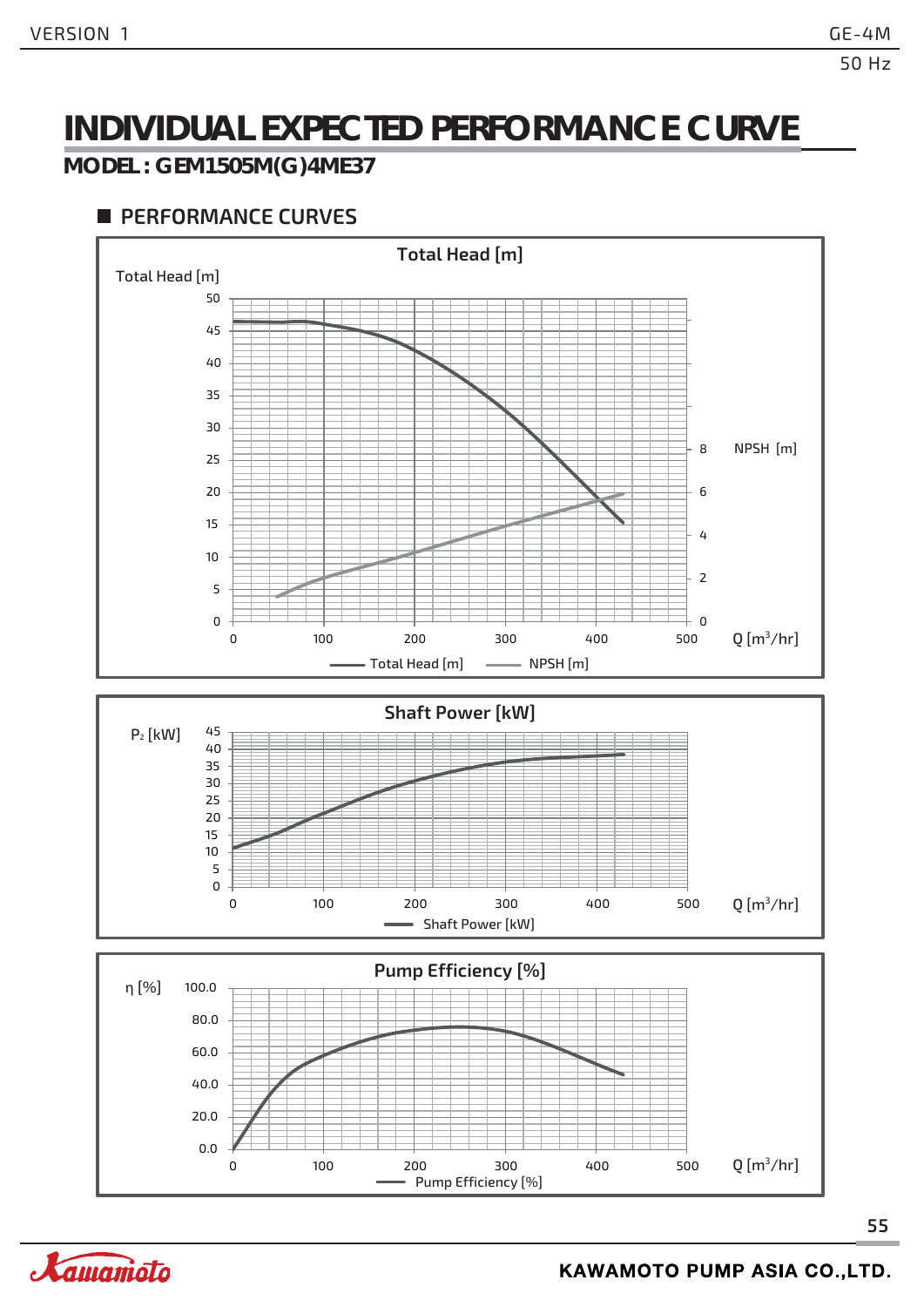### **INDIVIDUAL EXPECTED PERFORMANCE CURVE**

#### **MODEL : GEM1505M(G)4ME37**



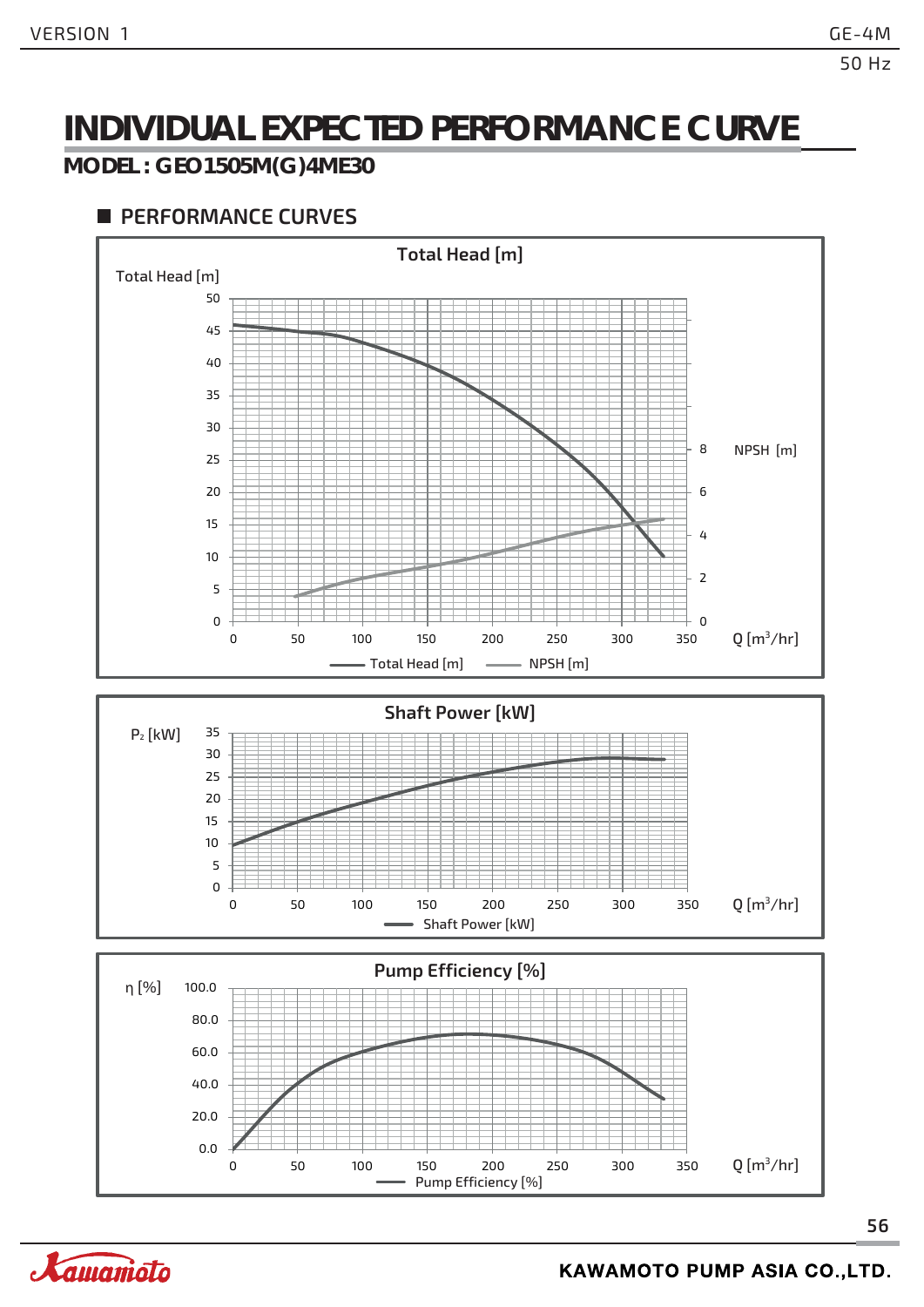### **INDIVIDUAL EXPECTED PERFORMANCE CURVE**

#### **MODEL : GEO1505M(G)4ME30**



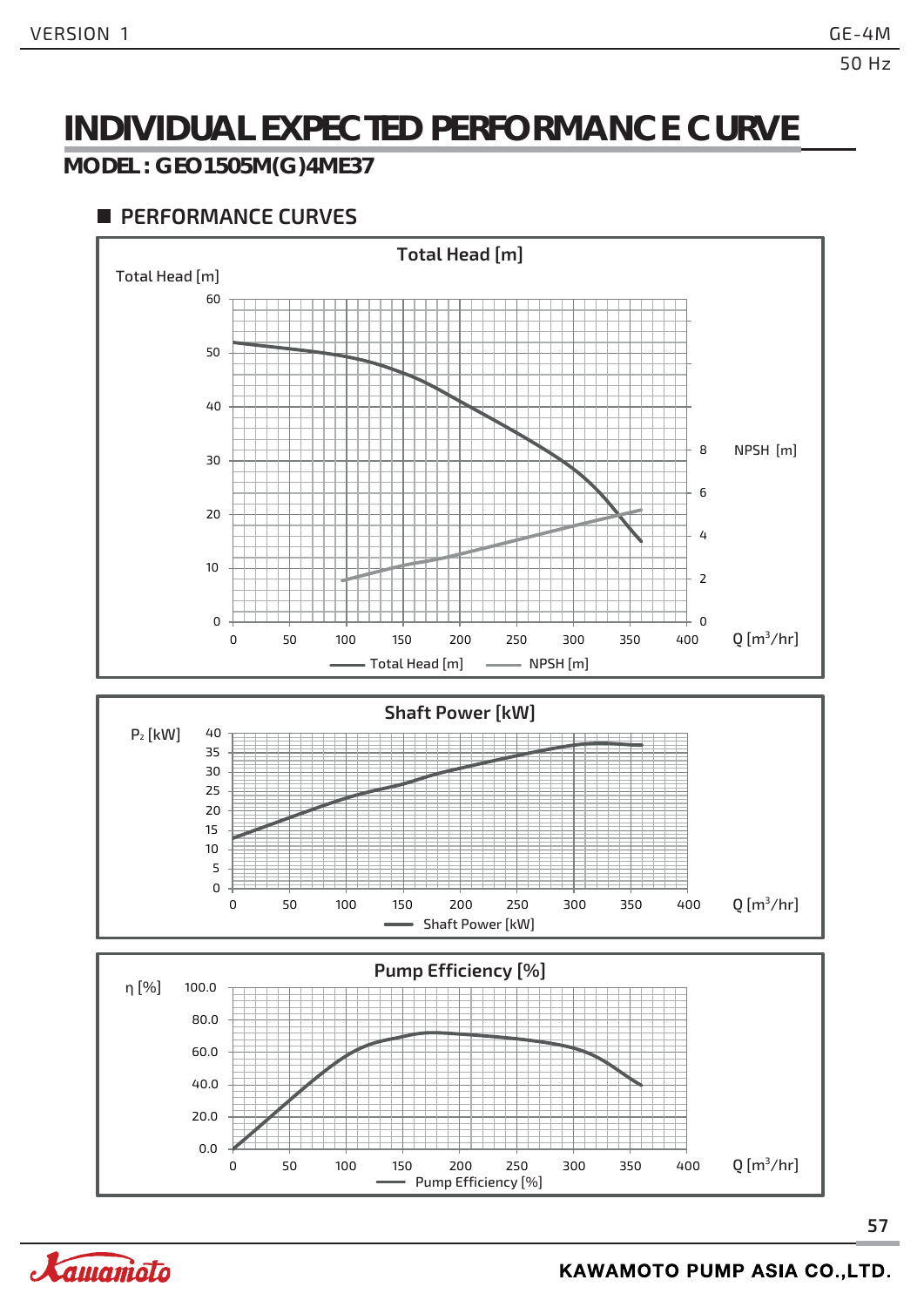### **INDIVIDUAL EXPECTED PERFORMANCE CURVE**

#### **MODEL : GEO1505M(G)4ME37**

#### **PERFORMANCE CURVES**

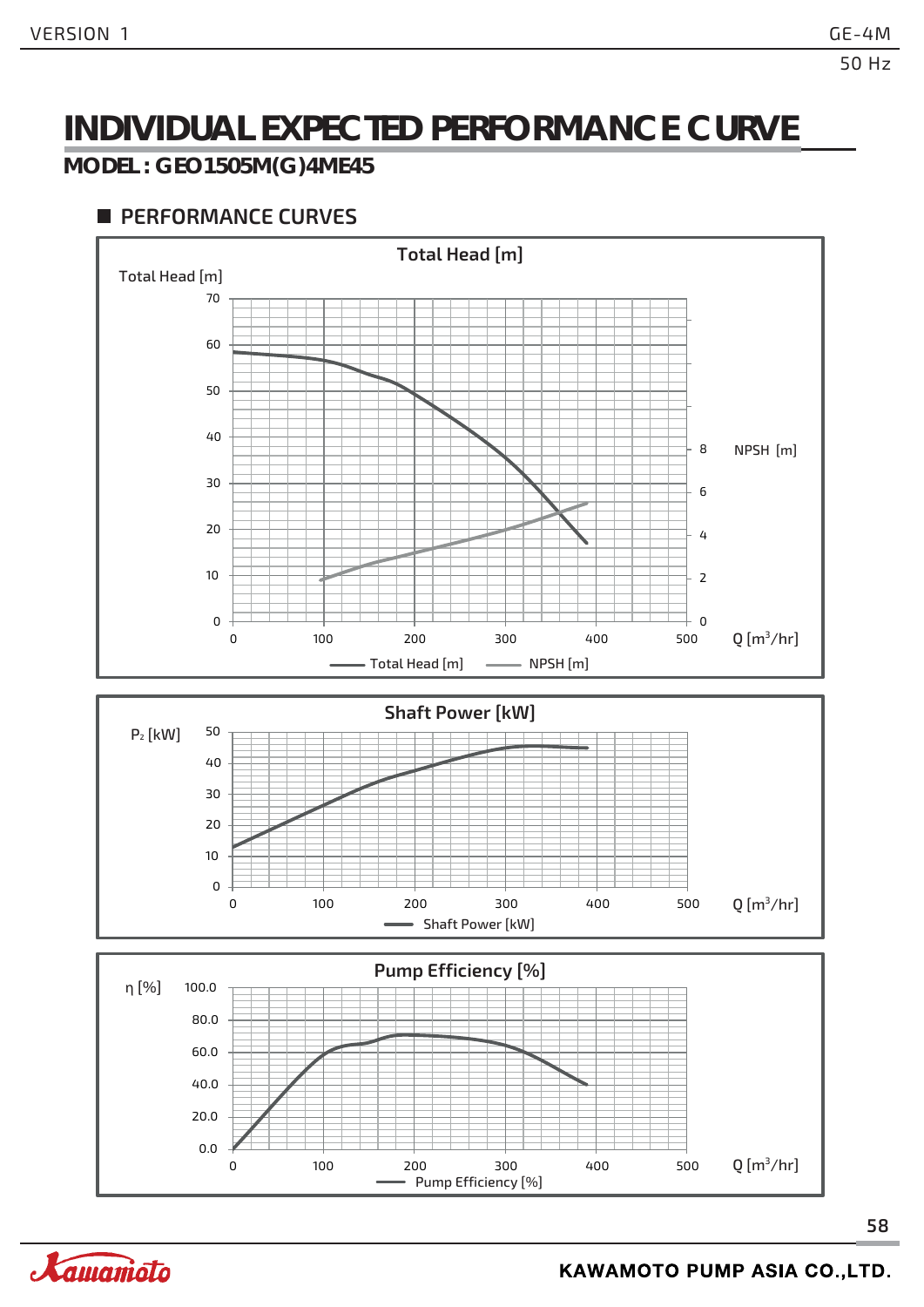### **INDIVIDUAL EXPECTED PERFORMANCE CURVE**

#### **MODEL : GEO1505M(G)4ME45**



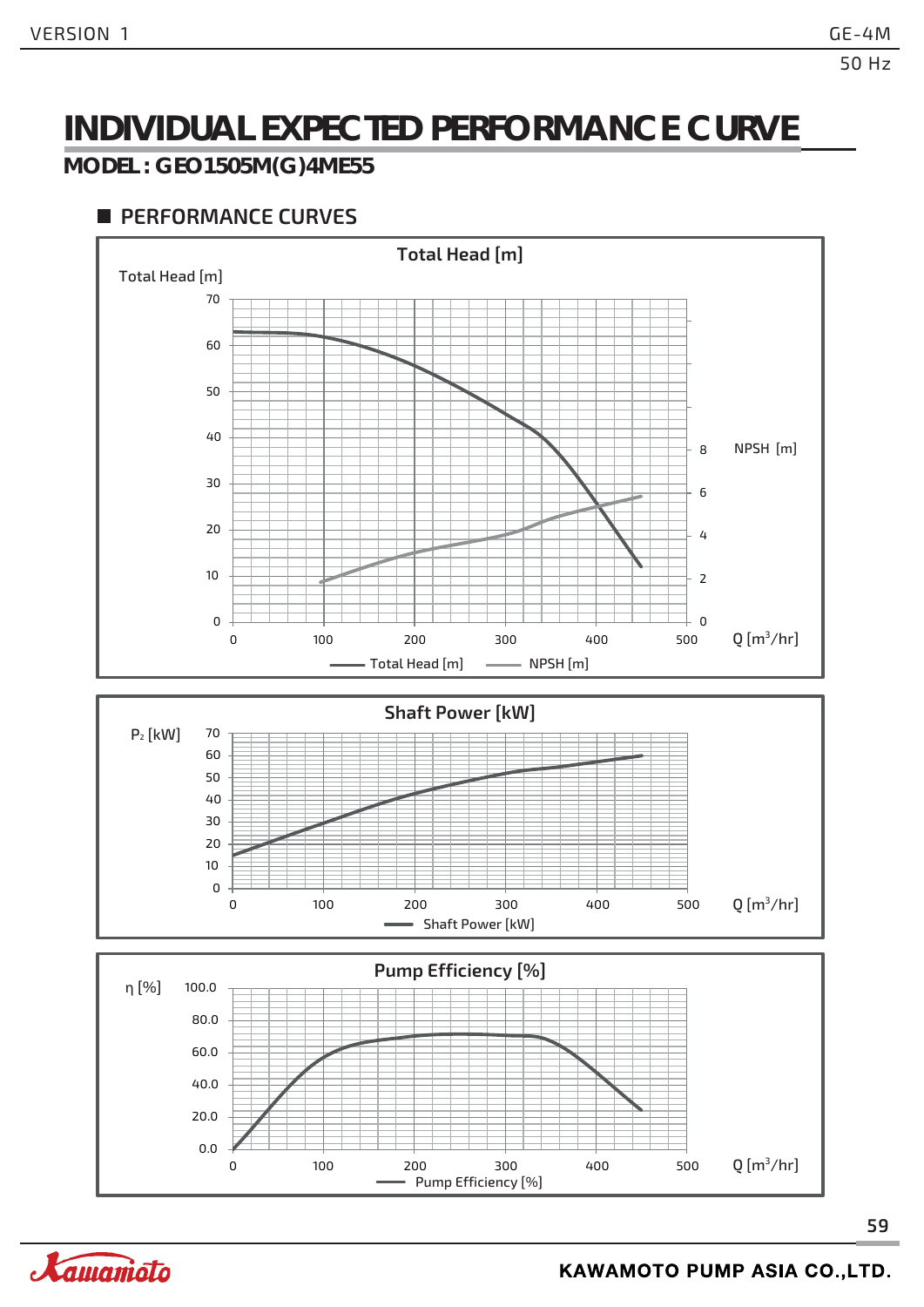### **INDIVIDUAL EXPECTED PERFORMANCE CURVE**

#### **MODEL : GEO1505M(G)4ME55**